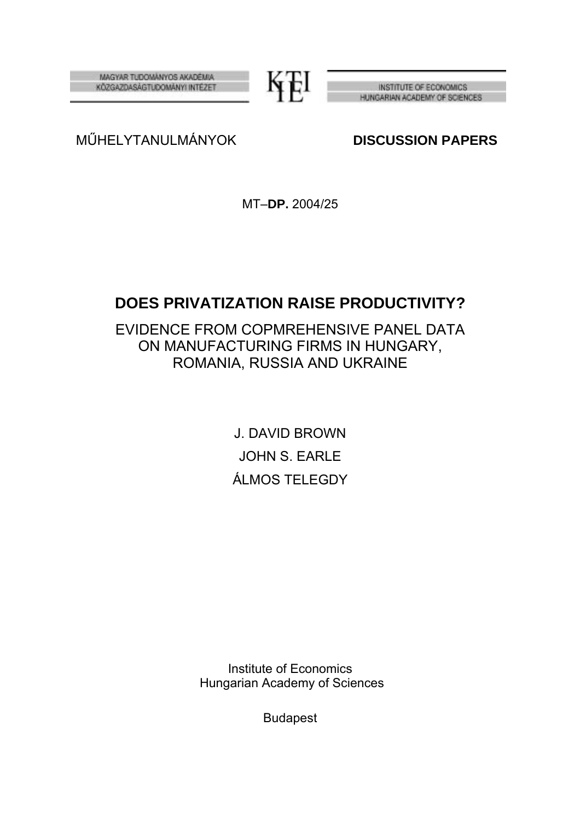

ҚĘІ

INSTITUTE OF ECONOMICS **JARIAN ACADEMY OF SCIENCES** 

MŰHELYTANULM£NYOK **DISCUSSION PAPERS**

MT-DP. 2004/25

# **DOES PRIVATIZATION RAISE PRODUCTIVITY?**

EVIDENCE FROM COPMREHENSIVE PANEL DATA ON MANUFACTURING FIRMS IN HUNGARY, ROMANIA, RUSSIA AND UKRAINE

> J. DAVID BROWN JOHN S. EARLE **ÁLMOS TELEGDY**

Institute of Economics Hungarian Academy of Sciences

Budapest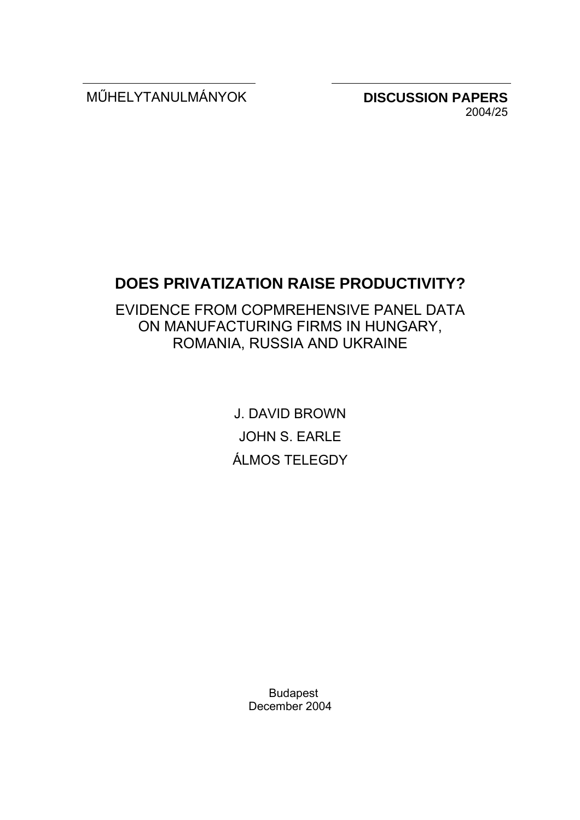MŰHELYTANULM£NYOK **DISCUSSION PAPERS**

2004/25

# **DOES PRIVATIZATION RAISE PRODUCTIVITY?**

EVIDENCE FROM COPMREHENSIVE PANEL DATA ON MANUFACTURING FIRMS IN HUNGARY, ROMANIA, RUSSIA AND UKRAINE

> J. DAVID BROWN JOHN S. EARLE **ÁLMOS TELEGDY**

> > Budapest December 2004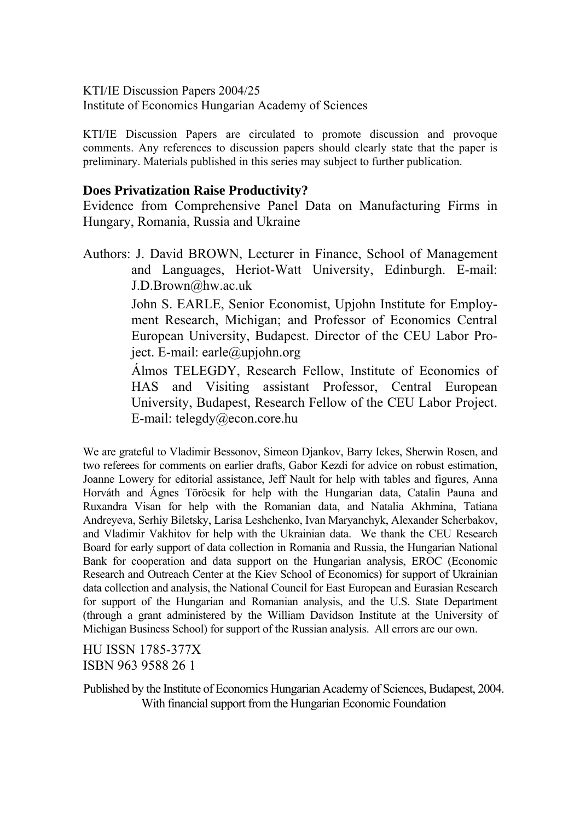KTI/IE Discussion Papers 2004/25

Institute of Economics Hungarian Academy of Sciences

KTI/IE Discussion Papers are circulated to promote discussion and provoque comments. Any references to discussion papers should clearly state that the paper is preliminary. Materials published in this series may subject to further publication.

# **Does Privatization Raise Productivity?**

Evidence from Comprehensive Panel Data on Manufacturing Firms in Hungary, Romania, Russia and Ukraine

Authors: J. David BROWN, Lecturer in Finance, School of Management and Languages, Heriot-Watt University, Edinburgh. E-mail: J.D.Brown@hw.ac.uk

> John S. EARLE, Senior Economist, Upjohn Institute for Employment Research, Michigan; and Professor of Economics Central European University, Budapest. Director of the CEU Labor Project. E-mail: [earle@upjohn.org](mailto:earle@upjohn.org)

> £lmos TELEGDY, Research Fellow, Institute of Economics of HAS and Visiting assistant Professor, Central European University, Budapest, Research Fellow of the CEU Labor Project. E-mail: [telegdy@econ.core.hu](mailto:telegdy@econ.core.hu)

We are grateful to Vladimir Bessonov, Simeon Djankov, Barry Ickes, Sherwin Rosen, and two referees for comments on earlier drafts, Gabor Kezdi for advice on robust estimation, Joanne Lowery for editorial assistance, Jeff Nault for help with tables and figures, Anna Horváth and Ágnes Töröcsik for help with the Hungarian data, Catalin Pauna and Ruxandra Visan for help with the Romanian data, and Natalia Akhmina, Tatiana Andreyeva, Serhiy Biletsky, Larisa Leshchenko, Ivan Maryanchyk, Alexander Scherbakov, and Vladimir Vakhitov for help with the Ukrainian data. We thank the CEU Research Board for early support of data collection in Romania and Russia, the Hungarian National Bank for cooperation and data support on the Hungarian analysis, EROC (Economic Research and Outreach Center at the Kiev School of Economics) for support of Ukrainian data collection and analysis, the National Council for East European and Eurasian Research for support of the Hungarian and Romanian analysis, and the U.S. State Department (through a grant administered by the William Davidson Institute at the University of Michigan Business School) for support of the Russian analysis. All errors are our own.

HU ISSN 1785-377X ISBN 963 9588 26 1

Published by the Institute of Economics Hungarian Academy of Sciences, Budapest, 2004. With financial support from the Hungarian Economic Foundation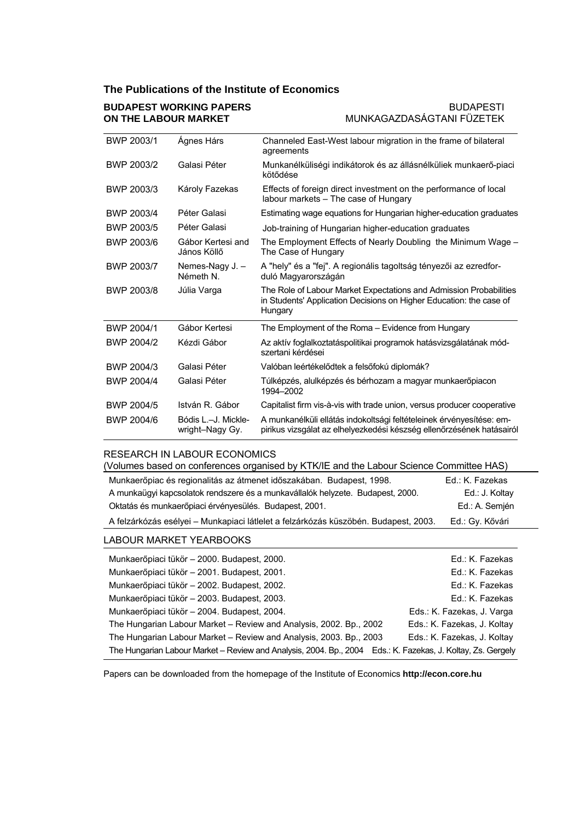## **The Publications of the Institute of Economics**

| ON THE LABOUR MARKET | <b>BUDAPEST WORKING PAPERS</b> | <b>BUDAPESTI</b><br>MUNKAGAZDASÁGTANI FÜZETEK                                |
|----------------------|--------------------------------|------------------------------------------------------------------------------|
| BWP 2003/1           | Agnes Hárs                     | Channeled East-West labour migration in the frame of bilateral<br>agreements |

| BWP 2003/2 | Galasi Péter                           | Munkanélküliségi indikátorok és az állásnélküliek munkaerő-piaci<br>kötődése                                                                         |
|------------|----------------------------------------|------------------------------------------------------------------------------------------------------------------------------------------------------|
| BWP 2003/3 | Károly Fazekas                         | Effects of foreign direct investment on the performance of local<br>labour markets – The case of Hungary                                             |
| BWP 2003/4 | Péter Galasi                           | Estimating wage equations for Hungarian higher-education graduates                                                                                   |
| BWP 2003/5 | Péter Galasi                           | Job-training of Hungarian higher-education graduates                                                                                                 |
| BWP 2003/6 | Gábor Kertesi and<br>János Köllő       | The Employment Effects of Nearly Doubling the Minimum Wage -<br>The Case of Hungary                                                                  |
| BWP 2003/7 | Nemes-Nagy J. -<br>Németh N.           | A "hely" és a "fej". A regionális tagoltság tényezői az ezredfor-<br>duló Magyarországán                                                             |
| BWP 2003/8 | Júlia Varga                            | The Role of Labour Market Expectations and Admission Probabilities<br>in Students' Application Decisions on Higher Education: the case of<br>Hungary |
| BWP 2004/1 | Gábor Kertesi                          | The Employment of the Roma – Evidence from Hungary                                                                                                   |
| BWP 2004/2 | Kézdi Gábor                            | Az aktív foglalkoztatáspolitikai programok hatásvizsgálatának mód-<br>szertani kérdései                                                              |
| BWP 2004/3 | Galasi Péter                           | Valóban leértékelődtek a felsőfokú diplomák?                                                                                                         |
| BWP 2004/4 | Galasi Péter                           | Túlképzés, alulképzés és bérhozam a magyar munkaerőpiacon<br>1994-2002                                                                               |
| BWP 2004/5 | István R. Gábor                        | Capitalist firm vis-à-vis with trade union, versus producer cooperative                                                                              |
| BWP 2004/6 | Bódis L.-J. Mickle-<br>wright-Nagy Gy. | A munkanélküli ellátás indokoltsági feltételeinek érvényesítése: em-<br>pirikus vizsgálat az elhelyezkedési készség ellenőrzésének hatásairól        |

### RESEARCH IN LABOUR ECONOMICS

| (Volumes based on conferences organised by KTK/IE and the Labour Science Committee HAS) |                 |
|-----------------------------------------------------------------------------------------|-----------------|
| Munkaerőpiac és regionalitás az átmenet időszakában. Budapest, 1998.                    | Ed.: K. Fazekas |
| A munkaügyi kapcsolatok rendszere és a munkavállalók helyzete. Budapest, 2000.          | Ed.: J. Koltay  |
| Oktatás és munkaerőpiaci érvényesülés. Budapest, 2001.                                  | Ed.: A. Semjén  |
| A felzárkózás esélyei – Munkapiaci látlelet a felzárkózás küszöbén. Budapest, 2003.     | Ed.: Gy. Kővári |

#### LABOUR MARKET YEARBOOKS

| Munkaerőpiaci tükör – 2000. Budapest, 2000.                                                                 | Ed.: K. Fazekas             |
|-------------------------------------------------------------------------------------------------------------|-----------------------------|
| Munkaerőpiaci tükör – 2001. Budapest, 2001.                                                                 | Ed.: K. Fazekas             |
| Munkaerőpiaci tükör – 2002. Budapest, 2002.                                                                 | Ed.: K. Fazekas             |
| Munkaerőpiaci tükör – 2003. Budapest, 2003.                                                                 | Ed.: K. Fazekas             |
| Munkaerőpiaci tükör – 2004. Budapest, 2004.                                                                 | Eds.: K. Fazekas, J. Varga  |
| The Hungarian Labour Market - Review and Analysis, 2002. Bp., 2002                                          | Eds.: K. Fazekas, J. Koltay |
| The Hungarian Labour Market - Review and Analysis, 2003. Bp., 2003                                          | Eds.: K. Fazekas, J. Koltay |
| The Hungarian Labour Market - Review and Analysis, 2004. Bp., 2004 Eds.: K. Fazekas, J. Koltay, Zs. Gergely |                             |

Papers can be downloaded from the homepage of the Institute of Economics **[http://econ.core.hu](http://www.econ.core.hu/)**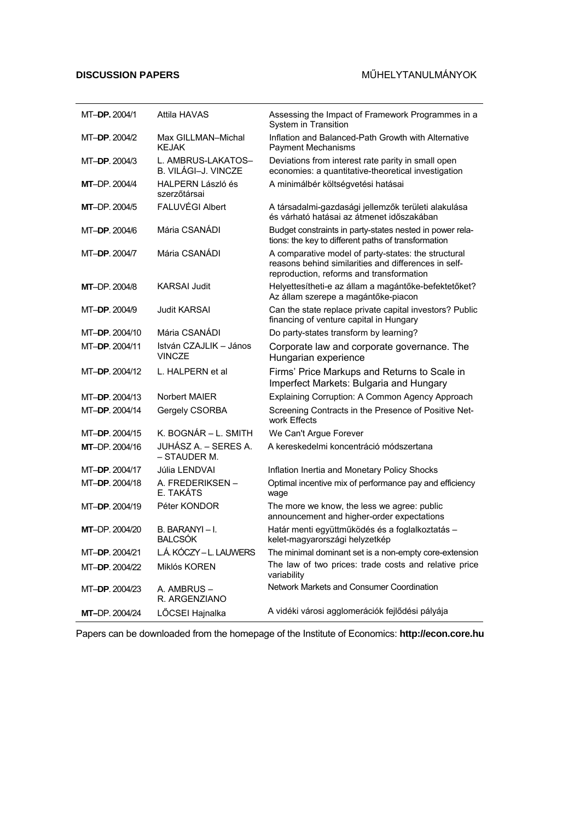# **DISCUSSION PAPERS** MŰHELYTANULMÁNYOK

| MT-DP. 2004/1        | <b>Attila HAVAS</b>                       | Assessing the Impact of Framework Programmes in a<br>System in Transition                                                                               |
|----------------------|-------------------------------------------|---------------------------------------------------------------------------------------------------------------------------------------------------------|
| MT-DP. 2004/2        | Max GILLMAN-Michal<br><b>KEJAK</b>        | Inflation and Balanced-Path Growth with Alternative<br><b>Payment Mechanisms</b>                                                                        |
| MT-DP. 2004/3        | L. AMBRUS-LAKATOS-<br>B. VILÁGI-J. VINCZE | Deviations from interest rate parity in small open<br>economies: a quantitative-theoretical investigation                                               |
| <b>MT-DP. 2004/4</b> | HALPERN László és<br>szerzőtársai         | A minimálbér költségvetési hatásai                                                                                                                      |
| <b>MT-DP. 2004/5</b> | FALUVÉGI Albert                           | A társadalmi-gazdasági jellemzők területi alakulása<br>és várható hatásai az átmenet időszakában                                                        |
| MT-DP. 2004/6        | Mária CSANÁDI                             | Budget constraints in party-states nested in power rela-<br>tions: the key to different paths of transformation                                         |
| MT-DP. 2004/7        | Mária CSANÁDI                             | A comparative model of party-states: the structural<br>reasons behind similarities and differences in self-<br>reproduction, reforms and transformation |
| <b>MT-DP. 2004/8</b> | <b>KARSAI Judit</b>                       | Helyettesítheti-e az állam a magántőke-befektetőket?<br>Az állam szerepe a magántőke-piacon                                                             |
| MT-DP, 2004/9        | <b>Judit KARSAI</b>                       | Can the state replace private capital investors? Public<br>financing of venture capital in Hungary                                                      |
| MT-DP. 2004/10       | Mária CSANÁDI                             | Do party-states transform by learning?                                                                                                                  |
| MT-DP. 2004/11       | István CZAJLIK - János<br><b>VINCZE</b>   | Corporate law and corporate governance. The<br>Hungarian experience                                                                                     |
| MT-DP. 2004/12       | L. HALPERN et al                          | Firms' Price Markups and Returns to Scale in<br>Imperfect Markets: Bulgaria and Hungary                                                                 |
| MT-DP. 2004/13       | Norbert MAIER                             | Explaining Corruption: A Common Agency Approach                                                                                                         |
| MT-DP. 2004/14       | Gergely CSORBA                            | Screening Contracts in the Presence of Positive Net-<br>work Effects                                                                                    |
| MT-DP, 2004/15       | K. BOGNÁR – L. SMITH                      | We Can't Argue Forever                                                                                                                                  |
| MT-DP. 2004/16       | JUHÁSZ A. – SERES A.<br>- STAUDER M.      | A kereskedelmi koncentráció módszertana                                                                                                                 |
| MT-DP. 2004/17       | Júlia LENDVAI                             | Inflation Inertia and Monetary Policy Shocks                                                                                                            |
| MT-DP. 2004/18       | A. FREDERIKSEN -<br>E. TAKÁTS             | Optimal incentive mix of performance pay and efficiency<br>wage                                                                                         |
| MT-DP. 2004/19       | Péter KONDOR                              | The more we know, the less we agree: public<br>announcement and higher-order expectations                                                               |
| MT-DP. 2004/20       | B. BARANYI-I.<br><b>BALCSÓK</b>           | Határ menti együttműködés és a foglalkoztatás -<br>kelet-magyarországi helyzetkép                                                                       |
| MT-DP. 2004/21       | LÁ. KÓCZY – L. LAUWERS                    | The minimal dominant set is a non-empty core-extension                                                                                                  |
| MT-DP. 2004/22       | Miklós KOREN                              | The law of two prices: trade costs and relative price<br>variability                                                                                    |
| MT-DP. 2004/23       | A. AMBRUS -<br>R. ARGENZIANO              | Network Markets and Consumer Coordination                                                                                                               |
| MT-DP. 2004/24       | LŐCSEI Hajnalka                           | A vidéki városi agglomerációk fejlődési pályája                                                                                                         |

Papers can be downloaded from the homepage of the Institute of Economics: **[http://econ.core.hu](http://www.econ.core.hu/)**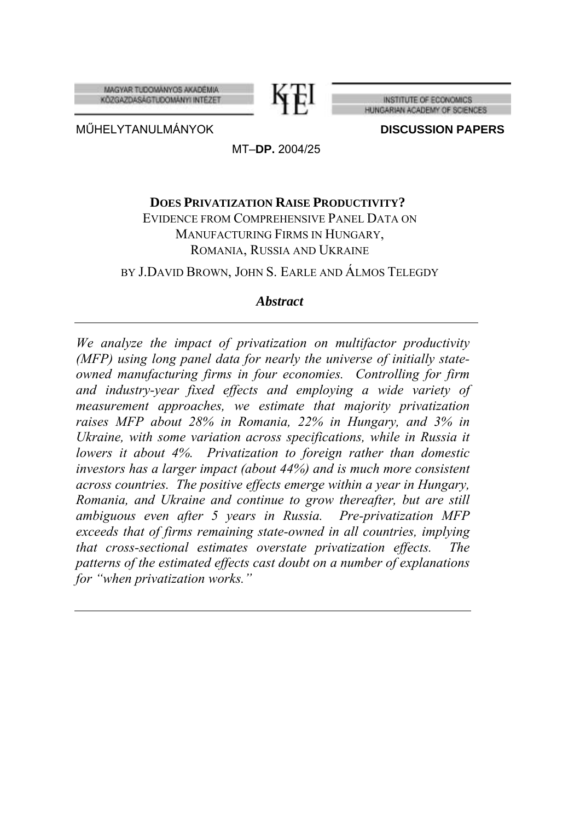MAGYAR TUDOMÁNYOS AKADÉMIA KÖZGAZDASÁGTUDOMÁNYI INTÉZET



**INSTITUTE OF ECONOMICS GARIAN ACADEMY OF SCIENCE** 

MŰHELYTANULM£NYOK **DISCUSSION PAPERS**

# MT-DP. 2004/25

# **DOES PRIVATIZATION RAISE PRODUCTIVITY?**

EVIDENCE FROM COMPREHENSIVE PANEL DATA ON MANUFACTURING FIRMS IN HUNGARY, ROMANIA, RUSSIA AND UKRAINE

BY J.DAVID BROWN, JOHN S. EARLE AND ALMOS TELEGDY

## *Abstract*

*We analyze the impact of privatization on multifactor productivity (MFP) using long panel data for nearly the universe of initially stateowned manufacturing firms in four economies. Controlling for firm and industry-year fixed effects and employing a wide variety of measurement approaches, we estimate that majority privatization raises MFP about 28% in Romania, 22% in Hungary, and 3% in Ukraine, with some variation across specifications, while in Russia it lowers it about 4%. Privatization to foreign rather than domestic investors has a larger impact (about 44%) and is much more consistent across countries. The positive effects emerge within a year in Hungary, Romania, and Ukraine and continue to grow thereafter, but are still ambiguous even after 5 years in Russia. Pre-privatization MFP exceeds that of firms remaining state-owned in all countries, implying that cross-sectional estimates overstate privatization effects. The patterns of the estimated effects cast doubt on a number of explanations for "when privatization works.*"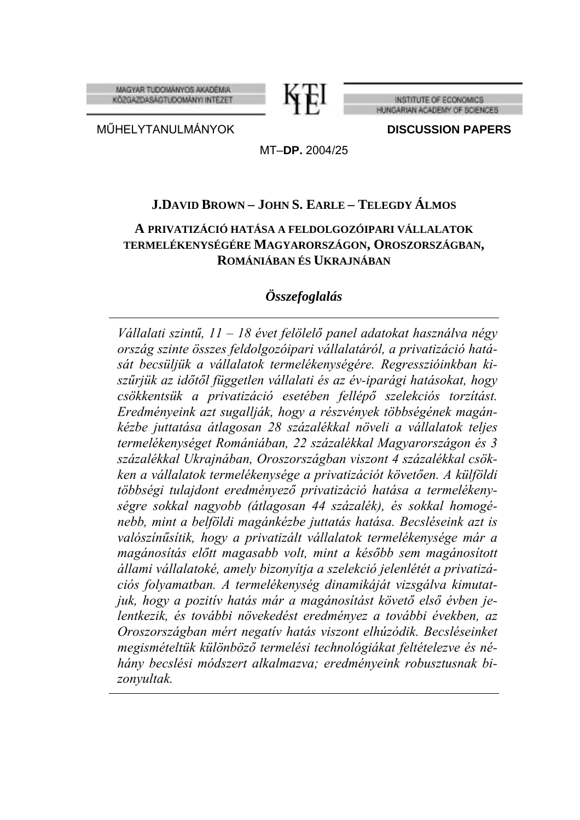MAGYAR TUDOMÁNYOS AKADÉMIA KÖZGAZDASÁGTUDOMÁNYI INTÉZET



**INSTITUTE OF ECONOMICS IGARIAN ACADEMY OF SCIENCES** 

MŰHELYTANULM£NYOK **DISCUSSION PAPERS**

## MT<sub>-DP</sub>. 2004/25

# **J.DAVID BROWN – JOHN S. EARLE – TELEGDY ÁLMOS**

# **A PRIVATIZÁCIÓ HATÁSA A FELDOLGOZÓIPARI VÁLLALATOK TERMELÉKENYSÉGÉRE MAGYARORSZÁGON, OROSZORSZÁGBAN, ROMÁNIÁBAN ÉS UKRAJNÁBAN**

# *Összefoglalás*

*Vállalati szintű, 11 – 18 évet felölelő panel adatokat használva négy ország szinte összes feldolgozóipari vállalatáról, a privatizáció hatá*sát becsüljük a vállalatok termelékenységére. Regresszióinkban ki*szűrj¸k az időtől f¸ggetlen v·llalati Ès az Èv-ipar·gi hat·sokat, hogy*  $c$ sökkentsük a privatizáció esetében fellépő szelekciós torzítást. Eredményeink azt sugallják, hogy a részvények többségének magán*kézbe juttatása átlagosan 28 százalékkal növeli a vállalatok teljes* termelékenységet Romániában, 22 százalékkal Magyarországon és 3 százalékkal Ukrajnában, Oroszországban viszont 4 százalékkal csök*ken a vállalatok termelékenysége a privatizációt követően. A külföldi többségi tulajdont eredményező privatizáció hatása a termelékeny*ségre sokkal nagyobb (átlagosan 44 százalék), és sokkal homogénebb, mint a belföldi magánkézbe juttatás hatása. Becsléseink azt is *valószínűsítik, hogy a privatizált vállalatok termelékenysége már a magánosítás előtt magasabb volt, mint a később sem magánosított ·llami v·llalatokÈ, amely bizonyÌtja a szelekciÛ jelenlÈtÈt a privatiz·* ciós folyamatban. A termelékenység dinamikáját vizsgálya kimutat*juk, hogy a pozitív hatás már a magánosítást követő első évben je*lentkezik, és további növekedést eredményez a további években, az *Oroszországban mért negatív hatás viszont elhúzódik. Becsléseinket megismételtük különböző termelési technológiákat feltételezve és né*hány becslési módszert alkalmazva; eredményeink robusztusnak bi*zonyultak.*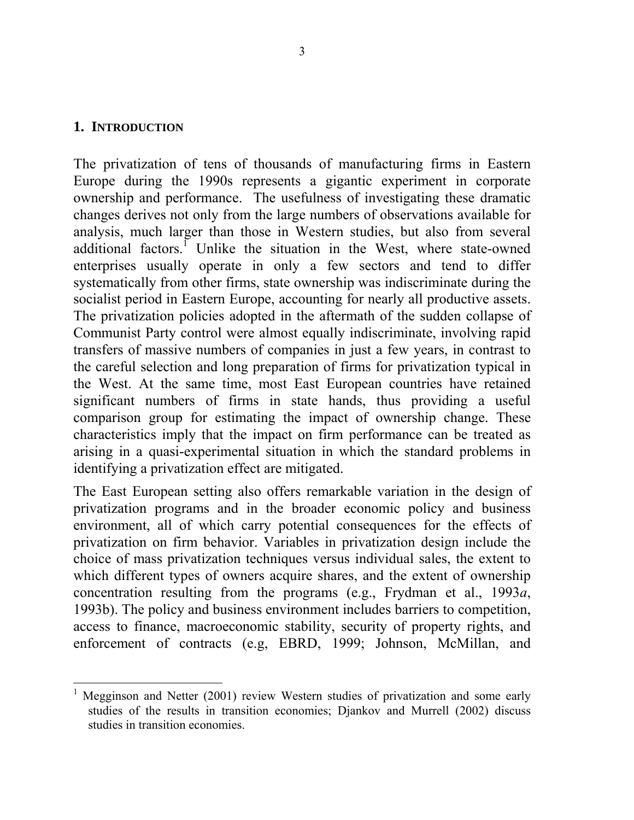## **1. INTRODUCTION**

÷

The privatization of tens of thousands of manufacturing firms in Eastern Europe during the 1990s represents a gigantic experiment in corporate ownership and performance. The usefulness of investigating these dramatic changes derives not only from the large numbers of observations available for analysis, much larger than those in Western studies, but also from several additional factors.<sup>1</sup> Unlike the situation in the West, where state-owned enterprises usually operate in only a few sectors and tend to differ systematically from other firms, state ownership was indiscriminate during the socialist period in Eastern Europe, accounting for nearly all productive assets. The privatization policies adopted in the aftermath of the sudden collapse of Communist Party control were almost equally indiscriminate, involving rapid transfers of massive numbers of companies in just a few years, in contrast to the careful selection and long preparation of firms for privatization typical in the West. At the same time, most East European countries have retained significant numbers of firms in state hands, thus providing a useful comparison group for estimating the impact of ownership change. These characteristics imply that the impact on firm performance can be treated as arising in a quasi-experimental situation in which the standard problems in identifying a privatization effect are mitigated.

The East European setting also offers remarkable variation in the design of privatization programs and in the broader economic policy and business environment, all of which carry potential consequences for the effects of privatization on firm behavior. Variables in privatization design include the choice of mass privatization techniques versus individual sales, the extent to which different types of owners acquire shares, and the extent of ownership concentration resulting from the programs (e.g., Frydman et al., 1993*a*, 1993b). The policy and business environment includes barriers to competition, access to finance, macroeconomic stability, security of property rights, and enforcement of contracts (e.g, EBRD, 1999; Johnson, McMillan, and

<sup>1</sup> Megginson and Netter (2001) review Western studies of privatization and some early studies of the results in transition economies; Djankov and Murrell (2002) discuss studies in transition economies.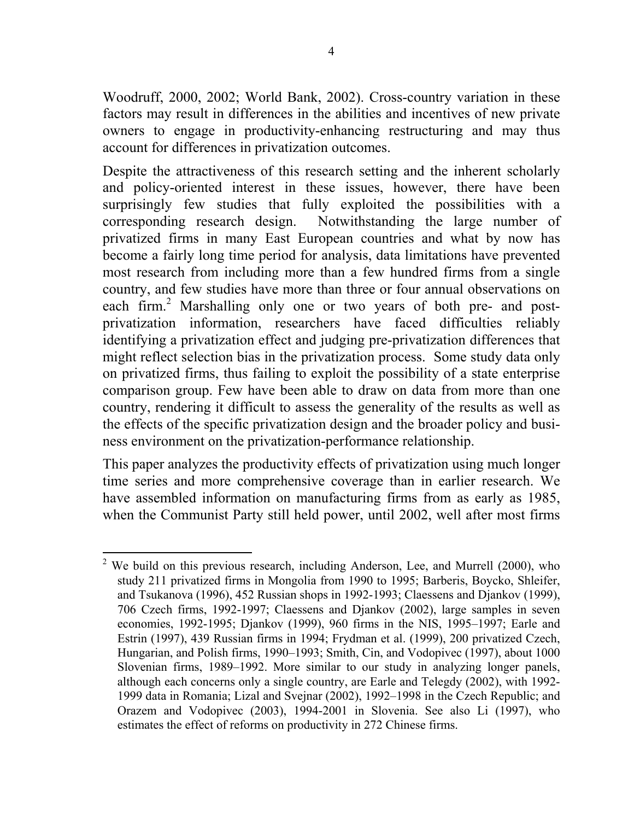Woodruff, 2000, 2002; World Bank, 2002). Cross-country variation in these factors may result in differences in the abilities and incentives of new private owners to engage in productivity-enhancing restructuring and may thus account for differences in privatization outcomes.

Despite the attractiveness of this research setting and the inherent scholarly and policy-oriented interest in these issues, however, there have been surprisingly few studies that fully exploited the possibilities with a corresponding research design. Notwithstanding the large number of privatized firms in many East European countries and what by now has become a fairly long time period for analysis, data limitations have prevented most research from including more than a few hundred firms from a single country, and few studies have more than three or four annual observations on each firm.<sup>2</sup> Marshalling only one or two years of both pre- and postprivatization information, researchers have faced difficulties reliably identifying a privatization effect and judging pre-privatization differences that might reflect selection bias in the privatization process. Some study data only on privatized firms, thus failing to exploit the possibility of a state enterprise comparison group. Few have been able to draw on data from more than one country, rendering it difficult to assess the generality of the results as well as the effects of the specific privatization design and the broader policy and business environment on the privatization-performance relationship.

This paper analyzes the productivity effects of privatization using much longer time series and more comprehensive coverage than in earlier research. We have assembled information on manufacturing firms from as early as 1985, when the Communist Party still held power, until 2002, well after most firms

 $\frac{1}{2}$ <sup>2</sup> We build on this previous research, including Anderson, Lee, and Murrell (2000), who study 211 privatized firms in Mongolia from 1990 to 1995; Barberis, Boycko, Shleifer, and Tsukanova (1996), 452 Russian shops in 1992-1993; Claessens and Djankov (1999), 706 Czech firms, 1992-1997; Claessens and Djankov (2002), large samples in seven economies, 1992-1995; Djankov (1999), 960 firms in the NIS, 1995–1997; Earle and Estrin (1997), 439 Russian firms in 1994; Frydman et al. (1999), 200 privatized Czech, Hungarian, and Polish firms, 1990–1993; Smith, Cin, and Vodopivec (1997), about 1000 Slovenian firms, 1989–1992. More similar to our study in analyzing longer panels, although each concerns only a single country, are Earle and Telegdy (2002), with 1992- 1999 data in Romania; Lizal and Sveinar  $(2002)$ , 1992–1998 in the Czech Republic; and Orazem and Vodopivec (2003), 1994-2001 in Slovenia. See also Li (1997), who estimates the effect of reforms on productivity in 272 Chinese firms.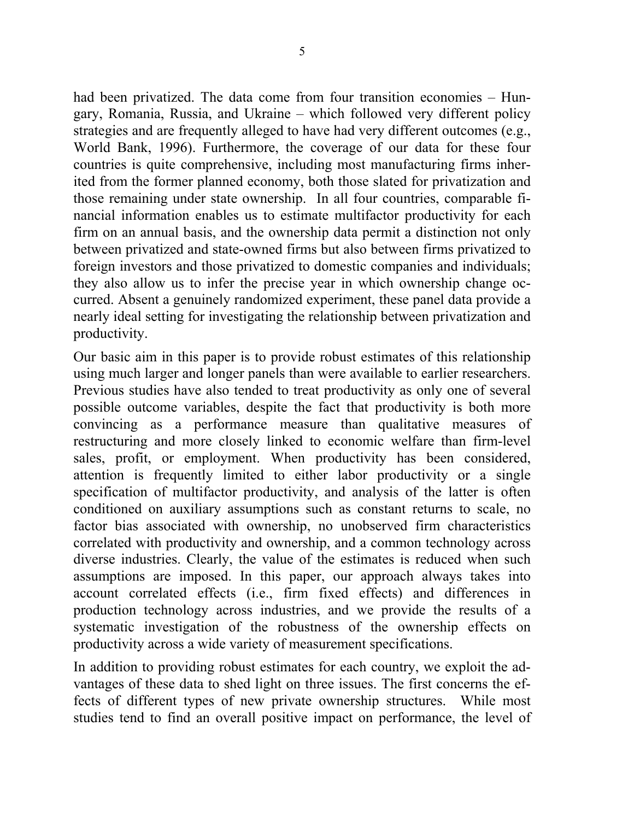had been privatized. The data come from four transition economies  $-$  Hungary, Romania, Russia, and Ukraine  $-$  which followed very different policy strategies and are frequently alleged to have had very different outcomes (e.g., World Bank, 1996). Furthermore, the coverage of our data for these four countries is quite comprehensive, including most manufacturing firms inherited from the former planned economy, both those slated for privatization and those remaining under state ownership. In all four countries, comparable financial information enables us to estimate multifactor productivity for each firm on an annual basis, and the ownership data permit a distinction not only between privatized and state-owned firms but also between firms privatized to foreign investors and those privatized to domestic companies and individuals; they also allow us to infer the precise year in which ownership change occurred. Absent a genuinely randomized experiment, these panel data provide a nearly ideal setting for investigating the relationship between privatization and productivity.

Our basic aim in this paper is to provide robust estimates of this relationship using much larger and longer panels than were available to earlier researchers. Previous studies have also tended to treat productivity as only one of several possible outcome variables, despite the fact that productivity is both more convincing as a performance measure than qualitative measures of restructuring and more closely linked to economic welfare than firm-level sales, profit, or employment. When productivity has been considered, attention is frequently limited to either labor productivity or a single specification of multifactor productivity, and analysis of the latter is often conditioned on auxiliary assumptions such as constant returns to scale, no factor bias associated with ownership, no unobserved firm characteristics correlated with productivity and ownership, and a common technology across diverse industries. Clearly, the value of the estimates is reduced when such assumptions are imposed. In this paper, our approach always takes into account correlated effects (i.e., firm fixed effects) and differences in production technology across industries, and we provide the results of a systematic investigation of the robustness of the ownership effects on productivity across a wide variety of measurement specifications.

In addition to providing robust estimates for each country, we exploit the advantages of these data to shed light on three issues. The first concerns the effects of different types of new private ownership structures. While most studies tend to find an overall positive impact on performance, the level of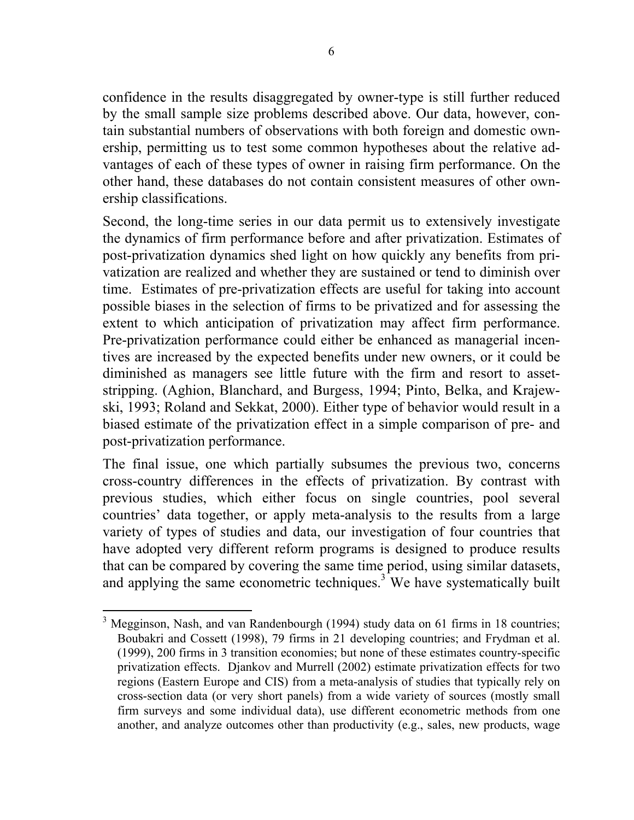confidence in the results disaggregated by owner-type is still further reduced by the small sample size problems described above. Our data, however, contain substantial numbers of observations with both foreign and domestic ownership, permitting us to test some common hypotheses about the relative advantages of each of these types of owner in raising firm performance. On the other hand, these databases do not contain consistent measures of other ownership classifications.

Second, the long-time series in our data permit us to extensively investigate the dynamics of firm performance before and after privatization. Estimates of post-privatization dynamics shed light on how quickly any benefits from privatization are realized and whether they are sustained or tend to diminish over time. Estimates of pre-privatization effects are useful for taking into account possible biases in the selection of firms to be privatized and for assessing the extent to which anticipation of privatization may affect firm performance. Pre-privatization performance could either be enhanced as managerial incentives are increased by the expected benefits under new owners, or it could be diminished as managers see little future with the firm and resort to assetstripping. (Aghion, Blanchard, and Burgess, 1994; Pinto, Belka, and Krajewski, 1993; Roland and Sekkat, 2000). Either type of behavior would result in a biased estimate of the privatization effect in a simple comparison of pre- and post-privatization performance.

The final issue, one which partially subsumes the previous two, concerns cross-country differences in the effects of privatization. By contrast with previous studies, which either focus on single countries, pool several countries' data together, or apply meta-analysis to the results from a large variety of types of studies and data, our investigation of four countries that have adopted very different reform programs is designed to produce results that can be compared by covering the same time period, using similar datasets, and applying the same econometric techniques. $3$  We have systematically built

 $\frac{1}{\sqrt{2}}$  $3$  Megginson, Nash, and van Randenbourgh (1994) study data on 61 firms in 18 countries; Boubakri and Cossett (1998), 79 firms in 21 developing countries; and Frydman et al. (1999), 200 firms in 3 transition economies; but none of these estimates country-specific privatization effects. Djankov and Murrell (2002) estimate privatization effects for two regions (Eastern Europe and CIS) from a meta-analysis of studies that typically rely on cross-section data (or very short panels) from a wide variety of sources (mostly small firm surveys and some individual data), use different econometric methods from one another, and analyze outcomes other than productivity (e.g., sales, new products, wage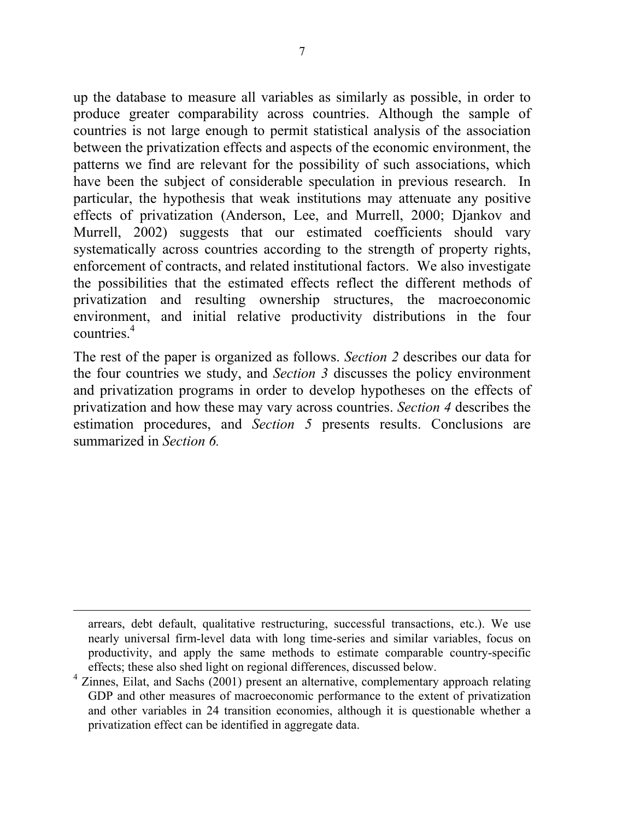up the database to measure all variables as similarly as possible, in order to produce greater comparability across countries. Although the sample of countries is not large enough to permit statistical analysis of the association between the privatization effects and aspects of the economic environment, the patterns we find are relevant for the possibility of such associations, which have been the subject of considerable speculation in previous research. In particular, the hypothesis that weak institutions may attenuate any positive effects of privatization (Anderson, Lee, and Murrell, 2000; Djankov and Murrell, 2002) suggests that our estimated coefficients should vary systematically across countries according to the strength of property rights, enforcement of contracts, and related institutional factors. We also investigate the possibilities that the estimated effects reflect the different methods of privatization and resulting ownership structures, the macroeconomic environment, and initial relative productivity distributions in the four countries  $4$ 

The rest of the paper is organized as follows. *Section 2* describes our data for the four countries we study, and *Section 3* discusses the policy environment and privatization programs in order to develop hypotheses on the effects of privatization and how these may vary across countries. *Section 4* describes the estimation procedures, and *Section 5* presents results. Conclusions are summarized in *Section 6.*

arrears, debt default, qualitative restructuring, successful transactions, etc.). We use nearly universal firm-level data with long time-series and similar variables, focus on productivity, and apply the same methods to estimate comparable country-specific effects; these also shed light on regional differences, discussed below.

 $\overline{a}$ 

<sup>&</sup>lt;sup>4</sup> Zinnes, Eilat, and Sachs (2001) present an alternative, complementary approach relating GDP and other measures of macroeconomic performance to the extent of privatization and other variables in 24 transition economies, although it is questionable whether a privatization effect can be identified in aggregate data.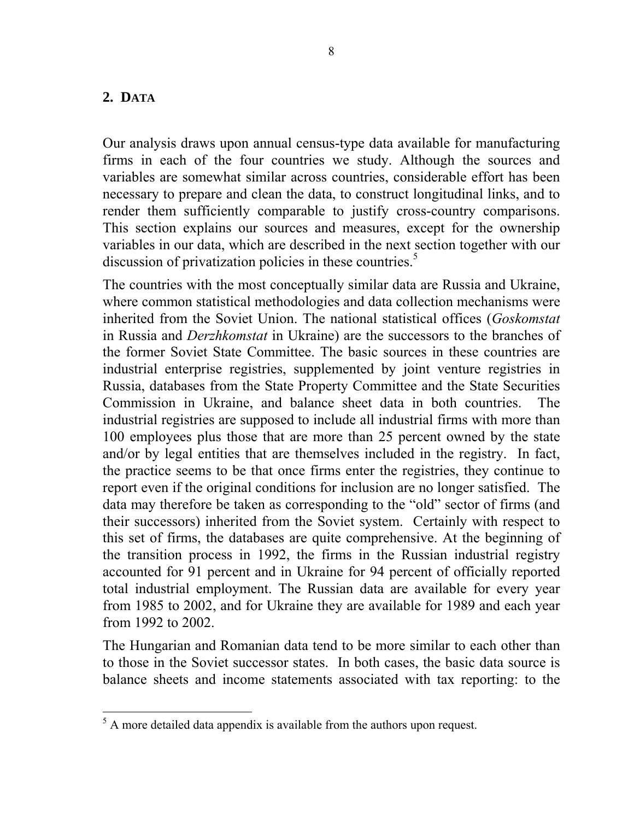# **2. DATA**

Our analysis draws upon annual census-type data available for manufacturing firms in each of the four countries we study. Although the sources and variables are somewhat similar across countries, considerable effort has been necessary to prepare and clean the data, to construct longitudinal links, and to render them sufficiently comparable to justify cross-country comparisons. This section explains our sources and measures, except for the ownership variables in our data, which are described in the next section together with our discussion of privatization policies in these countries.<sup>5</sup>

The countries with the most conceptually similar data are Russia and Ukraine, where common statistical methodologies and data collection mechanisms were inherited from the Soviet Union. The national statistical offices (*Goskomstat* in Russia and *Derzhkomstat* in Ukraine) are the successors to the branches of the former Soviet State Committee. The basic sources in these countries are industrial enterprise registries, supplemented by joint venture registries in Russia, databases from the State Property Committee and the State Securities Commission in Ukraine, and balance sheet data in both countries. The industrial registries are supposed to include all industrial firms with more than 100 employees plus those that are more than 25 percent owned by the state and/or by legal entities that are themselves included in the registry. In fact, the practice seems to be that once firms enter the registries, they continue to report even if the original conditions for inclusion are no longer satisfied. The data may therefore be taken as corresponding to the "old" sector of firms (and their successors) inherited from the Soviet system. Certainly with respect to this set of firms, the databases are quite comprehensive. At the beginning of the transition process in 1992, the firms in the Russian industrial registry accounted for 91 percent and in Ukraine for 94 percent of officially reported total industrial employment. The Russian data are available for every year from 1985 to 2002, and for Ukraine they are available for 1989 and each year from 1992 to 2002.

The Hungarian and Romanian data tend to be more similar to each other than to those in the Soviet successor states. In both cases, the basic data source is balance sheets and income statements associated with tax reporting: to the

<sup>&</sup>lt;sup>5</sup> A more detailed data appendix is available from the authors upon request.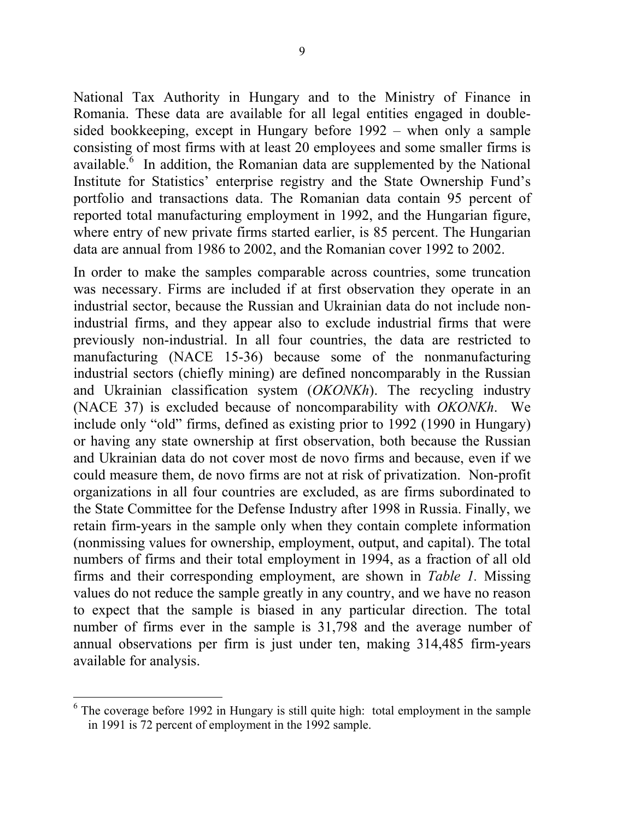National Tax Authority in Hungary and to the Ministry of Finance in Romania. These data are available for all legal entities engaged in doublesided bookkeeping, except in Hungary before  $1992 -$  when only a sample consisting of most firms with at least 20 employees and some smaller firms is available. $\epsilon$  In addition, the Romanian data are supplemented by the National Institute for Statistics' enterprise registry and the State Ownership Fund's portfolio and transactions data. The Romanian data contain 95 percent of reported total manufacturing employment in 1992, and the Hungarian figure, where entry of new private firms started earlier, is 85 percent. The Hungarian data are annual from 1986 to 2002, and the Romanian cover 1992 to 2002.

In order to make the samples comparable across countries, some truncation was necessary. Firms are included if at first observation they operate in an industrial sector, because the Russian and Ukrainian data do not include nonindustrial firms, and they appear also to exclude industrial firms that were previously non-industrial. In all four countries, the data are restricted to manufacturing (NACE 15-36) because some of the nonmanufacturing industrial sectors (chiefly mining) are defined noncomparably in the Russian and Ukrainian classification system (*OKONKh*). The recycling industry (NACE 37) is excluded because of noncomparability with *OKONKh*. We include only "old" firms, defined as existing prior to 1992 (1990 in Hungary) or having any state ownership at first observation, both because the Russian and Ukrainian data do not cover most de novo firms and because, even if we could measure them, de novo firms are not at risk of privatization. Non-profit organizations in all four countries are excluded, as are firms subordinated to the State Committee for the Defense Industry after 1998 in Russia. Finally, we retain firm-years in the sample only when they contain complete information (nonmissing values for ownership, employment, output, and capital). The total numbers of firms and their total employment in 1994, as a fraction of all old firms and their corresponding employment, are shown in *Table 1.* Missing values do not reduce the sample greatly in any country, and we have no reason to expect that the sample is biased in any particular direction. The total number of firms ever in the sample is 31,798 and the average number of annual observations per firm is just under ten, making 314,485 firm-years available for analysis.

<sup>÷</sup> <sup>6</sup> The coverage before 1992 in Hungary is still quite high: total employment in the sample in 1991 is 72 percent of employment in the 1992 sample.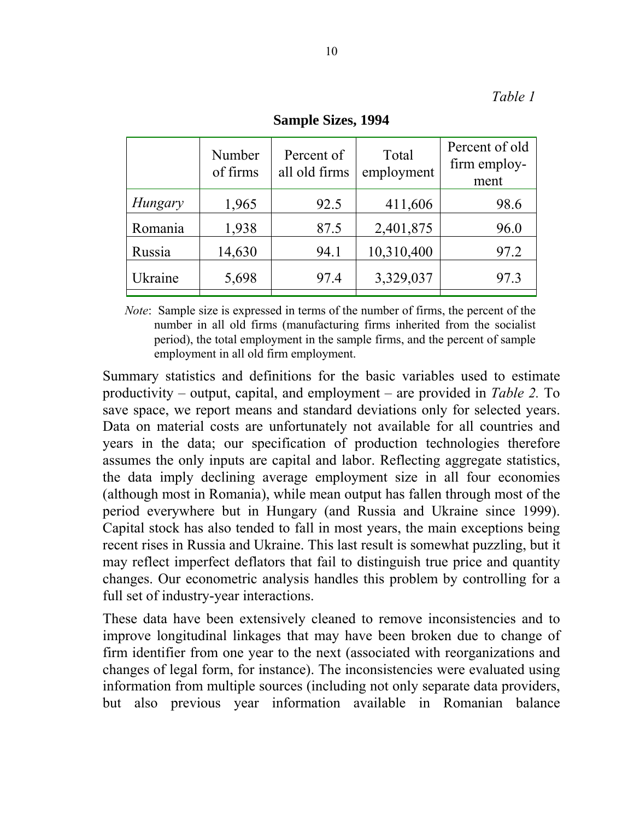# *Table 1*

|         | Number<br>of firms | Percent of<br>all old firms | Total<br>employment | Percent of old<br>firm employ-<br>ment |
|---------|--------------------|-----------------------------|---------------------|----------------------------------------|
| Hungary | 1,965              | 92.5                        | 411,606             | 98.6                                   |
| Romania | 1,938              | 87.5                        | 2,401,875           | 96.0                                   |
| Russia  | 14,630             | 94.1                        | 10,310,400          | 97.2                                   |
| Ukraine | 5,698              | 97.4                        | 3,329,037           | 97.3                                   |

**Sample Sizes, 1994**

*Note*: Sample size is expressed in terms of the number of firms, the percent of the number in all old firms (manufacturing firms inherited from the socialist period), the total employment in the sample firms, and the percent of sample employment in all old firm employment.

Summary statistics and definitions for the basic variables used to estimate productivity – output, capital, and employment – are provided in *Table 2*. To save space, we report means and standard deviations only for selected years. Data on material costs are unfortunately not available for all countries and years in the data; our specification of production technologies therefore assumes the only inputs are capital and labor. Reflecting aggregate statistics, the data imply declining average employment size in all four economies (although most in Romania), while mean output has fallen through most of the period everywhere but in Hungary (and Russia and Ukraine since 1999). Capital stock has also tended to fall in most years, the main exceptions being recent rises in Russia and Ukraine. This last result is somewhat puzzling, but it may reflect imperfect deflators that fail to distinguish true price and quantity changes. Our econometric analysis handles this problem by controlling for a full set of industry-year interactions.

These data have been extensively cleaned to remove inconsistencies and to improve longitudinal linkages that may have been broken due to change of firm identifier from one year to the next (associated with reorganizations and changes of legal form, for instance). The inconsistencies were evaluated using information from multiple sources (including not only separate data providers, but also previous year information available in Romanian balance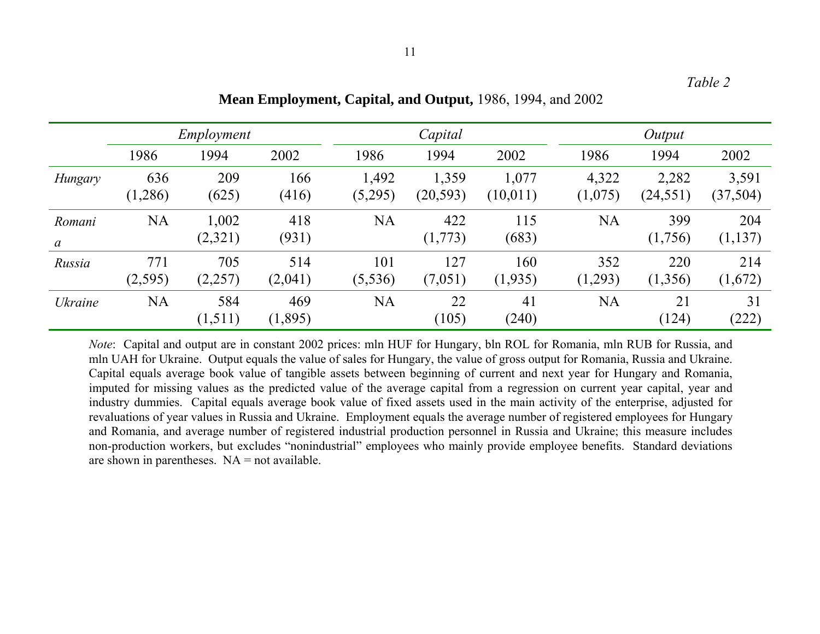| Table |
|-------|
|-------|

|                         |                 | Employment       |                |                  | Capital            |                    |                  | Output             |                    |
|-------------------------|-----------------|------------------|----------------|------------------|--------------------|--------------------|------------------|--------------------|--------------------|
|                         | 1986            | 1994             | 2002           | 1986             | 1994               | 2002               | 1986             | 1994               | 2002               |
| Hungary                 | 636<br>(1,286)  | 209<br>(625)     | 166<br>(416)   | 1,492<br>(5,295) | 1,359<br>(20, 593) | 1,077<br>(10, 011) | 4,322<br>(1,075) | 2,282<br>(24, 551) | 3,591<br>(37, 504) |
| Romani<br>$\mathfrak a$ | <b>NA</b>       | 1,002<br>(2,321) | 418<br>(931)   | <b>NA</b>        | 422<br>(1,773)     | 115<br>(683)       | <b>NA</b>        | 399<br>(1,756)     | 204<br>(1, 137)    |
| Russia                  | 771<br>(2, 595) | 705<br>(2, 257)  | 514<br>(2,041) | 101<br>(5, 536)  | 127<br>(7,051)     | 160<br>(1,935)     | 352<br>(1,293)   | 220<br>(1,356)     | 214<br>(1,672)     |
| <i>Ukraine</i>          | <b>NA</b>       | 584<br>(1,511)   | 469<br>(1,895) | <b>NA</b>        | 22<br>(105)        | 41<br>(240)        | <b>NA</b>        | 21<br>(124)        | 31<br>(222)        |

**Mean Employment, Capital, and Output,** 1986, 1994, and 2002

*Note*: Capital and output are in constant 2002 prices: mln HUF for Hungary, bln ROL for Romania, mln RUB for Russia, and mln UAH for Ukraine. Output equals the value of sales for Hungary, the value of gross output for Romania, Russia and Ukraine. Capital equals average book value of tangible assets between beginning of current and next year for Hungary and Romania, imputed for missing values as the predicted value of the average capital from a regression on current year capital, year and industry dummies. Capital equals average book value of fixed assets used in the main activity of the enterprise, adjusted for revaluations of year values in Russia and Ukraine. Employment equals the average number of registered employees for Hungary and Romania, and average number of registered industrial production personnel in Russia and Ukraine; this measure includes non-production workers, but excludes "nonindustrial" employees who mainly provide employee benefits. Standard deviations are shown in parentheses.  $NA = not available$ .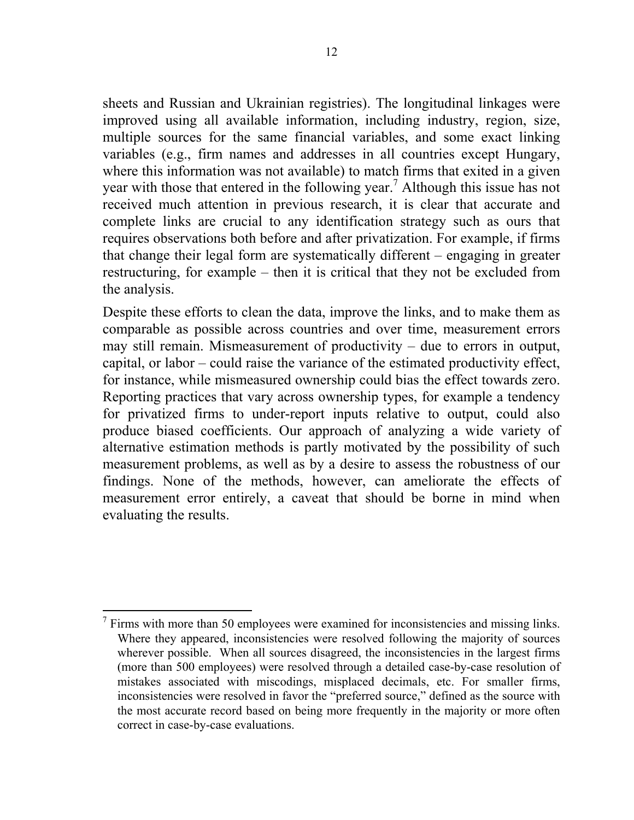sheets and Russian and Ukrainian registries). The longitudinal linkages were improved using all available information, including industry, region, size, multiple sources for the same financial variables, and some exact linking variables (e.g., firm names and addresses in all countries except Hungary, where this information was not available) to match firms that exited in a given year with those that entered in the following year.<sup>7</sup> Although this issue has not received much attention in previous research, it is clear that accurate and complete links are crucial to any identification strategy such as ours that requires observations both before and after privatization. For example, if firms that change their legal form are systematically different  $-$  engaging in greater restructuring, for example  $-$  then it is critical that they not be excluded from the analysis.

Despite these efforts to clean the data, improve the links, and to make them as comparable as possible across countries and over time, measurement errors may still remain. Mismeasurement of productivity  $-$  due to errors in output, capital, or labor  $-\text{could raise the variance of the estimated productivity effect,}$ for instance, while mismeasured ownership could bias the effect towards zero. Reporting practices that vary across ownership types, for example a tendency for privatized firms to under-report inputs relative to output, could also produce biased coefficients. Our approach of analyzing a wide variety of alternative estimation methods is partly motivated by the possibility of such measurement problems, as well as by a desire to assess the robustness of our findings. None of the methods, however, can ameliorate the effects of measurement error entirely, a caveat that should be borne in mind when evaluating the results.

 $\frac{1}{2}$  $7$  Firms with more than 50 employees were examined for inconsistencies and missing links. Where they appeared, inconsistencies were resolved following the majority of sources wherever possible. When all sources disagreed, the inconsistencies in the largest firms (more than 500 employees) were resolved through a detailed case-by-case resolution of mistakes associated with miscodings, misplaced decimals, etc. For smaller firms, inconsistencies were resolved in favor the "preferred source," defined as the source with the most accurate record based on being more frequently in the majority or more often correct in case-by-case evaluations.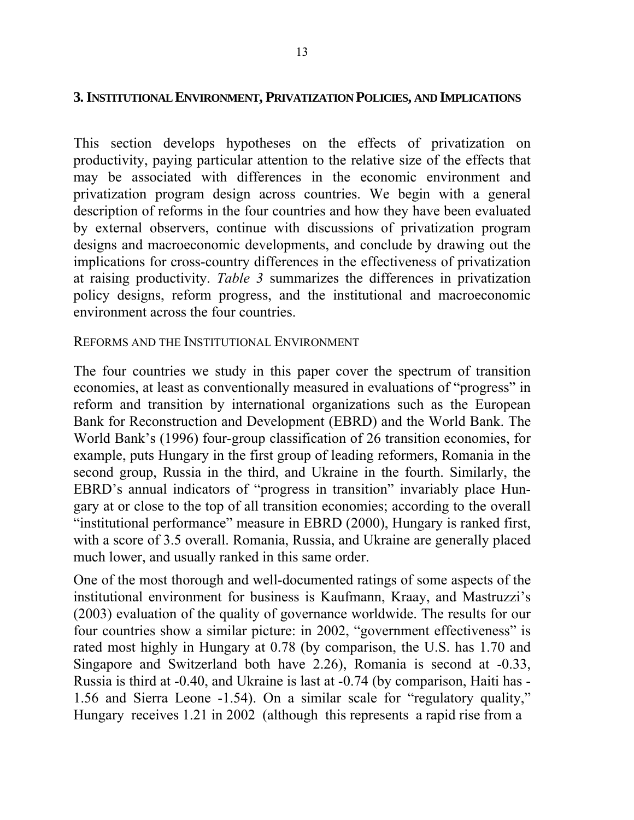# **3. INSTITUTIONAL ENVIRONMENT, PRIVATIZATION POLICIES, AND IMPLICATIONS**

This section develops hypotheses on the effects of privatization on productivity, paying particular attention to the relative size of the effects that may be associated with differences in the economic environment and privatization program design across countries. We begin with a general description of reforms in the four countries and how they have been evaluated by external observers, continue with discussions of privatization program designs and macroeconomic developments, and conclude by drawing out the implications for cross-country differences in the effectiveness of privatization at raising productivity. *Table 3* summarizes the differences in privatization policy designs, reform progress, and the institutional and macroeconomic environment across the four countries.

REFORMS AND THE INSTITUTIONAL ENVIRONMENT

The four countries we study in this paper cover the spectrum of transition economies, at least as conventionally measured in evaluations of "progress" in reform and transition by international organizations such as the European Bank for Reconstruction and Development (EBRD) and the World Bank. The World Bank's (1996) four-group classification of 26 transition economies, for example, puts Hungary in the first group of leading reformers, Romania in the second group, Russia in the third, and Ukraine in the fourth. Similarly, the EBRD's annual indicators of "progress in transition" invariably place Hungary at or close to the top of all transition economies; according to the overall "institutional performance" measure in EBRD (2000), Hungary is ranked first, with a score of 3.5 overall. Romania, Russia, and Ukraine are generally placed much lower, and usually ranked in this same order.

One of the most thorough and well-documented ratings of some aspects of the institutional environment for business is Kaufmann, Kraay, and Mastruzzi's (2003) evaluation of the quality of governance worldwide. The results for our four countries show a similar picture: in 2002, "government effectiveness" is rated most highly in Hungary at 0.78 (by comparison, the U.S. has 1.70 and Singapore and Switzerland both have 2.26), Romania is second at -0.33, Russia is third at -0.40, and Ukraine is last at -0.74 (by comparison, Haiti has - 1.56 and Sierra Leone  $-1.54$ ). On a similar scale for "regulatory quality," Hungary receives 1.21 in 2002 (although this represents a rapid rise from a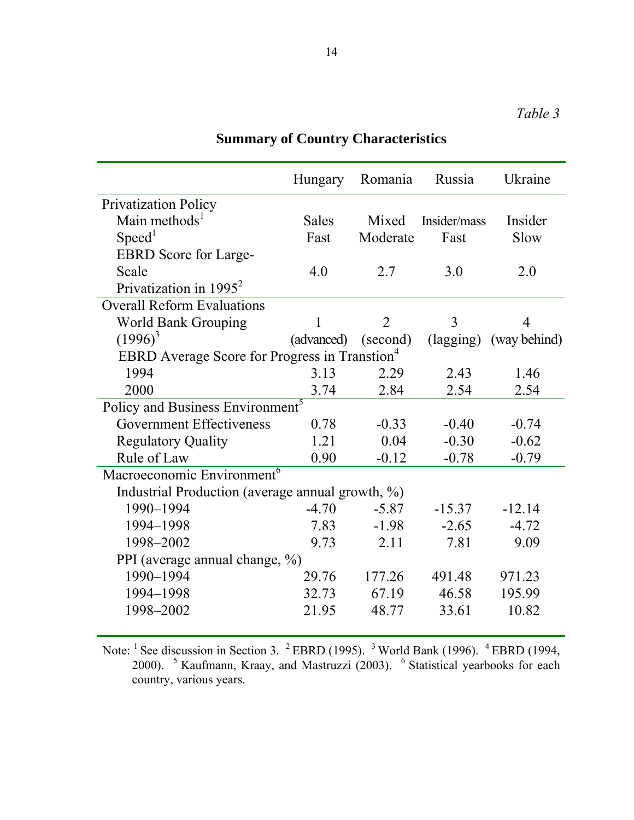|                                                           | Hungary      | Romania        | Russia       | Ukraine                |
|-----------------------------------------------------------|--------------|----------------|--------------|------------------------|
| <b>Privatization Policy</b>                               |              |                |              |                        |
| Main methods <sup>1</sup>                                 | <b>Sales</b> | Mixed          | Insider/mass | Insider                |
| Speed <sup>1</sup>                                        | Fast         | Moderate       | Fast         | Slow                   |
| <b>EBRD</b> Score for Large-                              |              |                |              |                        |
| Scale                                                     | 4.0          | 2.7            | 3.0          | 2.0                    |
| Privatization in $1995^2$                                 |              |                |              |                        |
| <b>Overall Reform Evaluations</b>                         |              |                |              |                        |
| <b>World Bank Grouping</b>                                | 1            | $\overline{2}$ | 3            | 4                      |
| $(1996)^3$                                                | (advanced)   | (second)       |              | (lagging) (way behind) |
| EBRD Average Score for Progress in Transtion <sup>4</sup> |              |                |              |                        |
| 1994                                                      | 3.13         | 2.29           | 2.43         | 1.46                   |
| 2000                                                      | 3.74         | 2.84           | 2.54         | 2.54                   |
| Policy and Business Environment <sup>5</sup>              |              |                |              |                        |
| <b>Government Effectiveness</b>                           | 0.78         | $-0.33$        | $-0.40$      | $-0.74$                |
| <b>Regulatory Quality</b>                                 | 1.21         | 0.04           | $-0.30$      | $-0.62$                |
| Rule of Law                                               | 0.90         | $-0.12$        | $-0.78$      | $-0.79$                |
| Macroeconomic Environment <sup>6</sup>                    |              |                |              |                        |
| Industrial Production (average annual growth, %)          |              |                |              |                        |
| 1990-1994                                                 | $-4.70$      | $-5.87$        | $-15.37$     | $-12.14$               |
| 1994-1998                                                 | 7.83         | $-1.98$        | $-2.65$      | $-4.72$                |
| 1998-2002                                                 | 9.73         | 2.11           | 7.81         | 9.09                   |
| PPI (average annual change, %)                            |              |                |              |                        |
| 1990-1994                                                 | 29.76        | 177.26         | 491.48       | 971.23                 |
| 1994-1998                                                 | 32.73        | 67.19          | 46.58        | 195.99                 |
| 1998-2002                                                 | 21.95        | 48.77          | 33.61        | 10.82                  |
|                                                           |              |                |              |                        |

# **Summary of Country Characteristics**

Note:  $^1$  See discussion in Section 3.  $^2$  EBRD (1995).  $^3$  World Bank (1996).  $^4$  EBRD (1994, 2000). <sup>5</sup> Kaufmann, Kraay, and Mastruzzi (2003). <sup>6</sup> Statistical yearbooks for each country, various years.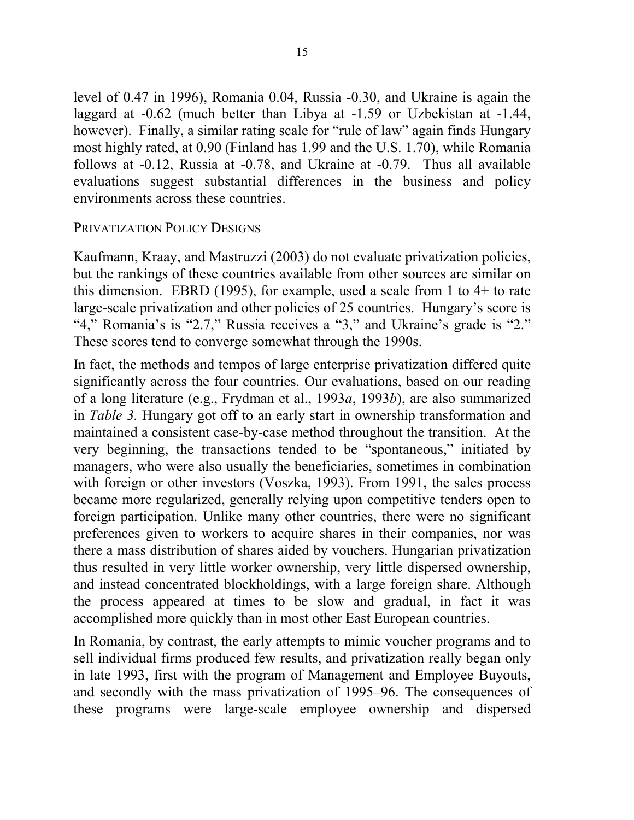level of 0.47 in 1996), Romania 0.04, Russia -0.30, and Ukraine is again the laggard at -0.62 (much better than Libya at -1.59 or Uzbekistan at -1.44, however). Finally, a similar rating scale for "rule of law" again finds Hungary most highly rated, at 0.90 (Finland has 1.99 and the U.S. 1.70), while Romania follows at -0.12, Russia at -0.78, and Ukraine at -0.79. Thus all available evaluations suggest substantial differences in the business and policy environments across these countries.

## PRIVATIZATION POLICY DESIGNS

Kaufmann, Kraay, and Mastruzzi (2003) do not evaluate privatization policies, but the rankings of these countries available from other sources are similar on this dimension. EBRD (1995), for example, used a scale from 1 to 4+ to rate large-scale privatization and other policies of 25 countries. Hungary's score is " $4$ ," Romania's is "2.7," Russia receives a "3," and Ukraine's grade is "2." These scores tend to converge somewhat through the 1990s.

In fact, the methods and tempos of large enterprise privatization differed quite significantly across the four countries. Our evaluations, based on our reading of a long literature (e.g., Frydman et al., 1993*a*, 1993*b*), are also summarized in *Table 3.* Hungary got off to an early start in ownership transformation and maintained a consistent case-by-case method throughout the transition. At the very beginning, the transactions tended to be "spontaneous," initiated by managers, who were also usually the beneficiaries, sometimes in combination with foreign or other investors (Voszka, 1993). From 1991, the sales process became more regularized, generally relying upon competitive tenders open to foreign participation. Unlike many other countries, there were no significant preferences given to workers to acquire shares in their companies, nor was there a mass distribution of shares aided by vouchers. Hungarian privatization thus resulted in very little worker ownership, very little dispersed ownership, and instead concentrated blockholdings, with a large foreign share. Although the process appeared at times to be slow and gradual, in fact it was accomplished more quickly than in most other East European countries.

In Romania, by contrast, the early attempts to mimic voucher programs and to sell individual firms produced few results, and privatization really began only in late 1993, first with the program of Management and Employee Buyouts, and secondly with the mass privatization of 1995–96. The consequences of these programs were large-scale employee ownership and dispersed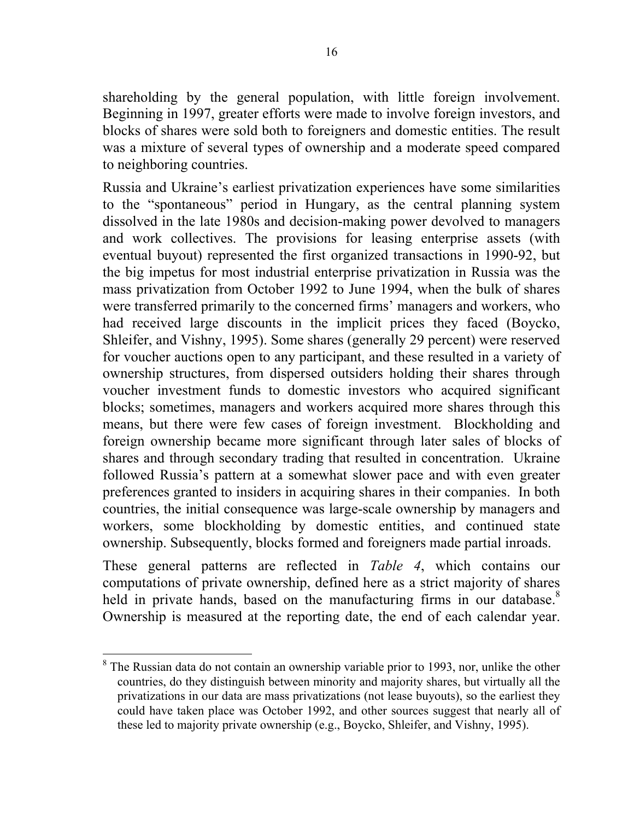shareholding by the general population, with little foreign involvement. Beginning in 1997, greater efforts were made to involve foreign investors, and blocks of shares were sold both to foreigners and domestic entities. The result was a mixture of several types of ownership and a moderate speed compared to neighboring countries.

Russia and Ukraine's earliest privatization experiences have some similarities to the "spontaneous" period in Hungary, as the central planning system dissolved in the late 1980s and decision-making power devolved to managers and work collectives. The provisions for leasing enterprise assets (with eventual buyout) represented the first organized transactions in 1990-92, but the big impetus for most industrial enterprise privatization in Russia was the mass privatization from October 1992 to June 1994, when the bulk of shares were transferred primarily to the concerned firms' managers and workers, who had received large discounts in the implicit prices they faced (Boycko, Shleifer, and Vishny, 1995). Some shares (generally 29 percent) were reserved for voucher auctions open to any participant, and these resulted in a variety of ownership structures, from dispersed outsiders holding their shares through voucher investment funds to domestic investors who acquired significant blocks; sometimes, managers and workers acquired more shares through this means, but there were few cases of foreign investment. Blockholding and foreign ownership became more significant through later sales of blocks of shares and through secondary trading that resulted in concentration. Ukraine followed Russia's pattern at a somewhat slower pace and with even greater preferences granted to insiders in acquiring shares in their companies. In both countries, the initial consequence was large-scale ownership by managers and workers, some blockholding by domestic entities, and continued state ownership. Subsequently, blocks formed and foreigners made partial inroads.

These general patterns are reflected in *Table 4*, which contains our computations of private ownership, defined here as a strict majority of shares held in private hands, based on the manufacturing firms in our database.<sup>8</sup> Ownership is measured at the reporting date, the end of each calendar year.

 $\frac{1}{\sqrt{2}}$ 8 The Russian data do not contain an ownership variable prior to 1993, nor, unlike the other countries, do they distinguish between minority and majority shares, but virtually all the privatizations in our data are mass privatizations (not lease buyouts), so the earliest they could have taken place was October 1992, and other sources suggest that nearly all of these led to majority private ownership (e.g., Boycko, Shleifer, and Vishny, 1995).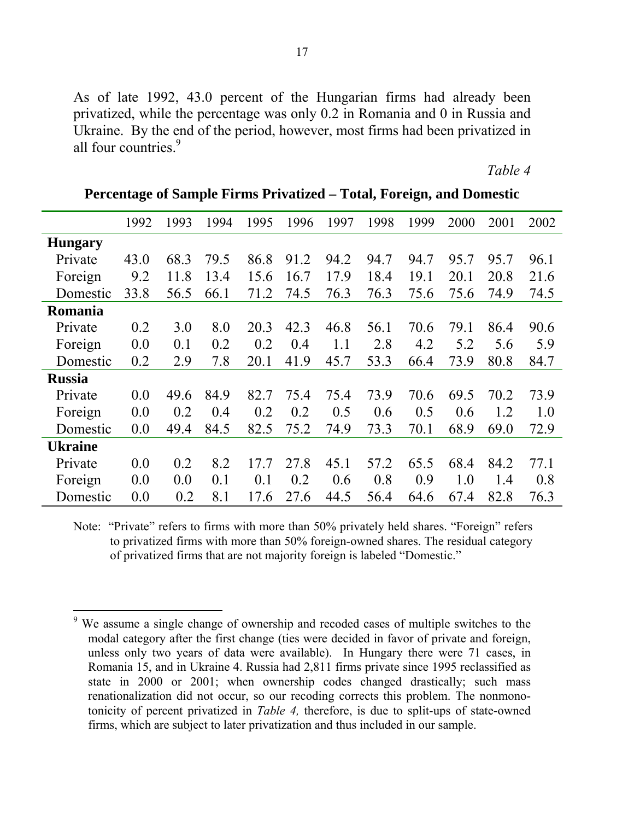As of late 1992, 43.0 percent of the Hungarian firms had already been privatized, while the percentage was only 0.2 in Romania and 0 in Russia and Ukraine. By the end of the period, however, most firms had been privatized in all four countries.<sup>9</sup>

*Table 4*

|                | 1992 | 1993 | 1994 | 1995 | 1996 | 1997 | 1998 | 1999 | 2000 | 2001 | 2002 |
|----------------|------|------|------|------|------|------|------|------|------|------|------|
| <b>Hungary</b> |      |      |      |      |      |      |      |      |      |      |      |
| Private        | 43.0 | 68.3 | 79.5 | 86.8 | 91.2 | 94.2 | 94.7 | 94.7 | 95.7 | 95.7 | 96.1 |
| Foreign        | 9.2  | 11.8 | 13.4 | 15.6 | 16.7 | 17.9 | 18.4 | 19.1 | 20.1 | 20.8 | 21.6 |
| Domestic       | 33.8 | 56.5 | 66.1 | 71.2 | 74.5 | 76.3 | 76.3 | 75.6 | 75.6 | 74.9 | 74.5 |
| <b>Romania</b> |      |      |      |      |      |      |      |      |      |      |      |
| Private        | 0.2  | 3.0  | 8.0  | 20.3 | 42.3 | 46.8 | 56.1 | 70.6 | 79.1 | 86.4 | 90.6 |
| Foreign        | 0.0  | 0.1  | 0.2  | 0.2  | 0.4  | 1.1  | 2.8  | 4.2  | 5.2  | 5.6  | 5.9  |
| Domestic       | 0.2  | 2.9  | 7.8  | 20.1 | 41.9 | 45.7 | 53.3 | 66.4 | 73.9 | 80.8 | 84.7 |
| <b>Russia</b>  |      |      |      |      |      |      |      |      |      |      |      |
| Private        | 0.0  | 49.6 | 84.9 | 82.7 | 75.4 | 75.4 | 73.9 | 70.6 | 69.5 | 70.2 | 73.9 |
| Foreign        | 0.0  | 0.2  | 0.4  | 0.2  | 0.2  | 0.5  | 0.6  | 0.5  | 0.6  | 1.2  | 1.0  |
| Domestic       | 0.0  | 49.4 | 84.5 | 82.5 | 75.2 | 74.9 | 73.3 | 70.1 | 68.9 | 69.0 | 72.9 |
| <b>Ukraine</b> |      |      |      |      |      |      |      |      |      |      |      |
| Private        | 0.0  | 0.2  | 8.2  | 17.7 | 27.8 | 45.1 | 57.2 | 65.5 | 68.4 | 84.2 | 77.1 |
| Foreign        | 0.0  | 0.0  | 0.1  | 0.1  | 0.2  | 0.6  | 0.8  | 0.9  | 1.0  | 1.4  | 0.8  |
| Domestic       | 0.0  | 0.2  | 8.1  | 17.6 | 27.6 | 44.5 | 56.4 | 64.6 | 67.4 | 82.8 | 76.3 |

**Percentage of Sample Firms Privatized – Total, Foreign, and Domestic**

Note: "Private" refers to firms with more than 50% privately held shares. "Foreign" refers to privatized firms with more than 50% foreign-owned shares. The residual category of privatized firms that are not majority foreign is labeled "Domestic."

 $\frac{1}{\sqrt{2}}$ 9 We assume a single change of ownership and recoded cases of multiple switches to the modal category after the first change (ties were decided in favor of private and foreign, unless only two years of data were available). In Hungary there were 71 cases, in Romania 15, and in Ukraine 4. Russia had 2,811 firms private since 1995 reclassified as state in 2000 or 2001; when ownership codes changed drastically; such mass renationalization did not occur, so our recoding corrects this problem. The nonmonotonicity of percent privatized in *Table 4,* therefore, is due to split-ups of state-owned firms, which are subject to later privatization and thus included in our sample.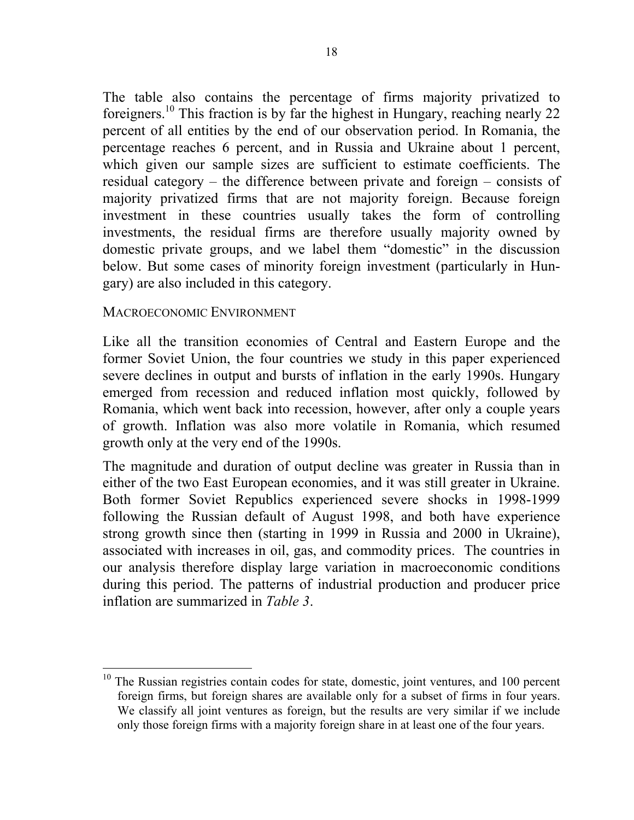The table also contains the percentage of firms majority privatized to foreigners.10 This fraction is by far the highest in Hungary, reaching nearly 22 percent of all entities by the end of our observation period. In Romania, the percentage reaches 6 percent, and in Russia and Ukraine about 1 percent, which given our sample sizes are sufficient to estimate coefficients. The residual category – the difference between private and foreign  $-$  consists of majority privatized firms that are not majority foreign. Because foreign investment in these countries usually takes the form of controlling investments, the residual firms are therefore usually majority owned by domestic private groups, and we label them "domestic" in the discussion below. But some cases of minority foreign investment (particularly in Hungary) are also included in this category.

## MACROECONOMIC ENVIRONMENT

Like all the transition economies of Central and Eastern Europe and the former Soviet Union, the four countries we study in this paper experienced severe declines in output and bursts of inflation in the early 1990s. Hungary emerged from recession and reduced inflation most quickly, followed by Romania, which went back into recession, however, after only a couple years of growth. Inflation was also more volatile in Romania, which resumed growth only at the very end of the 1990s.

The magnitude and duration of output decline was greater in Russia than in either of the two East European economies, and it was still greater in Ukraine. Both former Soviet Republics experienced severe shocks in 1998-1999 following the Russian default of August 1998, and both have experience strong growth since then (starting in 1999 in Russia and 2000 in Ukraine), associated with increases in oil, gas, and commodity prices. The countries in our analysis therefore display large variation in macroeconomic conditions during this period. The patterns of industrial production and producer price inflation are summarized in *Table 3*.

 $\frac{1}{\sqrt{2}}$  $10$  The Russian registries contain codes for state, domestic, joint ventures, and 100 percent foreign firms, but foreign shares are available only for a subset of firms in four years. We classify all joint ventures as foreign, but the results are very similar if we include only those foreign firms with a majority foreign share in at least one of the four years.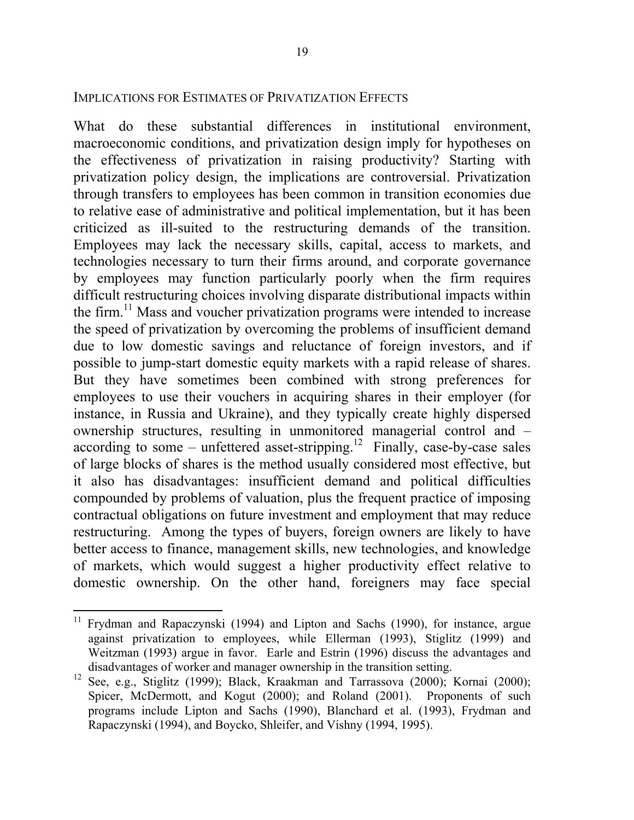## IMPLICATIONS FOR ESTIMATES OF PRIVATIZATION EFFECTS

What do these substantial differences in institutional environment, macroeconomic conditions, and privatization design imply for hypotheses on the effectiveness of privatization in raising productivity? Starting with privatization policy design, the implications are controversial. Privatization through transfers to employees has been common in transition economies due to relative ease of administrative and political implementation, but it has been criticized as ill-suited to the restructuring demands of the transition. Employees may lack the necessary skills, capital, access to markets, and technologies necessary to turn their firms around, and corporate governance by employees may function particularly poorly when the firm requires difficult restructuring choices involving disparate distributional impacts within the firm.11 Mass and voucher privatization programs were intended to increase the speed of privatization by overcoming the problems of insufficient demand due to low domestic savings and reluctance of foreign investors, and if possible to jump-start domestic equity markets with a rapid release of shares. But they have sometimes been combined with strong preferences for employees to use their vouchers in acquiring shares in their employer (for instance, in Russia and Ukraine), and they typically create highly dispersed ownership structures, resulting in unmonitored managerial control and  $$ according to some – unfettered asset-stripping.<sup>12</sup> Finally, case-by-case sales of large blocks of shares is the method usually considered most effective, but it also has disadvantages: insufficient demand and political difficulties compounded by problems of valuation, plus the frequent practice of imposing contractual obligations on future investment and employment that may reduce restructuring. Among the types of buyers, foreign owners are likely to have better access to finance, management skills, new technologies, and knowledge of markets, which would suggest a higher productivity effect relative to domestic ownership. On the other hand, foreigners may face special

 $11$ 11 Frydman and Rapaczynski (1994) and Lipton and Sachs (1990), for instance, argue against privatization to employees, while Ellerman (1993), Stiglitz (1999) and Weitzman (1993) argue in favor. Earle and Estrin (1996) discuss the advantages and disadvantages of worker and manager ownership in the transition setting.

<sup>12</sup> See, e.g., Stiglitz (1999); Black, Kraakman and Tarrassova (2000); Kornai (2000); Spicer, McDermott, and Kogut (2000); and Roland (2001). Proponents of such programs include Lipton and Sachs (1990), Blanchard et al. (1993), Frydman and Rapaczynski (1994), and Boycko, Shleifer, and Vishny (1994, 1995).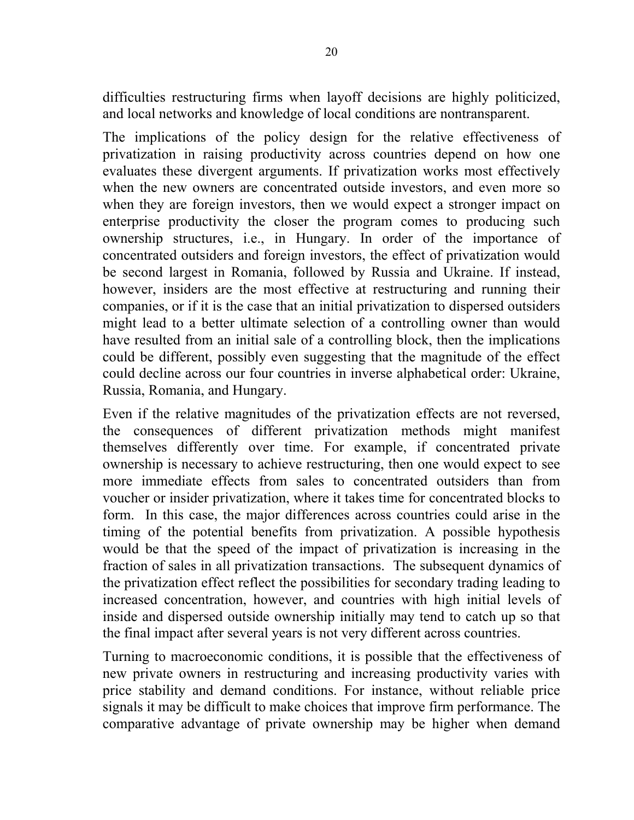difficulties restructuring firms when layoff decisions are highly politicized, and local networks and knowledge of local conditions are nontransparent.

The implications of the policy design for the relative effectiveness of privatization in raising productivity across countries depend on how one evaluates these divergent arguments. If privatization works most effectively when the new owners are concentrated outside investors, and even more so when they are foreign investors, then we would expect a stronger impact on enterprise productivity the closer the program comes to producing such ownership structures, i.e., in Hungary. In order of the importance of concentrated outsiders and foreign investors, the effect of privatization would be second largest in Romania, followed by Russia and Ukraine. If instead, however, insiders are the most effective at restructuring and running their companies, or if it is the case that an initial privatization to dispersed outsiders might lead to a better ultimate selection of a controlling owner than would have resulted from an initial sale of a controlling block, then the implications could be different, possibly even suggesting that the magnitude of the effect could decline across our four countries in inverse alphabetical order: Ukraine, Russia, Romania, and Hungary.

Even if the relative magnitudes of the privatization effects are not reversed, the consequences of different privatization methods might manifest themselves differently over time. For example, if concentrated private ownership is necessary to achieve restructuring, then one would expect to see more immediate effects from sales to concentrated outsiders than from voucher or insider privatization, where it takes time for concentrated blocks to form. In this case, the major differences across countries could arise in the timing of the potential benefits from privatization. A possible hypothesis would be that the speed of the impact of privatization is increasing in the fraction of sales in all privatization transactions. The subsequent dynamics of the privatization effect reflect the possibilities for secondary trading leading to increased concentration, however, and countries with high initial levels of inside and dispersed outside ownership initially may tend to catch up so that the final impact after several years is not very different across countries.

Turning to macroeconomic conditions, it is possible that the effectiveness of new private owners in restructuring and increasing productivity varies with price stability and demand conditions. For instance, without reliable price signals it may be difficult to make choices that improve firm performance. The comparative advantage of private ownership may be higher when demand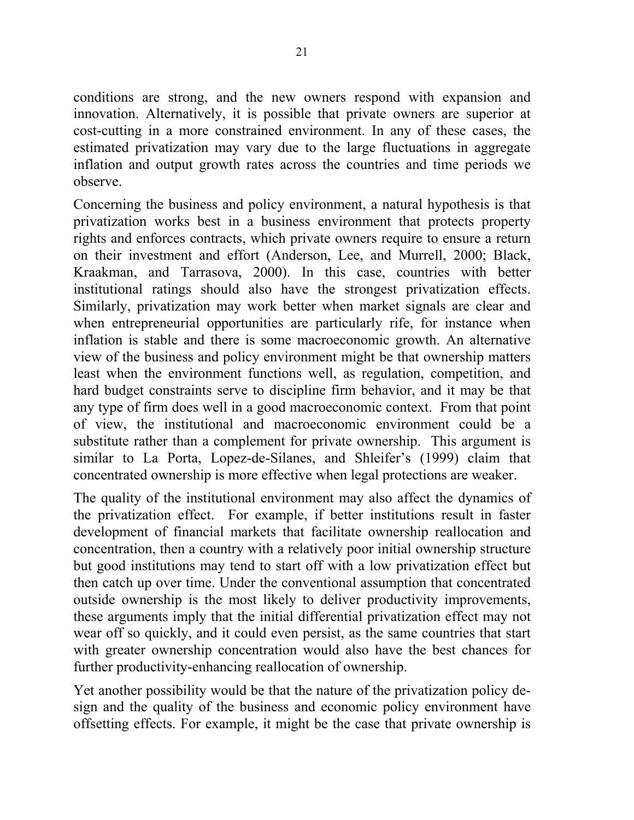conditions are strong, and the new owners respond with expansion and innovation. Alternatively, it is possible that private owners are superior at cost-cutting in a more constrained environment. In any of these cases, the estimated privatization may vary due to the large fluctuations in aggregate inflation and output growth rates across the countries and time periods we observe.

Concerning the business and policy environment, a natural hypothesis is that privatization works best in a business environment that protects property rights and enforces contracts, which private owners require to ensure a return on their investment and effort (Anderson, Lee, and Murrell, 2000; Black, Kraakman, and Tarrasova, 2000). In this case, countries with better institutional ratings should also have the strongest privatization effects. Similarly, privatization may work better when market signals are clear and when entrepreneurial opportunities are particularly rife, for instance when inflation is stable and there is some macroeconomic growth. An alternative view of the business and policy environment might be that ownership matters least when the environment functions well, as regulation, competition, and hard budget constraints serve to discipline firm behavior, and it may be that any type of firm does well in a good macroeconomic context. From that point of view, the institutional and macroeconomic environment could be a substitute rather than a complement for private ownership. This argument is similar to La Porta, Lopez-de-Silanes, and Shleifer's (1999) claim that concentrated ownership is more effective when legal protections are weaker.

The quality of the institutional environment may also affect the dynamics of the privatization effect. For example, if better institutions result in faster development of financial markets that facilitate ownership reallocation and concentration, then a country with a relatively poor initial ownership structure but good institutions may tend to start off with a low privatization effect but then catch up over time. Under the conventional assumption that concentrated outside ownership is the most likely to deliver productivity improvements, these arguments imply that the initial differential privatization effect may not wear off so quickly, and it could even persist, as the same countries that start with greater ownership concentration would also have the best chances for further productivity-enhancing reallocation of ownership.

Yet another possibility would be that the nature of the privatization policy design and the quality of the business and economic policy environment have offsetting effects. For example, it might be the case that private ownership is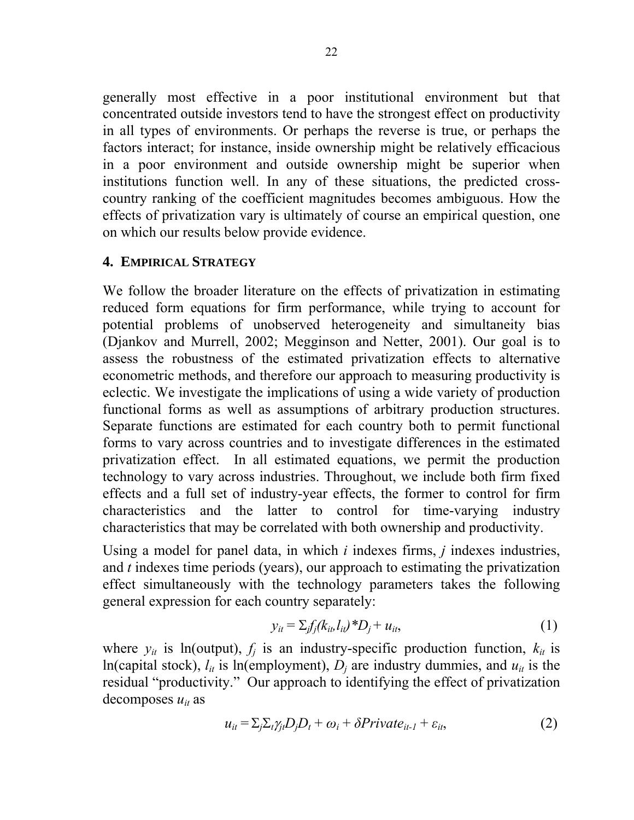generally most effective in a poor institutional environment but that concentrated outside investors tend to have the strongest effect on productivity in all types of environments. Or perhaps the reverse is true, or perhaps the factors interact; for instance, inside ownership might be relatively efficacious in a poor environment and outside ownership might be superior when institutions function well. In any of these situations, the predicted crosscountry ranking of the coefficient magnitudes becomes ambiguous. How the effects of privatization vary is ultimately of course an empirical question, one on which our results below provide evidence.

## **4. EMPIRICAL STRATEGY**

We follow the broader literature on the effects of privatization in estimating reduced form equations for firm performance, while trying to account for potential problems of unobserved heterogeneity and simultaneity bias (Djankov and Murrell, 2002; Megginson and Netter, 2001). Our goal is to assess the robustness of the estimated privatization effects to alternative econometric methods, and therefore our approach to measuring productivity is eclectic. We investigate the implications of using a wide variety of production functional forms as well as assumptions of arbitrary production structures. Separate functions are estimated for each country both to permit functional forms to vary across countries and to investigate differences in the estimated privatization effect. In all estimated equations, we permit the production technology to vary across industries. Throughout, we include both firm fixed effects and a full set of industry-year effects, the former to control for firm characteristics and the latter to control for time-varying industry characteristics that may be correlated with both ownership and productivity.

Using a model for panel data, in which *i* indexes firms, *j* indexes industries, and *t* indexes time periods (years), our approach to estimating the privatization effect simultaneously with the technology parameters takes the following general expression for each country separately:

$$
y_{it} = \sum_{j} f_j (k_{it}, l_{it})^* D_j + u_{it}, \qquad (1)
$$

where  $y_{it}$  is ln(output),  $f_i$  is an industry-specific production function,  $k_{it}$  is ln(capital stock),  $l_{it}$  is ln(employment),  $D_i$  are industry dummies, and  $u_{it}$  is the residual "productivity." Our approach to identifying the effect of privatization decomposes  $u_{it}$  as

$$
u_{it} = \sum_{j} \sum_{t} \gamma_{jt} D_j D_t + \omega_i + \delta P \text{rivate}_{it-1} + \varepsilon_{it}, \tag{2}
$$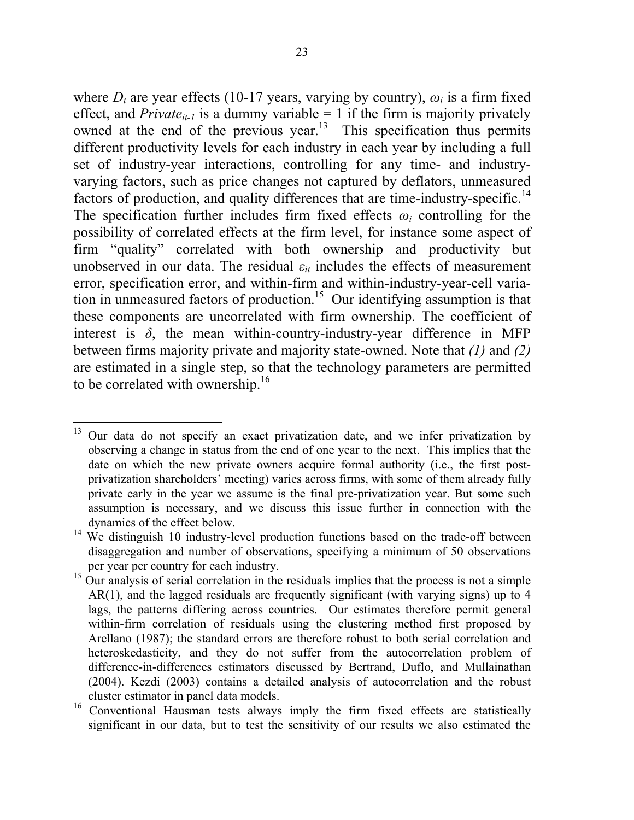where  $D_t$  are year effects (10-17 years, varying by country),  $\omega_i$  is a firm fixed effect, and *Private<sub>it-1</sub>* is a dummy variable = 1 if the firm is majority privately owned at the end of the previous year.<sup>13</sup> This specification thus permits different productivity levels for each industry in each year by including a full set of industry-year interactions, controlling for any time- and industryvarying factors, such as price changes not captured by deflators, unmeasured factors of production, and quality differences that are time-industry-specific.<sup>14</sup> The specification further includes firm fixed effects  $\omega_i$  controlling for the possibility of correlated effects at the firm level, for instance some aspect of firm "quality" correlated with both ownership and productivity but unobserved in our data. The residual  $\varepsilon_{it}$  includes the effects of measurement error, specification error, and within-firm and within-industry-year-cell variation in unmeasured factors of production.<sup>15</sup> Our identifying assumption is that these components are uncorrelated with firm ownership. The coefficient of interest is  $\delta$ , the mean within-country-industry-year difference in MFP between firms majority private and majority state-owned. Note that *(1)* and *(2)* are estimated in a single step, so that the technology parameters are permitted to be correlated with ownership.<sup>16</sup>

 $\frac{1}{\sqrt{2}}$ <sup>13</sup> Our data do not specify an exact privatization date, and we infer privatization by observing a change in status from the end of one year to the next. This implies that the date on which the new private owners acquire formal authority (i.e., the first postprivatization shareholdersí meeting) varies across firms, with some of them already fully private early in the year we assume is the final pre-privatization year. But some such assumption is necessary, and we discuss this issue further in connection with the dynamics of the effect below.

<sup>&</sup>lt;sup>14</sup> We distinguish 10 industry-level production functions based on the trade-off between disaggregation and number of observations, specifying a minimum of 50 observations per year per country for each industry.

<sup>&</sup>lt;sup>15</sup> Our analysis of serial correlation in the residuals implies that the process is not a simple AR(1), and the lagged residuals are frequently significant (with varying signs) up to 4 lags, the patterns differing across countries. Our estimates therefore permit general within-firm correlation of residuals using the clustering method first proposed by Arellano (1987); the standard errors are therefore robust to both serial correlation and heteroskedasticity, and they do not suffer from the autocorrelation problem of difference-in-differences estimators discussed by Bertrand, Duflo, and Mullainathan (2004). Kezdi (2003) contains a detailed analysis of autocorrelation and the robust cluster estimator in panel data models.

<sup>&</sup>lt;sup>16</sup> Conventional Hausman tests always imply the firm fixed effects are statistically significant in our data, but to test the sensitivity of our results we also estimated the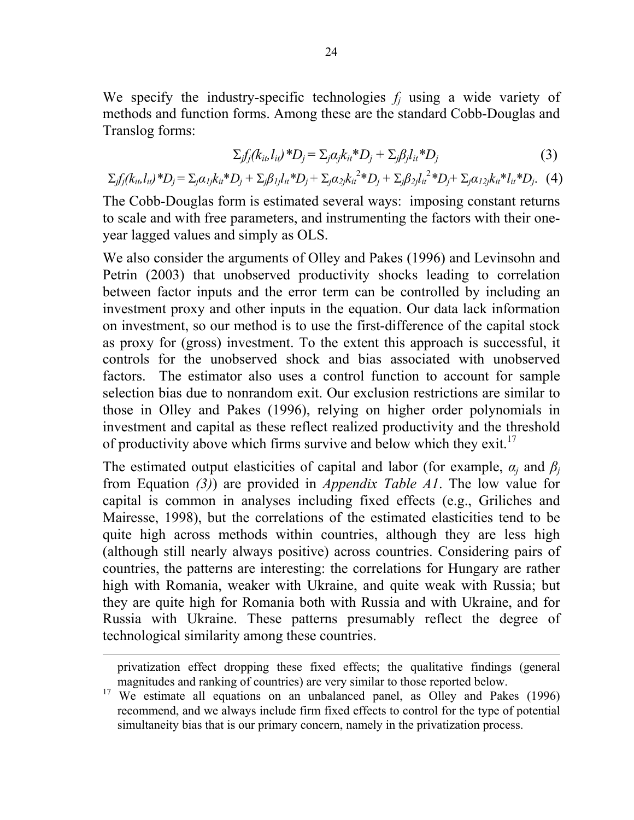We specify the industry-specific technologies  $f_i$  using a wide variety of methods and function forms. Among these are the standard Cobb-Douglas and Translog forms:

$$
\sum_{j} f_j (k_{it}, l_{it})^* D_j = \sum_j \alpha_j k_{it}^* D_j + \sum_j \beta_j l_{it}^* D_j \tag{3}
$$

$$
\sum_{j} f_j (k_{i}, l_{i})^* D_j = \sum_j \alpha_{1j} k_{it}^* D_j + \sum_j \beta_{1j} l_{it}^* D_j + \sum_j \alpha_{2j} k_{it}^2 D_j + \sum_j \beta_{2j} l_{it}^2 D_j + \sum_j \alpha_{12j} k_{it}^* l_{it}^* D_j.
$$
 (4)

The Cobb-Douglas form is estimated several ways: imposing constant returns to scale and with free parameters, and instrumenting the factors with their oneyear lagged values and simply as OLS.

We also consider the arguments of Olley and Pakes (1996) and Levinsohn and Petrin (2003) that unobserved productivity shocks leading to correlation between factor inputs and the error term can be controlled by including an investment proxy and other inputs in the equation. Our data lack information on investment, so our method is to use the first-difference of the capital stock as proxy for (gross) investment. To the extent this approach is successful, it controls for the unobserved shock and bias associated with unobserved factors. The estimator also uses a control function to account for sample selection bias due to nonrandom exit. Our exclusion restrictions are similar to those in Olley and Pakes (1996), relying on higher order polynomials in investment and capital as these reflect realized productivity and the threshold of productivity above which firms survive and below which they exit.<sup>17</sup>

The estimated output elasticities of capital and labor (for example,  $\alpha_i$  and  $\beta_i$ from Equation *(3)*) are provided in *Appendix Table A1*. The low value for capital is common in analyses including fixed effects (e.g., Griliches and Mairesse, 1998), but the correlations of the estimated elasticities tend to be quite high across methods within countries, although they are less high (although still nearly always positive) across countries. Considering pairs of countries, the patterns are interesting: the correlations for Hungary are rather high with Romania, weaker with Ukraine, and quite weak with Russia; but they are quite high for Romania both with Russia and with Ukraine, and for Russia with Ukraine. These patterns presumably reflect the degree of technological similarity among these countries.

 $\overline{a}$ 

privatization effect dropping these fixed effects; the qualitative findings (general magnitudes and ranking of countries) are very similar to those reported below.

<sup>&</sup>lt;sup>17</sup> We estimate all equations on an unbalanced panel, as Olley and Pakes (1996) recommend, and we always include firm fixed effects to control for the type of potential simultaneity bias that is our primary concern, namely in the privatization process.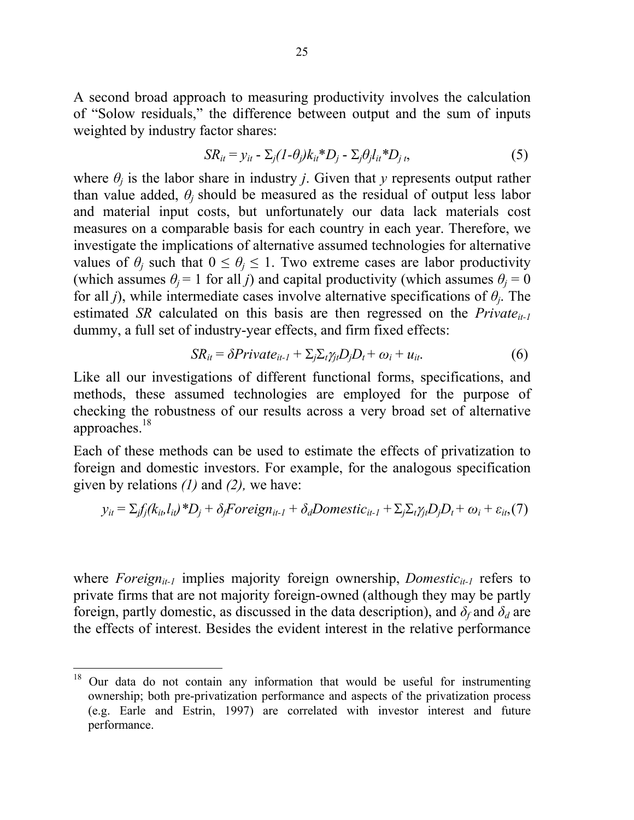A second broad approach to measuring productivity involves the calculation of "Solow residuals," the difference between output and the sum of inputs weighted by industry factor shares:

$$
SR_{it} = y_{it} - \sum_j (1 - \theta_j) k_{it}^* D_j - \sum_j \theta_j l_{it}^* D_j t, \qquad (5)
$$

where  $\theta_i$  is the labor share in industry *j*. Given that *y* represents output rather than value added,  $\theta_i$  should be measured as the residual of output less labor and material input costs, but unfortunately our data lack materials cost measures on a comparable basis for each country in each year. Therefore, we investigate the implications of alternative assumed technologies for alternative values of  $\theta_i$  such that  $0 \leq \theta_i \leq 1$ . Two extreme cases are labor productivity (which assumes  $\theta_i = 1$  for all *j*) and capital productivity (which assumes  $\theta_i = 0$ for all *j*), while intermediate cases involve alternative specifications of  $\theta_j$ . The estimated *SR* calculated on this basis are then regressed on the *Private*<sub>*it-1*</sub> dummy, a full set of industry-year effects, and firm fixed effects:

$$
SR_{it} = \delta Private_{it-1} + \sum_{j} \sum_{t} \gamma_{jt} D_j D_t + \omega_i + u_{it}. \tag{6}
$$

Like all our investigations of different functional forms, specifications, and methods, these assumed technologies are employed for the purpose of checking the robustness of our results across a very broad set of alternative approaches.18

Each of these methods can be used to estimate the effects of privatization to foreign and domestic investors. For example, for the analogous specification given by relations *(1)* and *(2),* we have:

$$
y_{it} = \sum_j f_j(k_{it}, l_{it})^* D_j + \delta_j Foreign_{it-1} + \delta_d Domestic_{it-1} + \sum_j \sum_t \gamma_{jt} D_j D_t + \omega_i + \varepsilon_{it}(7)
$$

where *Foreign<sub>it-1</sub>* implies majority foreign ownership, *Domestic<sub>it-1</sub>* refers to private firms that are not majority foreign-owned (although they may be partly foreign, partly domestic, as discussed in the data description), and  $\delta_f$  and  $\delta_d$  are the effects of interest. Besides the evident interest in the relative performance

 $\frac{1}{\sqrt{2}}$ 

<sup>&</sup>lt;sup>18</sup> Our data do not contain any information that would be useful for instrumenting ownership; both pre-privatization performance and aspects of the privatization process (e.g. Earle and Estrin, 1997) are correlated with investor interest and future performance.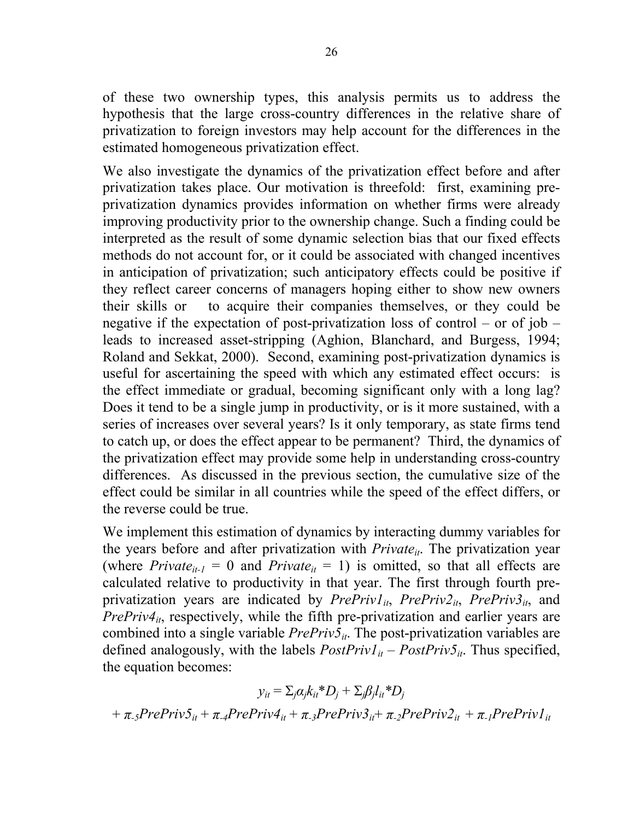of these two ownership types, this analysis permits us to address the hypothesis that the large cross-country differences in the relative share of privatization to foreign investors may help account for the differences in the estimated homogeneous privatization effect.

We also investigate the dynamics of the privatization effect before and after privatization takes place. Our motivation is threefold: first, examining preprivatization dynamics provides information on whether firms were already improving productivity prior to the ownership change. Such a finding could be interpreted as the result of some dynamic selection bias that our fixed effects methods do not account for, or it could be associated with changed incentives in anticipation of privatization; such anticipatory effects could be positive if they reflect career concerns of managers hoping either to show new owners their skills or to acquire their companies themselves, or they could be negative if the expectation of post-privatization loss of control – or of job  $$ leads to increased asset-stripping (Aghion, Blanchard, and Burgess, 1994; Roland and Sekkat, 2000). Second, examining post-privatization dynamics is useful for ascertaining the speed with which any estimated effect occurs: is the effect immediate or gradual, becoming significant only with a long lag? Does it tend to be a single jump in productivity, or is it more sustained, with a series of increases over several years? Is it only temporary, as state firms tend to catch up, or does the effect appear to be permanent? Third, the dynamics of the privatization effect may provide some help in understanding cross-country differences. As discussed in the previous section, the cumulative size of the effect could be similar in all countries while the speed of the effect differs, or the reverse could be true.

We implement this estimation of dynamics by interacting dummy variables for the years before and after privatization with *Privateit*. The privatization year (where *Private<sub>it-1</sub>* = 0 and *Private<sub>it</sub>* = 1) is omitted, so that all effects are calculated relative to productivity in that year. The first through fourth preprivatization years are indicated by *PrePriv1<sub>it</sub>*, *PrePriv2<sub>it</sub>*, *PrePriv3<sub>it</sub>*, and *PrePriv4<sub>it</sub>*, respectively, while the fifth pre-privatization and earlier years are combined into a single variable *PrePriv5it*. The post-privatization variables are defined analogously, with the labels  $PostPriv1_{it} - PostPriv5_{it}$ . Thus specified, the equation becomes:

$$
y_{it} = \sum_{j} \alpha_{j} k_{it} \cdot D_{j} + \sum_{j} \beta_{j} l_{it} \cdot D_{j}
$$

 $+ \pi_{-5}PrePriv5_{it} + \pi_{-4}PrePriv4_{it} + \pi_{-3}PrePriv3_{it} + \pi_{-2}PrePriv2_{it} + \pi_{-1}PrePriv1_{it}$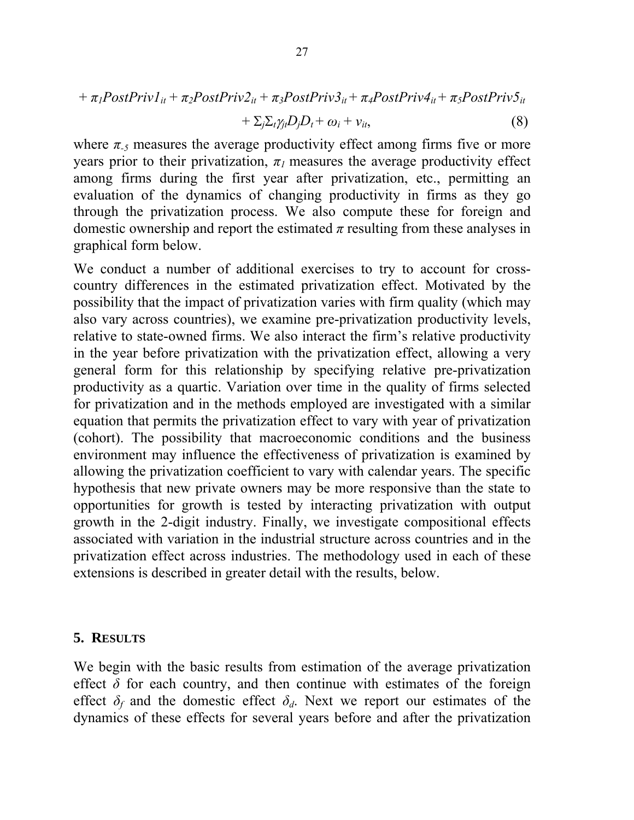+ 
$$
\pi_l PostPrivl_{it} + \pi_2 PostPriv2_{it} + \pi_3 PostPriv3_{it} + \pi_4 PostPriv4_{it} + \pi_5 PostPriv5_{it}
$$
  
+  $\Sigma_j \Sigma_t \gamma_{jt} D_j D_t + \omega_i + \nu_{it}$ , (8)

where  $\pi$ <sub>-5</sub> measures the average productivity effect among firms five or more years prior to their privatization,  $\pi_l$  measures the average productivity effect among firms during the first year after privatization, etc., permitting an evaluation of the dynamics of changing productivity in firms as they go through the privatization process. We also compute these for foreign and domestic ownership and report the estimated  $\pi$  resulting from these analyses in graphical form below.

We conduct a number of additional exercises to try to account for crosscountry differences in the estimated privatization effect. Motivated by the possibility that the impact of privatization varies with firm quality (which may also vary across countries), we examine pre-privatization productivity levels, relative to state-owned firms. We also interact the firm's relative productivity in the year before privatization with the privatization effect, allowing a very general form for this relationship by specifying relative pre-privatization productivity as a quartic. Variation over time in the quality of firms selected for privatization and in the methods employed are investigated with a similar equation that permits the privatization effect to vary with year of privatization (cohort). The possibility that macroeconomic conditions and the business environment may influence the effectiveness of privatization is examined by allowing the privatization coefficient to vary with calendar years. The specific hypothesis that new private owners may be more responsive than the state to opportunities for growth is tested by interacting privatization with output growth in the 2-digit industry. Finally, we investigate compositional effects associated with variation in the industrial structure across countries and in the privatization effect across industries. The methodology used in each of these extensions is described in greater detail with the results, below.

## **5. RESULTS**

We begin with the basic results from estimation of the average privatization effect  $\delta$  for each country, and then continue with estimates of the foreign effect  $\delta_f$  and the domestic effect  $\delta_d$ . Next we report our estimates of the dynamics of these effects for several years before and after the privatization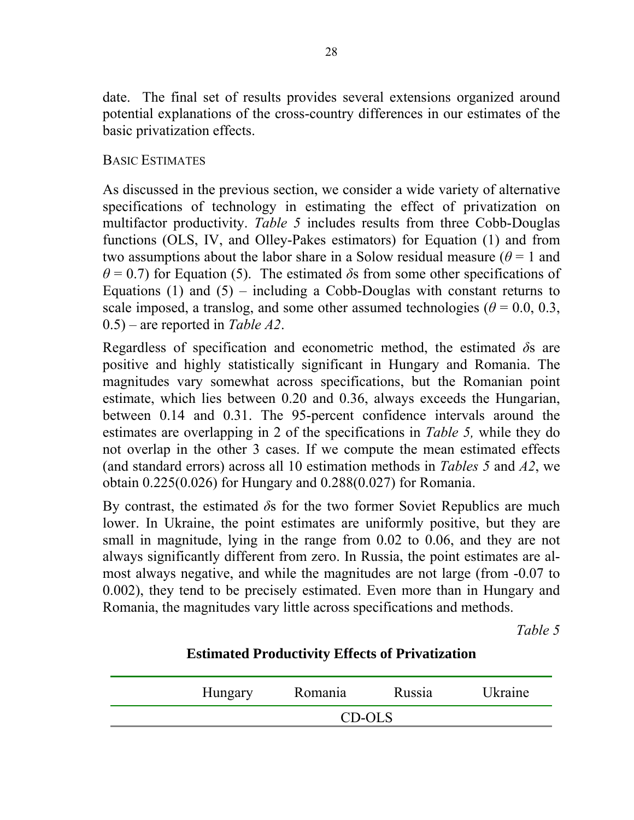date. The final set of results provides several extensions organized around potential explanations of the cross-country differences in our estimates of the basic privatization effects.

# BASIC ESTIMATES

As discussed in the previous section, we consider a wide variety of alternative specifications of technology in estimating the effect of privatization on multifactor productivity. *Table 5* includes results from three Cobb-Douglas functions (OLS, IV, and Olley-Pakes estimators) for Equation (1) and from two assumptions about the labor share in a Solow residual measure ( $\theta$  = 1 and  $\theta$  = 0.7) for Equation (5). The estimated  $\delta$ s from some other specifications of Equations (1) and (5) – including a Cobb-Douglas with constant returns to scale imposed, a translog, and some other assumed technologies ( $\theta$  = 0.0, 0.3,  $(0.5)$  – are reported in *Table A2*.

Regardless of specification and econometric method, the estimated *δ*s are positive and highly statistically significant in Hungary and Romania. The magnitudes vary somewhat across specifications, but the Romanian point estimate, which lies between 0.20 and 0.36, always exceeds the Hungarian, between 0.14 and 0.31. The 95-percent confidence intervals around the estimates are overlapping in 2 of the specifications in *Table 5,* while they do not overlap in the other 3 cases. If we compute the mean estimated effects (and standard errors) across all 10 estimation methods in *Tables 5* and *A2*, we obtain 0.225(0.026) for Hungary and 0.288(0.027) for Romania.

By contrast, the estimated *δ*s for the two former Soviet Republics are much lower. In Ukraine, the point estimates are uniformly positive, but they are small in magnitude, lying in the range from 0.02 to 0.06, and they are not always significantly different from zero. In Russia, the point estimates are almost always negative, and while the magnitudes are not large (from -0.07 to 0.002), they tend to be precisely estimated. Even more than in Hungary and Romania, the magnitudes vary little across specifications and methods.

*Table 5*

| Hungary | Romania | Russia | Ukraine |
|---------|---------|--------|---------|
|         | CD-OLS  |        |         |

# **Estimated Productivity Effects of Privatization**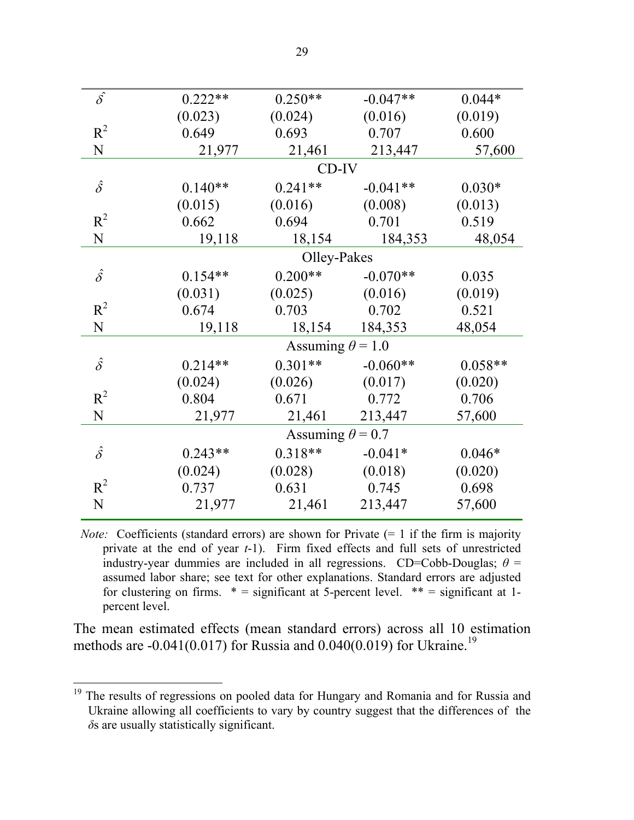| $\hat{\delta}$ | $0.222**$ | $0.250**$               | $-0.047**$ | $0.044*$  |
|----------------|-----------|-------------------------|------------|-----------|
|                | (0.023)   | (0.024)                 | (0.016)    | (0.019)   |
| $R^2$          | 0.649     | 0.693                   | 0.707      | 0.600     |
| N              | 21,977    | 21,461                  | 213,447    | 57,600    |
|                |           | CD-IV                   |            |           |
| $\hat{\delta}$ | $0.140**$ | $0.241**$               | $-0.041**$ | $0.030*$  |
|                | (0.015)   | (0.016)                 | (0.008)    | (0.013)   |
| $R^2$          | 0.662     | 0.694                   | 0.701      | 0.519     |
| N              | 19,118    | 18,154                  | 184,353    | 48,054    |
|                |           | Olley-Pakes             |            |           |
| $\hat{\delta}$ | $0.154**$ | $0.200**$               | $-0.070**$ | 0.035     |
|                | (0.031)   | (0.025)                 | (0.016)    | (0.019)   |
| $R^2$          | 0.674     | 0.703                   | 0.702      | 0.521     |
| ${\bf N}$      | 19,118    | 18,154                  | 184,353    | 48,054    |
|                |           | Assuming $\theta$ = 1.0 |            |           |
| $\hat{\delta}$ | $0.214**$ | $0.301**$               | $-0.060**$ | $0.058**$ |
|                | (0.024)   | (0.026)                 | (0.017)    | (0.020)   |
| $R^2$          | 0.804     | 0.671                   | 0.772      | 0.706     |
| N              | 21,977    | 21,461                  | 213,447    | 57,600    |
|                |           | Assuming $\theta$ = 0.7 |            |           |
| $\hat{\delta}$ | $0.243**$ | $0.318**$               | $-0.041*$  | $0.046*$  |
|                | (0.024)   | (0.028)                 | (0.018)    | (0.020)   |
| $R^2$          | 0.737     | 0.631                   | 0.745      | 0.698     |
| N              | 21,977    | 21,461                  | 213,447    | 57,600    |
|                |           |                         |            |           |

*Note:* Coefficients (standard errors) are shown for Private  $(= 1)$  if the firm is majority private at the end of year *t*-1). Firm fixed effects and full sets of unrestricted industry-year dummies are included in all regressions. CD=Cobb-Douglas;  $\theta$  = assumed labor share; see text for other explanations. Standard errors are adjusted for clustering on firms.  $* =$  significant at 5-percent level.  $** =$  significant at 1percent level.

The mean estimated effects (mean standard errors) across all 10 estimation methods are  $-0.041(0.017)$  for Russia and  $0.040(0.019)$  for Ukraine.<sup>19</sup>

 $\frac{1}{11}$ 

<sup>&</sup>lt;sup>19</sup> The results of regressions on pooled data for Hungary and Romania and for Russia and Ukraine allowing all coefficients to vary by country suggest that the differences of the *δ*s are usually statistically significant.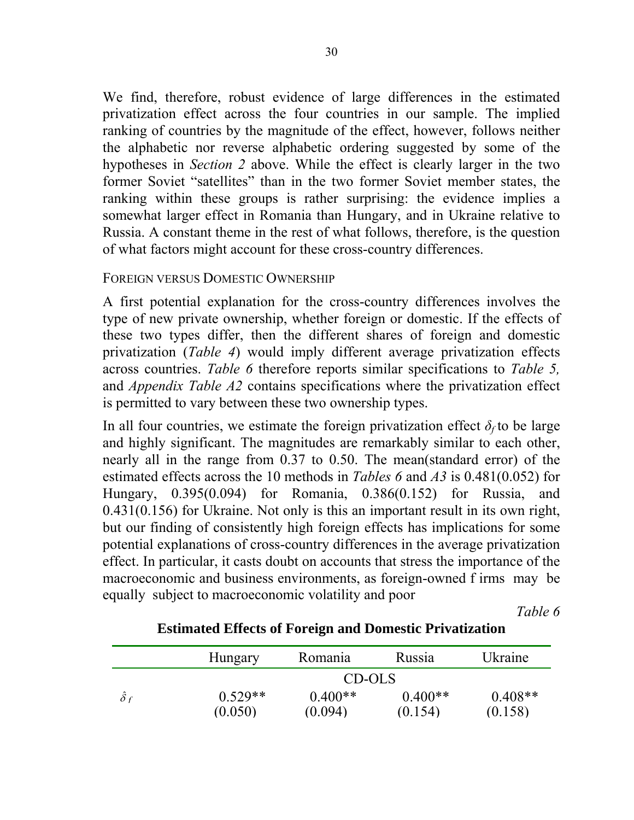We find, therefore, robust evidence of large differences in the estimated privatization effect across the four countries in our sample. The implied ranking of countries by the magnitude of the effect, however, follows neither the alphabetic nor reverse alphabetic ordering suggested by some of the hypotheses in *Section 2* above. While the effect is clearly larger in the two former Soviet "satellites" than in the two former Soviet member states, the ranking within these groups is rather surprising: the evidence implies a somewhat larger effect in Romania than Hungary, and in Ukraine relative to Russia. A constant theme in the rest of what follows, therefore, is the question of what factors might account for these cross-country differences.

## FOREIGN VERSUS DOMESTIC OWNERSHIP

A first potential explanation for the cross-country differences involves the type of new private ownership, whether foreign or domestic. If the effects of these two types differ, then the different shares of foreign and domestic privatization (*Table 4*) would imply different average privatization effects across countries. *Table 6* therefore reports similar specifications to *Table 5,* and *Appendix Table A2* contains specifications where the privatization effect is permitted to vary between these two ownership types.

In all four countries, we estimate the foreign privatization effect  $\delta_f$  to be large and highly significant. The magnitudes are remarkably similar to each other, nearly all in the range from 0.37 to 0.50. The mean(standard error) of the estimated effects across the 10 methods in *Tables 6* and *A3* is 0.481(0.052) for Hungary, 0.395(0.094) for Romania, 0.386(0.152) for Russia, and 0.431(0.156) for Ukraine. Not only is this an important result in its own right, but our finding of consistently high foreign effects has implications for some potential explanations of cross-country differences in the average privatization effect. In particular, it casts doubt on accounts that stress the importance of the macroeconomic and business environments, as foreign-owned f irms may be equally subject to macroeconomic volatility and poor

*Table 6*

| Hungary              | Romania              | Russia               | Ukraine              |
|----------------------|----------------------|----------------------|----------------------|
|                      | CD-OLS               |                      |                      |
| $0.529**$<br>(0.050) | $0.400**$<br>(0.094) | $0.400**$<br>(0.154) | $0.408**$<br>(0.158) |

# **Estimated Effects of Foreign and Domestic Privatization**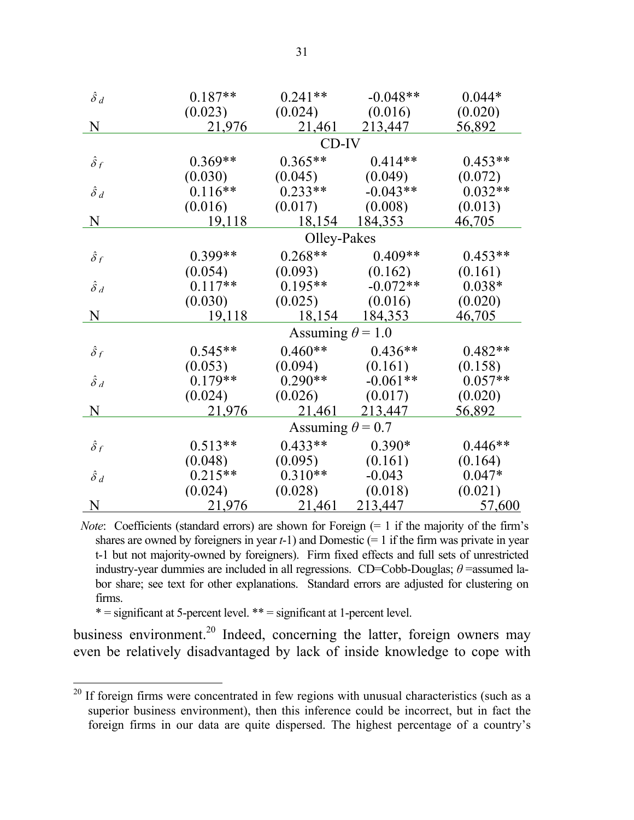| $\hat{\delta}$ d | $0.187**$     | $0.241**$               | $-0.048**$ | $0.044*$      |
|------------------|---------------|-------------------------|------------|---------------|
|                  | (0.023)       | (0.024)                 | (0.016)    | (0.020)       |
| N                | 21,976        | 21,461                  | 213,447    | 56,892        |
|                  |               | $CD$ -IV                |            |               |
| $\hat{\delta}_f$ | $0.369**$     | $0.365**$               | $0.414**$  | $0.453**$     |
|                  | (0.030)       | (0.045)                 | (0.049)    | (0.072)       |
| $\hat{\delta}$ d | $0.116**$     | $0.233**$               | $-0.043**$ | $0.032**$     |
|                  | (0.016)       | (0.017)                 | (0.008)    | (0.013)       |
| N                | <u>19,118</u> |                         | 184,353    | 46,705        |
|                  |               | Olley-Pakes             |            |               |
| $\hat{\delta}_f$ | $0.399**$     | $0.268**$               | $0.409**$  | $0.453**$     |
|                  | (0.054)       | (0.093)                 | (0.162)    | (0.161)       |
| $\hat{\delta}$ d | $0.117**$     | $0.195**$               | $-0.072**$ | $0.038*$      |
|                  | (0.030)       | (0.025)                 | (0.016)    | (0.020)       |
| N                | 19,118        | 18,154                  | 184,353    | 46,705        |
|                  |               | Assuming $\theta$ = 1.0 |            |               |
| $\hat{\delta}_f$ | $0.545**$     | $0.460**$               | $0.436**$  | $0.482**$     |
|                  | (0.053)       | (0.094)                 | (0.161)    | (0.158)       |
| $\hat{\delta}_d$ | $0.179**$     | $0.290**$               | $-0.061**$ | $0.057**$     |
|                  | (0.024)       | (0.026)                 | (0.017)    | (0.020)       |
| N                | 21,976        | 21,461                  | 213,447    | 56,892        |
|                  |               | Assuming $\theta$ = 0.7 |            |               |
| $\hat{\delta}_f$ | $0.513**$     | $0.433**$               | $0.390*$   | $0.446**$     |
|                  | (0.048)       | (0.095)                 | (0.161)    | (0.164)       |
| $\hat{\delta}$ d | $0.215**$     | $0.310**$               | $-0.043$   | $0.047*$      |
|                  | (0.024)       | (0.028)                 | (0.018)    | (0.021)       |
| N                | <u>21,976</u> | <u>21,461</u>           | 213,447    | <u>57,600</u> |

*Note*: Coefficients (standard errors) are shown for Foreign  $(= 1 \text{ if the majority of the firm's})$ shares are owned by foreigners in year *t*-1) and Domestic (= 1 if the firm was private in year t-1 but not majority-owned by foreigners). Firm fixed effects and full sets of unrestricted industry-year dummies are included in all regressions. CD=Cobb-Douglas; *θ* =assumed labor share; see text for other explanations. Standard errors are adjusted for clustering on firms.

\* = significant at 5-percent level. \*\* = significant at 1-percent level.

 $\pm$ 

business environment.<sup>20</sup> Indeed, concerning the latter, foreign owners may even be relatively disadvantaged by lack of inside knowledge to cope with

 $20$  If foreign firms were concentrated in few regions with unusual characteristics (such as a superior business environment), then this inference could be incorrect, but in fact the foreign firms in our data are quite dispersed. The highest percentage of a country's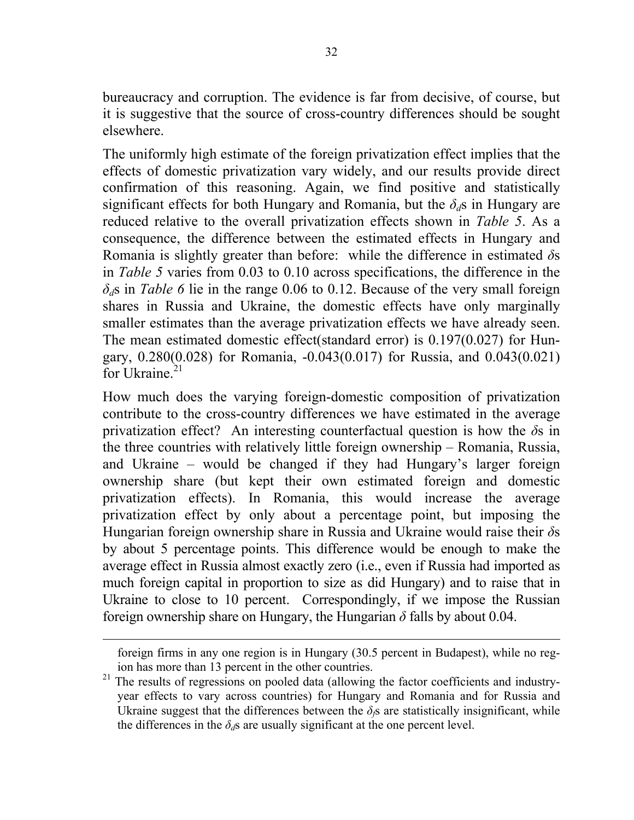bureaucracy and corruption. The evidence is far from decisive, of course, but it is suggestive that the source of cross-country differences should be sought elsewhere.

The uniformly high estimate of the foreign privatization effect implies that the effects of domestic privatization vary widely, and our results provide direct confirmation of this reasoning. Again, we find positive and statistically significant effects for both Hungary and Romania, but the  $\delta_d$ s in Hungary are reduced relative to the overall privatization effects shown in *Table 5*. As a consequence, the difference between the estimated effects in Hungary and Romania is slightly greater than before: while the difference in estimated *δ*s in *Table 5* varies from 0.03 to 0.10 across specifications, the difference in the  $\delta_d$ s in *Table 6* lie in the range 0.06 to 0.12. Because of the very small foreign shares in Russia and Ukraine, the domestic effects have only marginally smaller estimates than the average privatization effects we have already seen. The mean estimated domestic effect(standard error) is 0.197(0.027) for Hungary, 0.280(0.028) for Romania, -0.043(0.017) for Russia, and 0.043(0.021) for Ukraine. $^{21}$ 

How much does the varying foreign-domestic composition of privatization contribute to the cross-country differences we have estimated in the average privatization effect? An interesting counterfactual question is how the *δ*s in the three countries with relatively little foreign ownership  $-$  Romania, Russia, and Ukraine  $-$  would be changed if they had Hungary's larger foreign ownership share (but kept their own estimated foreign and domestic privatization effects). In Romania, this would increase the average privatization effect by only about a percentage point, but imposing the Hungarian foreign ownership share in Russia and Ukraine would raise their *δ*s by about 5 percentage points. This difference would be enough to make the average effect in Russia almost exactly zero (i.e., even if Russia had imported as much foreign capital in proportion to size as did Hungary) and to raise that in Ukraine to close to 10 percent. Correspondingly, if we impose the Russian foreign ownership share on Hungary, the Hungarian *δ* falls by about 0.04.

 $\overline{a}$ 

foreign firms in any one region is in Hungary (30.5 percent in Budapest), while no region has more than 13 percent in the other countries.

 $21$  The results of regressions on pooled data (allowing the factor coefficients and industryyear effects to vary across countries) for Hungary and Romania and for Russia and Ukraine suggest that the differences between the  $\delta$ <sup> $\beta$ </sup> are statistically insignificant, while the differences in the  $\delta_d$ s are usually significant at the one percent level.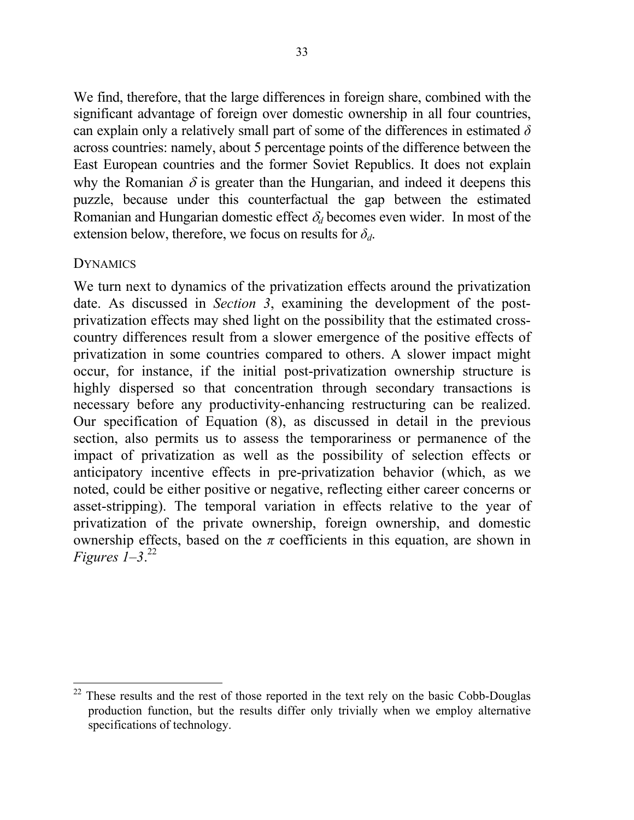We find, therefore, that the large differences in foreign share, combined with the significant advantage of foreign over domestic ownership in all four countries, can explain only a relatively small part of some of the differences in estimated *δ* across countries: namely, about 5 percentage points of the difference between the East European countries and the former Soviet Republics. It does not explain why the Romanian  $\delta$  is greater than the Hungarian, and indeed it deepens this puzzle, because under this counterfactual the gap between the estimated Romanian and Hungarian domestic effect  $\delta_d$  becomes even wider. In most of the extension below, therefore, we focus on results for  $\delta_d$ .

# **DYNAMICS**

 $\pm$ 

We turn next to dynamics of the privatization effects around the privatization date. As discussed in *Section 3*, examining the development of the postprivatization effects may shed light on the possibility that the estimated crosscountry differences result from a slower emergence of the positive effects of privatization in some countries compared to others. A slower impact might occur, for instance, if the initial post-privatization ownership structure is highly dispersed so that concentration through secondary transactions is necessary before any productivity-enhancing restructuring can be realized. Our specification of Equation (8), as discussed in detail in the previous section, also permits us to assess the temporariness or permanence of the impact of privatization as well as the possibility of selection effects or anticipatory incentive effects in pre-privatization behavior (which, as we noted, could be either positive or negative, reflecting either career concerns or asset-stripping). The temporal variation in effects relative to the year of privatization of the private ownership, foreign ownership, and domestic ownership effects, based on the  $\pi$  coefficients in this equation, are shown in *Figures*  $I-3$ <sup>22</sup>

 $22$  These results and the rest of those reported in the text rely on the basic Cobb-Douglas production function, but the results differ only trivially when we employ alternative specifications of technology.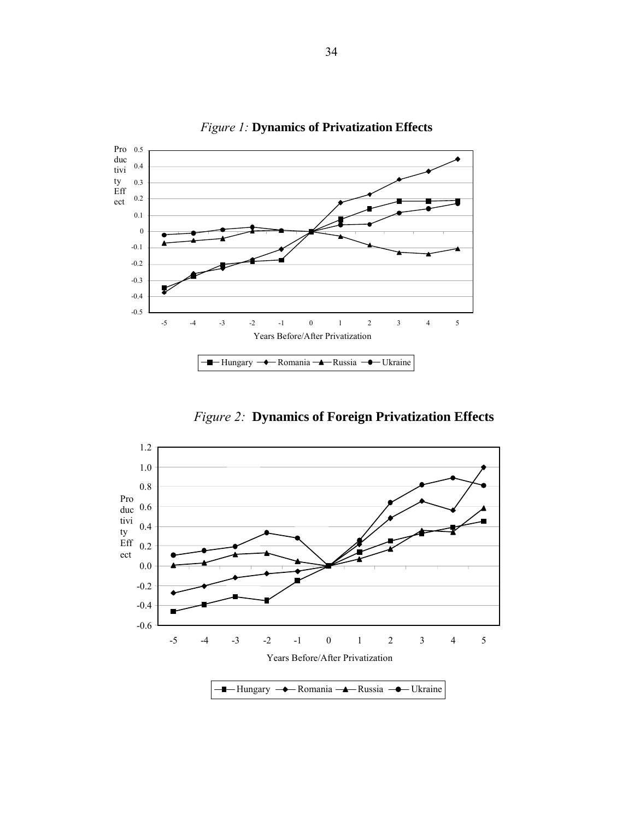

*Figure 1:* **Dynamics of Privatization Effects**

*Figure 2:* **Dynamics of Foreign Privatization Effects**

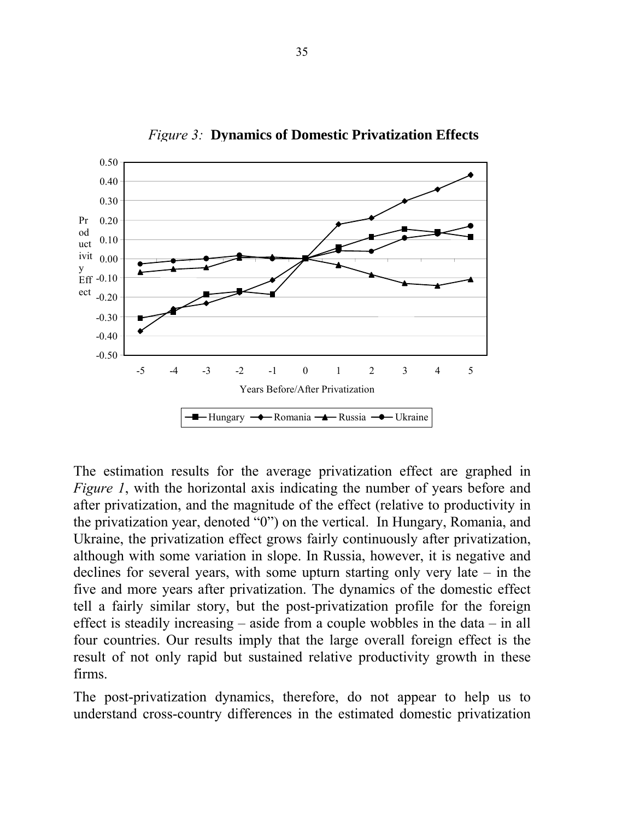

*Figure 3:* **Dynamics of Domestic Privatization Effects**

The estimation results for the average privatization effect are graphed in *Figure 1*, with the horizontal axis indicating the number of years before and after privatization, and the magnitude of the effect (relative to productivity in the privatization year, denoted  $\degree$ 0<sup>\*</sup>) on the vertical. In Hungary, Romania, and Ukraine, the privatization effect grows fairly continuously after privatization, although with some variation in slope. In Russia, however, it is negative and declines for several years, with some upturn starting only very late  $-$  in the five and more years after privatization. The dynamics of the domestic effect tell a fairly similar story, but the post-privatization profile for the foreign effect is steadily increasing  $-$  aside from a couple wobbles in the data  $-$  in all four countries. Our results imply that the large overall foreign effect is the result of not only rapid but sustained relative productivity growth in these firms.

The post-privatization dynamics, therefore, do not appear to help us to understand cross-country differences in the estimated domestic privatization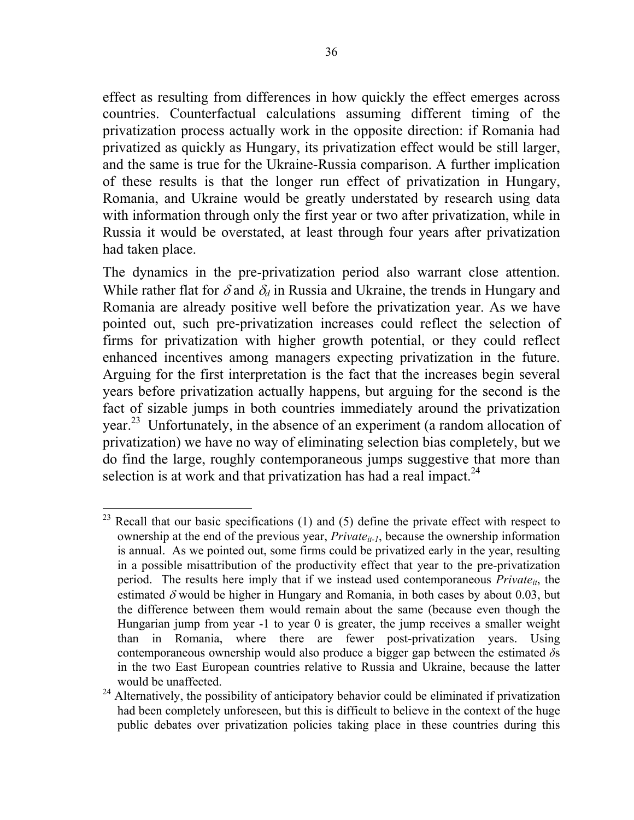effect as resulting from differences in how quickly the effect emerges across countries. Counterfactual calculations assuming different timing of the privatization process actually work in the opposite direction: if Romania had privatized as quickly as Hungary, its privatization effect would be still larger, and the same is true for the Ukraine-Russia comparison. A further implication of these results is that the longer run effect of privatization in Hungary, Romania, and Ukraine would be greatly understated by research using data with information through only the first year or two after privatization, while in Russia it would be overstated, at least through four years after privatization had taken place.

The dynamics in the pre-privatization period also warrant close attention. While rather flat for  $\delta$  and  $\delta_d$  in Russia and Ukraine, the trends in Hungary and Romania are already positive well before the privatization year. As we have pointed out, such pre-privatization increases could reflect the selection of firms for privatization with higher growth potential, or they could reflect enhanced incentives among managers expecting privatization in the future. Arguing for the first interpretation is the fact that the increases begin several years before privatization actually happens, but arguing for the second is the fact of sizable jumps in both countries immediately around the privatization year.23 Unfortunately, in the absence of an experiment (a random allocation of privatization) we have no way of eliminating selection bias completely, but we do find the large, roughly contemporaneous jumps suggestive that more than selection is at work and that privatization has had a real impact. $^{24}$ 

 $\frac{1}{\sqrt{2}}$  $^{23}$  Recall that our basic specifications (1) and (5) define the private effect with respect to ownership at the end of the previous year, *Private<sub>it-1</sub>*, because the ownership information is annual. As we pointed out, some firms could be privatized early in the year, resulting in a possible misattribution of the productivity effect that year to the pre-privatization period. The results here imply that if we instead used contemporaneous *Private*<sub>it</sub>, the estimated  $\delta$  would be higher in Hungary and Romania, in both cases by about 0.03, but the difference between them would remain about the same (because even though the Hungarian jump from year -1 to year 0 is greater, the jump receives a smaller weight than in Romania, where there are fewer post-privatization years. Using contemporaneous ownership would also produce a bigger gap between the estimated *δ*s in the two East European countries relative to Russia and Ukraine, because the latter would be unaffected.

 $24$  Alternatively, the possibility of anticipatory behavior could be eliminated if privatization had been completely unforeseen, but this is difficult to believe in the context of the huge public debates over privatization policies taking place in these countries during this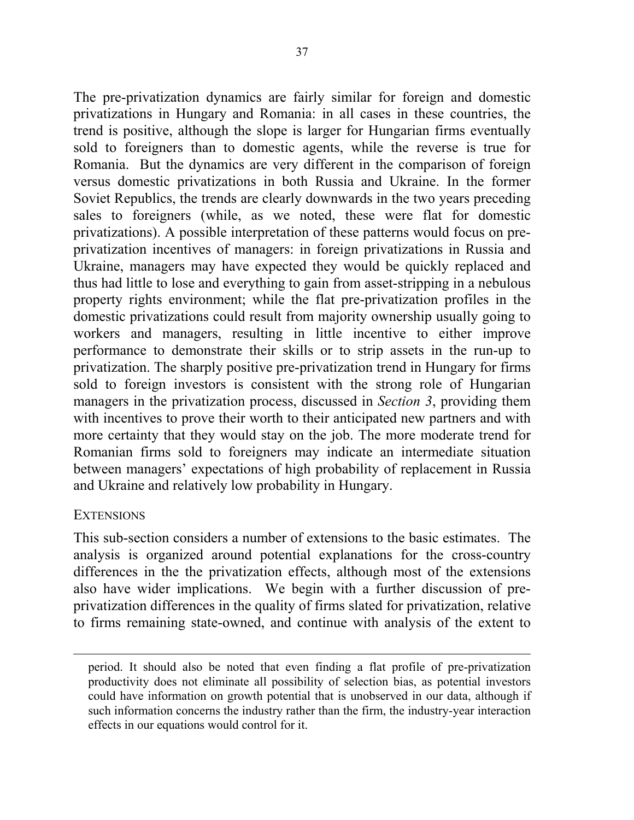The pre-privatization dynamics are fairly similar for foreign and domestic privatizations in Hungary and Romania: in all cases in these countries, the trend is positive, although the slope is larger for Hungarian firms eventually sold to foreigners than to domestic agents, while the reverse is true for Romania. But the dynamics are very different in the comparison of foreign versus domestic privatizations in both Russia and Ukraine. In the former Soviet Republics, the trends are clearly downwards in the two years preceding sales to foreigners (while, as we noted, these were flat for domestic privatizations). A possible interpretation of these patterns would focus on preprivatization incentives of managers: in foreign privatizations in Russia and Ukraine, managers may have expected they would be quickly replaced and thus had little to lose and everything to gain from asset-stripping in a nebulous property rights environment; while the flat pre-privatization profiles in the domestic privatizations could result from majority ownership usually going to workers and managers, resulting in little incentive to either improve performance to demonstrate their skills or to strip assets in the run-up to privatization. The sharply positive pre-privatization trend in Hungary for firms sold to foreign investors is consistent with the strong role of Hungarian managers in the privatization process, discussed in *Section 3*, providing them with incentives to prove their worth to their anticipated new partners and with more certainty that they would stay on the job. The more moderate trend for Romanian firms sold to foreigners may indicate an intermediate situation between managers' expectations of high probability of replacement in Russia and Ukraine and relatively low probability in Hungary.

## **EXTENSIONS**

 $\overline{a}$ 

This sub-section considers a number of extensions to the basic estimates. The analysis is organized around potential explanations for the cross-country differences in the the privatization effects, although most of the extensions also have wider implications. We begin with a further discussion of preprivatization differences in the quality of firms slated for privatization, relative to firms remaining state-owned, and continue with analysis of the extent to

period. It should also be noted that even finding a flat profile of pre-privatization productivity does not eliminate all possibility of selection bias, as potential investors could have information on growth potential that is unobserved in our data, although if such information concerns the industry rather than the firm, the industry-year interaction effects in our equations would control for it.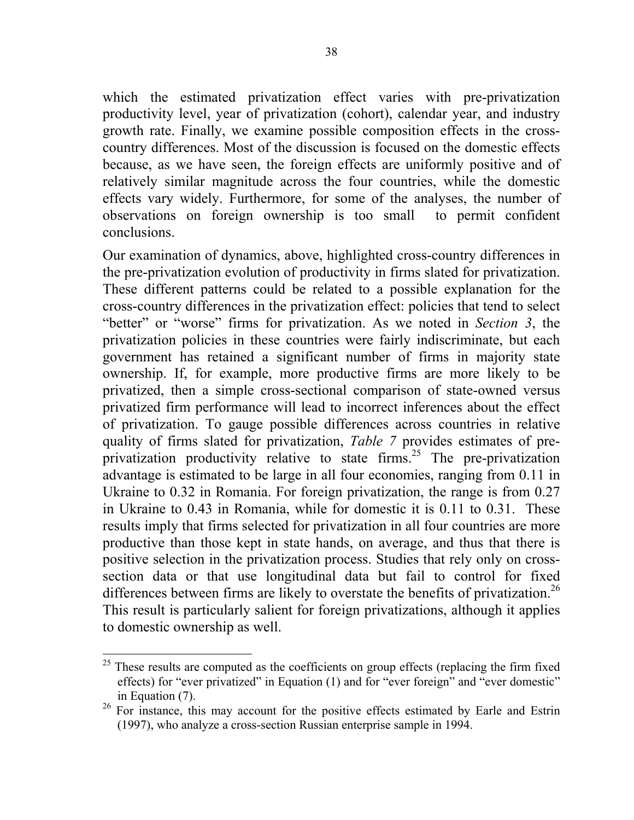which the estimated privatization effect varies with pre-privatization productivity level, year of privatization (cohort), calendar year, and industry growth rate. Finally, we examine possible composition effects in the crosscountry differences. Most of the discussion is focused on the domestic effects because, as we have seen, the foreign effects are uniformly positive and of relatively similar magnitude across the four countries, while the domestic effects vary widely. Furthermore, for some of the analyses, the number of observations on foreign ownership is too small to permit confident conclusions.

Our examination of dynamics, above, highlighted cross-country differences in the pre-privatization evolution of productivity in firms slated for privatization. These different patterns could be related to a possible explanation for the cross-country differences in the privatization effect: policies that tend to select "better" or "worse" firms for privatization. As we noted in *Section 3*, the privatization policies in these countries were fairly indiscriminate, but each government has retained a significant number of firms in majority state ownership. If, for example, more productive firms are more likely to be privatized, then a simple cross-sectional comparison of state-owned versus privatized firm performance will lead to incorrect inferences about the effect of privatization. To gauge possible differences across countries in relative quality of firms slated for privatization, *Table 7* provides estimates of preprivatization productivity relative to state firms.<sup>25</sup> The pre-privatization advantage is estimated to be large in all four economies, ranging from 0.11 in Ukraine to 0.32 in Romania. For foreign privatization, the range is from 0.27 in Ukraine to 0.43 in Romania, while for domestic it is 0.11 to 0.31. These results imply that firms selected for privatization in all four countries are more productive than those kept in state hands, on average, and thus that there is positive selection in the privatization process. Studies that rely only on crosssection data or that use longitudinal data but fail to control for fixed differences between firms are likely to overstate the benefits of privatization.<sup>26</sup> This result is particularly salient for foreign privatizations, although it applies to domestic ownership as well.

 $\frac{1}{\sqrt{2}}$  $25$  These results are computed as the coefficients on group effects (replacing the firm fixed effects) for "ever privatized" in Equation  $(1)$  and for "ever foreign" and "ever domestic" in Equation (7).

<sup>&</sup>lt;sup>26</sup> For instance, this may account for the positive effects estimated by Earle and Estrin (1997), who analyze a cross-section Russian enterprise sample in 1994.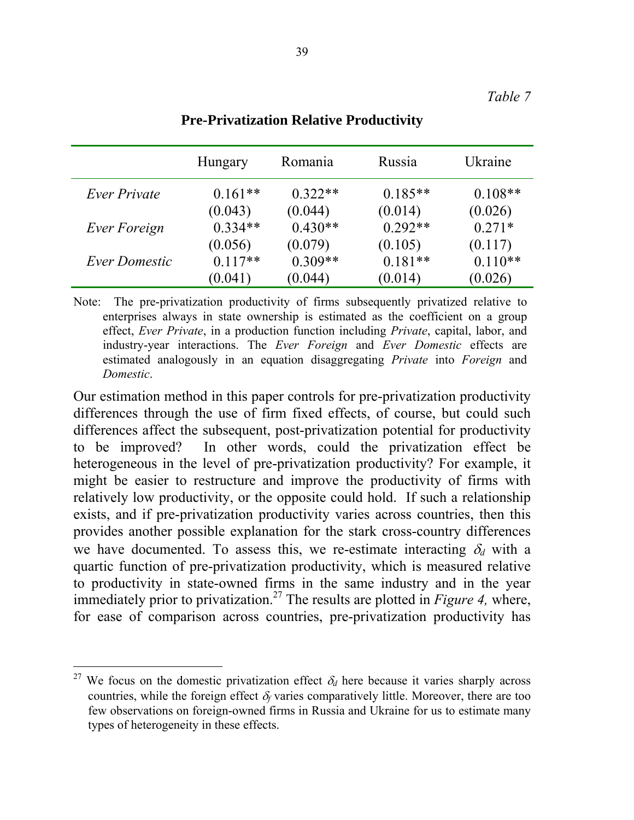|               | Hungary   | Romania   | Russia    | Ukraine   |
|---------------|-----------|-----------|-----------|-----------|
| Ever Private  | $0.161**$ | $0.322**$ | $0.185**$ | $0.108**$ |
|               | (0.043)   | (0.044)   | (0.014)   | (0.026)   |
| Ever Foreign  | $0.334**$ | $0.430**$ | $0.292**$ | $0.271*$  |
|               | (0.056)   | (0.079)   | (0.105)   | (0.117)   |
| Ever Domestic | $0.117**$ | $0.309**$ | $0.181**$ | $0.110**$ |
|               | (0.041)   | (0.044)   | (0.014)   | (0.026)   |

**Pre-Privatization Relative Productivity**

Note: The pre-privatization productivity of firms subsequently privatized relative to enterprises always in state ownership is estimated as the coefficient on a group effect, *Ever Private*, in a production function including *Private*, capital, labor, and industry-year interactions. The *Ever Foreign* and *Ever Domestic* effects are estimated analogously in an equation disaggregating *Private* into *Foreign* and *Domestic*.

Our estimation method in this paper controls for pre-privatization productivity differences through the use of firm fixed effects, of course, but could such differences affect the subsequent, post-privatization potential for productivity to be improved? In other words, could the privatization effect be heterogeneous in the level of pre-privatization productivity? For example, it might be easier to restructure and improve the productivity of firms with relatively low productivity, or the opposite could hold. If such a relationship exists, and if pre-privatization productivity varies across countries, then this provides another possible explanation for the stark cross-country differences we have documented. To assess this, we re-estimate interacting  $\delta_d$  with a quartic function of pre-privatization productivity, which is measured relative to productivity in state-owned firms in the same industry and in the year immediately prior to privatization.<sup>27</sup> The results are plotted in *Figure 4*, where, for ease of comparison across countries, pre-privatization productivity has

 $\overline{\phantom{0}}$ 

<sup>&</sup>lt;sup>27</sup> We focus on the domestic privatization effect  $\delta_d$  here because it varies sharply across countries, while the foreign effect  $\delta_f$  varies comparatively little. Moreover, there are too few observations on foreign-owned firms in Russia and Ukraine for us to estimate many types of heterogeneity in these effects.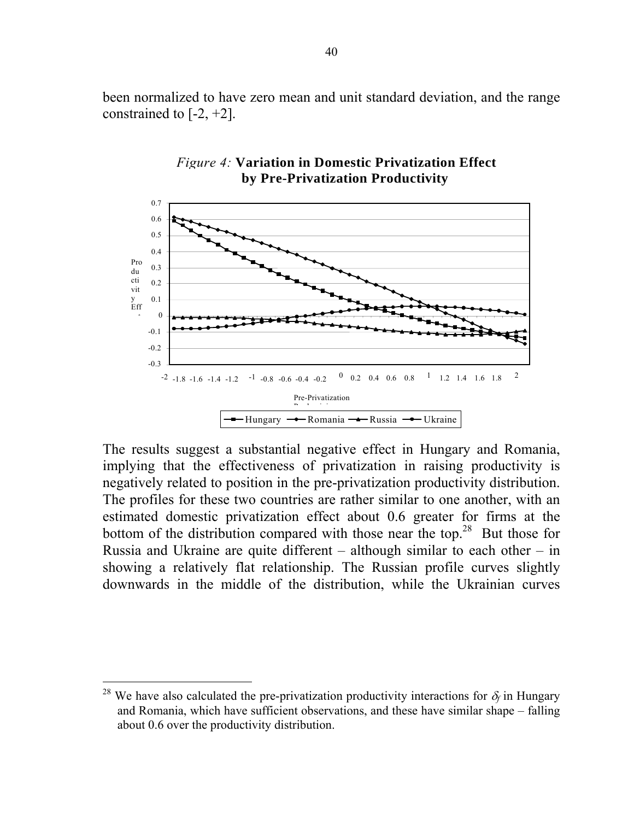been normalized to have zero mean and unit standard deviation, and the range constrained to  $[-2, +2]$ .



## *Figure 4:* **Variation in Domestic Privatization Effect by Pre-Privatization Productivity**

The results suggest a substantial negative effect in Hungary and Romania, implying that the effectiveness of privatization in raising productivity is negatively related to position in the pre-privatization productivity distribution. The profiles for these two countries are rather similar to one another, with an estimated domestic privatization effect about 0.6 greater for firms at the bottom of the distribution compared with those near the top.<sup>28</sup> But those for Russia and Ukraine are quite different  $-$  although similar to each other  $-$  in showing a relatively flat relationship. The Russian profile curves slightly downwards in the middle of the distribution, while the Ukrainian curves

 $\overline{a}$ 

<sup>&</sup>lt;sup>28</sup> We have also calculated the pre-privatization productivity interactions for  $\delta_f$  in Hungary and Romania, which have sufficient observations, and these have similar shape  $-$  falling about 0.6 over the productivity distribution.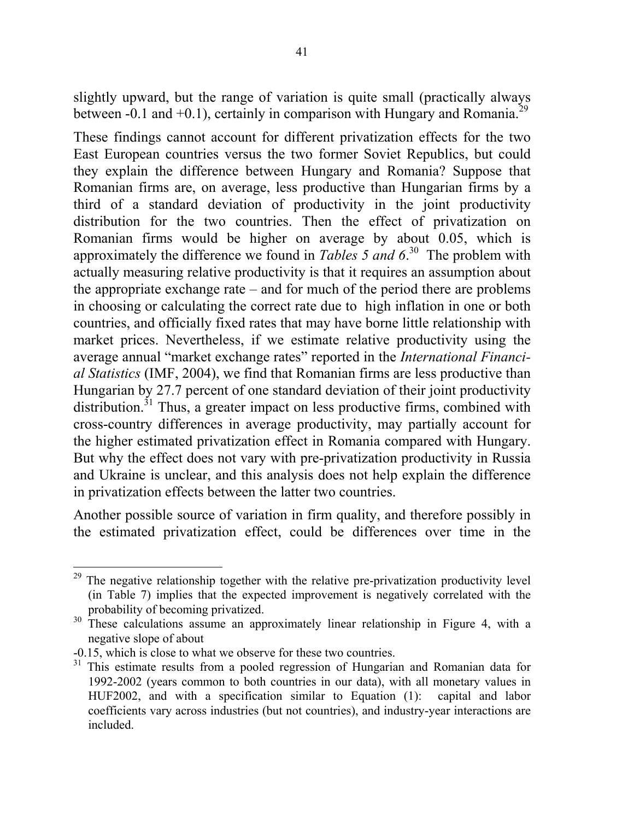slightly upward, but the range of variation is quite small (practically always between -0.1 and +0.1), certainly in comparison with Hungary and Romania.<sup>29</sup>

These findings cannot account for different privatization effects for the two East European countries versus the two former Soviet Republics, but could they explain the difference between Hungary and Romania? Suppose that Romanian firms are, on average, less productive than Hungarian firms by a third of a standard deviation of productivity in the joint productivity distribution for the two countries. Then the effect of privatization on Romanian firms would be higher on average by about 0.05, which is approximately the difference we found in *Tables 5 and 6*. 30 The problem with actually measuring relative productivity is that it requires an assumption about the appropriate exchange rate  $-$  and for much of the period there are problems in choosing or calculating the correct rate due to high inflation in one or both countries, and officially fixed rates that may have borne little relationship with market prices. Nevertheless, if we estimate relative productivity using the average annual "market exchange rates" reported in the *International Financial Statistics* (IMF, 2004), we find that Romanian firms are less productive than Hungarian by 27.7 percent of one standard deviation of their joint productivity distribution.<sup>31</sup> Thus, a greater impact on less productive firms, combined with cross-country differences in average productivity, may partially account for the higher estimated privatization effect in Romania compared with Hungary. But why the effect does not vary with pre-privatization productivity in Russia and Ukraine is unclear, and this analysis does not help explain the difference in privatization effects between the latter two countries.

Another possible source of variation in firm quality, and therefore possibly in the estimated privatization effect, could be differences over time in the

 $\pm$ The negative relationship together with the relative pre-privatization productivity level (in Table 7) implies that the expected improvement is negatively correlated with the probability of becoming privatized.

<sup>&</sup>lt;sup>30</sup> These calculations assume an approximately linear relationship in Figure 4, with a negative slope of about

<sup>-0.15,</sup> which is close to what we observe for these two countries.

<sup>&</sup>lt;sup>31</sup> This estimate results from a pooled regression of Hungarian and Romanian data for 1992-2002 (years common to both countries in our data), with all monetary values in HUF2002, and with a specification similar to Equation (1): capital and labor coefficients vary across industries (but not countries), and industry-year interactions are included.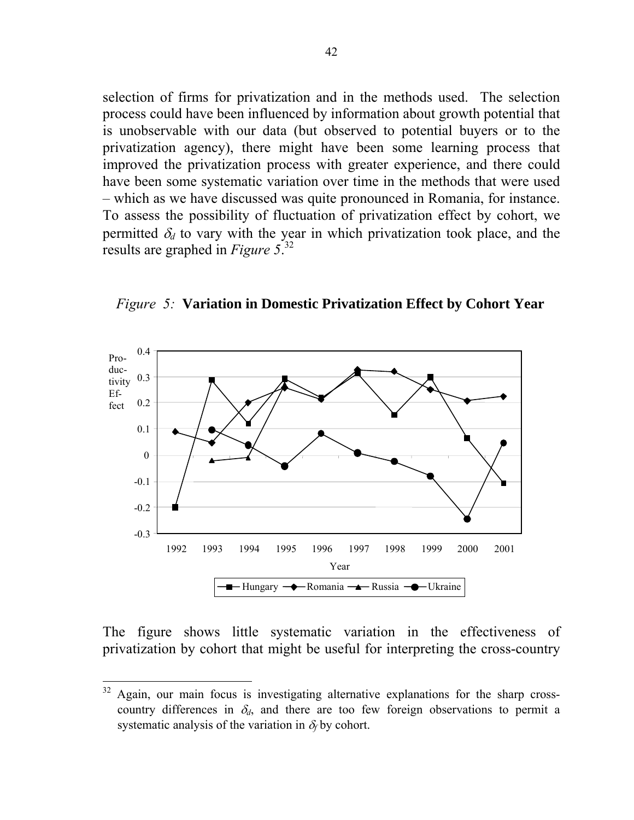selection of firms for privatization and in the methods used. The selection process could have been influenced by information about growth potential that is unobservable with our data (but observed to potential buyers or to the privatization agency), there might have been some learning process that improved the privatization process with greater experience, and there could have been some systematic variation over time in the methods that were used – which as we have discussed was quite pronounced in Romania, for instance. To assess the possibility of fluctuation of privatization effect by cohort, we permitted  $\delta_d$  to vary with the year in which privatization took place, and the results are graphed in *Figure 5*. 32



*Figure 5:* **Variation in Domestic Privatization Effect by Cohort Year**

The figure shows little systematic variation in the effectiveness of privatization by cohort that might be useful for interpreting the cross-country

<sup>32</sup> Again, our main focus is investigating alternative explanations for the sharp crosscountry differences in  $\delta_d$ , and there are too few foreign observations to permit a systematic analysis of the variation in  $\delta_f$  by cohort.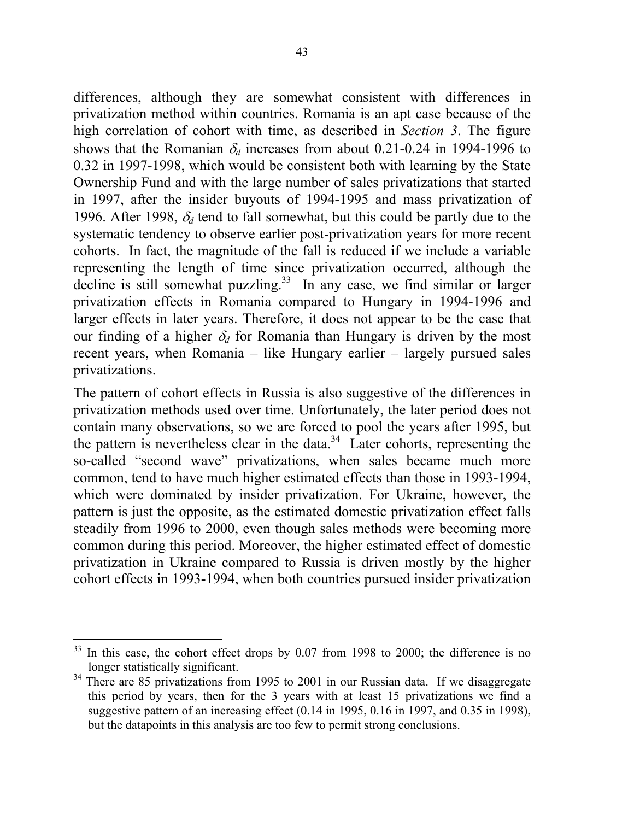differences, although they are somewhat consistent with differences in privatization method within countries. Romania is an apt case because of the high correlation of cohort with time, as described in *Section 3*. The figure shows that the Romanian  $\delta_d$  increases from about 0.21-0.24 in 1994-1996 to 0.32 in 1997-1998, which would be consistent both with learning by the State Ownership Fund and with the large number of sales privatizations that started in 1997, after the insider buyouts of 1994-1995 and mass privatization of 1996. After 1998,  $\delta_d$  tend to fall somewhat, but this could be partly due to the systematic tendency to observe earlier post-privatization years for more recent cohorts. In fact, the magnitude of the fall is reduced if we include a variable representing the length of time since privatization occurred, although the decline is still somewhat puzzling. $33$  In any case, we find similar or larger privatization effects in Romania compared to Hungary in 1994-1996 and larger effects in later years. Therefore, it does not appear to be the case that our finding of a higher  $\delta_d$  for Romania than Hungary is driven by the most recent years, when Romania  $-$  like Hungary earlier  $-$  largely pursued sales privatizations.

The pattern of cohort effects in Russia is also suggestive of the differences in privatization methods used over time. Unfortunately, the later period does not contain many observations, so we are forced to pool the years after 1995, but the pattern is nevertheless clear in the data. $34$  Later cohorts, representing the so-called "second wave" privatizations, when sales became much more common, tend to have much higher estimated effects than those in 1993-1994, which were dominated by insider privatization. For Ukraine, however, the pattern is just the opposite, as the estimated domestic privatization effect falls steadily from 1996 to 2000, even though sales methods were becoming more common during this period. Moreover, the higher estimated effect of domestic privatization in Ukraine compared to Russia is driven mostly by the higher cohort effects in 1993-1994, when both countries pursued insider privatization

<sup>÷.</sup>  $33$  In this case, the cohort effect drops by 0.07 from 1998 to 2000; the difference is no longer statistically significant.

<sup>&</sup>lt;sup>34</sup> There are 85 privatizations from 1995 to 2001 in our Russian data. If we disaggregate this period by years, then for the 3 years with at least 15 privatizations we find a suggestive pattern of an increasing effect (0.14 in 1995, 0.16 in 1997, and 0.35 in 1998), but the datapoints in this analysis are too few to permit strong conclusions.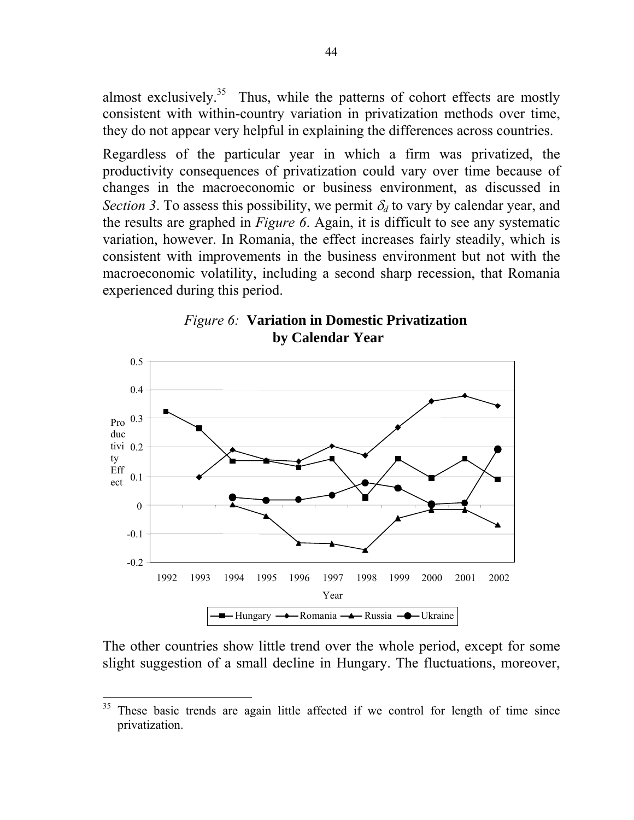almost exclusively.<sup>35</sup> Thus, while the patterns of cohort effects are mostly consistent with within-country variation in privatization methods over time, they do not appear very helpful in explaining the differences across countries.

Regardless of the particular year in which a firm was privatized, the productivity consequences of privatization could vary over time because of changes in the macroeconomic or business environment, as discussed in *Section 3*. To assess this possibility, we permit  $\delta_d$  to vary by calendar year, and the results are graphed in *Figure 6*. Again, it is difficult to see any systematic variation, however. In Romania, the effect increases fairly steadily, which is consistent with improvements in the business environment but not with the macroeconomic volatility, including a second sharp recession, that Romania experienced during this period.





The other countries show little trend over the whole period, except for some slight suggestion of a small decline in Hungary. The fluctuations, moreover,

<sup>35</sup> These basic trends are again little affected if we control for length of time since privatization.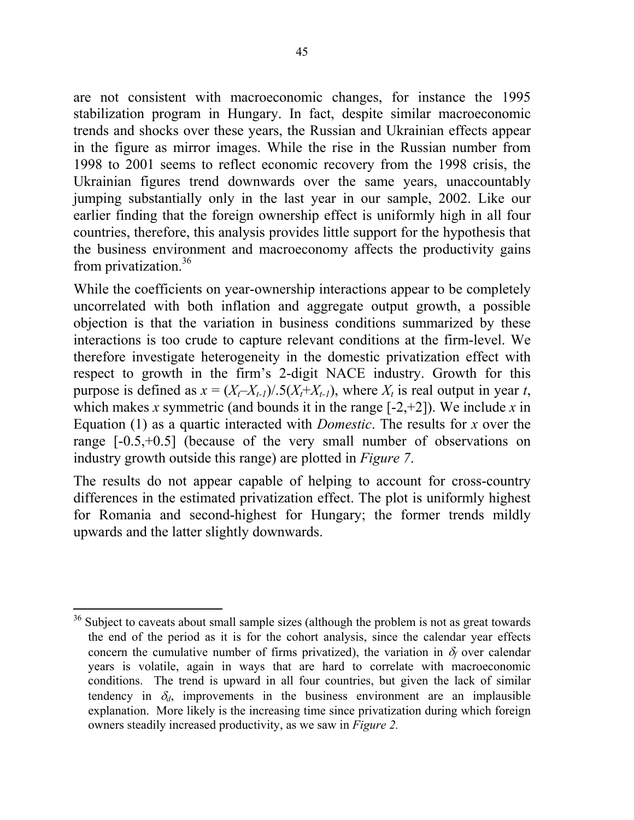are not consistent with macroeconomic changes, for instance the 1995 stabilization program in Hungary. In fact, despite similar macroeconomic trends and shocks over these years, the Russian and Ukrainian effects appear in the figure as mirror images. While the rise in the Russian number from 1998 to 2001 seems to reflect economic recovery from the 1998 crisis, the Ukrainian figures trend downwards over the same years, unaccountably jumping substantially only in the last year in our sample, 2002. Like our earlier finding that the foreign ownership effect is uniformly high in all four countries, therefore, this analysis provides little support for the hypothesis that the business environment and macroeconomy affects the productivity gains from privatization.<sup>36</sup>

While the coefficients on year-ownership interactions appear to be completely uncorrelated with both inflation and aggregate output growth, a possible objection is that the variation in business conditions summarized by these interactions is too crude to capture relevant conditions at the firm-level. We therefore investigate heterogeneity in the domestic privatization effect with respect to growth in the firm's 2-digit NACE industry. Growth for this purpose is defined as  $x = (X_t - X_{t-1})/0.5(X_t + X_{t-1})$ , where  $X_t$  is real output in year  $t$ , which makes *x* symmetric (and bounds it in the range  $[-2, +2]$ ). We include *x* in Equation (1) as a quartic interacted with *Domestic*. The results for *x* over the range [-0.5,+0.5] (because of the very small number of observations on industry growth outside this range) are plotted in *Figure 7*.

The results do not appear capable of helping to account for cross-country differences in the estimated privatization effect. The plot is uniformly highest for Romania and second-highest for Hungary; the former trends mildly upwards and the latter slightly downwards.

 $\frac{1}{\sqrt{2}}$  $36$  Subject to caveats about small sample sizes (although the problem is not as great towards the end of the period as it is for the cohort analysis, since the calendar year effects concern the cumulative number of firms privatized), the variation in  $\delta_f$  over calendar years is volatile, again in ways that are hard to correlate with macroeconomic conditions. The trend is upward in all four countries, but given the lack of similar tendency in  $\delta_d$ , improvements in the business environment are an implausible explanation. More likely is the increasing time since privatization during which foreign owners steadily increased productivity, as we saw in *Figure 2.*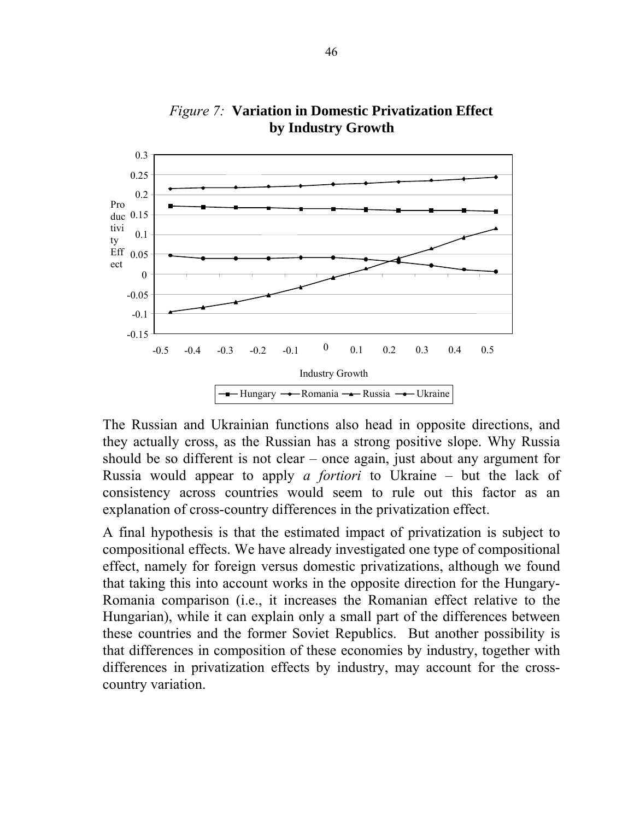

# *Figure 7:* **Variation in Domestic Privatization Effect by Industry Growth**

The Russian and Ukrainian functions also head in opposite directions, and they actually cross, as the Russian has a strong positive slope. Why Russia should be so different is not clear  $-$  once again, just about any argument for Russia would appear to apply *a fortiori* to Ukraine  $-$  but the lack of consistency across countries would seem to rule out this factor as an explanation of cross-country differences in the privatization effect.

A final hypothesis is that the estimated impact of privatization is subject to compositional effects. We have already investigated one type of compositional effect, namely for foreign versus domestic privatizations, although we found that taking this into account works in the opposite direction for the Hungary-Romania comparison (i.e., it increases the Romanian effect relative to the Hungarian), while it can explain only a small part of the differences between these countries and the former Soviet Republics. But another possibility is that differences in composition of these economies by industry, together with differences in privatization effects by industry, may account for the crosscountry variation.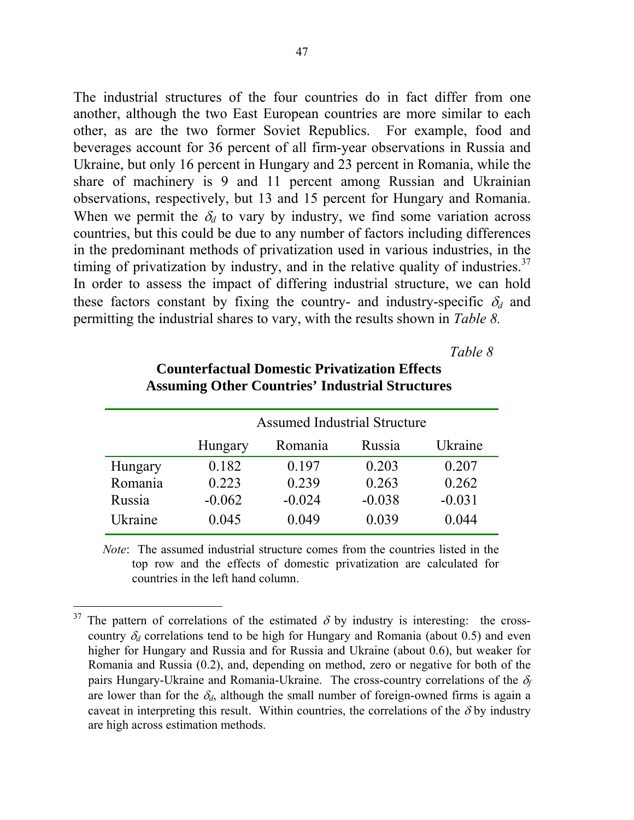The industrial structures of the four countries do in fact differ from one another, although the two East European countries are more similar to each other, as are the two former Soviet Republics. For example, food and beverages account for 36 percent of all firm-year observations in Russia and Ukraine, but only 16 percent in Hungary and 23 percent in Romania, while the share of machinery is 9 and 11 percent among Russian and Ukrainian observations, respectively, but 13 and 15 percent for Hungary and Romania. When we permit the  $\delta_d$  to vary by industry, we find some variation across countries, but this could be due to any number of factors including differences in the predominant methods of privatization used in various industries, in the timing of privatization by industry, and in the relative quality of industries. $37$ In order to assess the impact of differing industrial structure, we can hold these factors constant by fixing the country- and industry-specific  $\delta_d$  and permitting the industrial shares to vary, with the results shown in *Table 8.*

*Table 8*

|         | <b>Assumed Industrial Structure</b> |          |          |          |  |  |  |  |  |  |  |  |
|---------|-------------------------------------|----------|----------|----------|--|--|--|--|--|--|--|--|
|         | Hungary                             | Romania  | Russia   | Ukraine  |  |  |  |  |  |  |  |  |
| Hungary | 0.182                               | 0.197    | 0.203    | 0.207    |  |  |  |  |  |  |  |  |
| Romania | 0.223                               | 0.239    | 0.263    | 0.262    |  |  |  |  |  |  |  |  |
| Russia  | $-0.062$                            | $-0.024$ | $-0.038$ | $-0.031$ |  |  |  |  |  |  |  |  |
| Ukraine | 0.045                               | 0.049    | 0.039    | 0.044    |  |  |  |  |  |  |  |  |

# **Counterfactual Domestic Privatization Effects Assuming Other Countries' Industrial Structures**

*Note*: The assumed industrial structure comes from the countries listed in the top row and the effects of domestic privatization are calculated for countries in the left hand column.

 $\overline{a}$ <sup>37</sup> The pattern of correlations of the estimated  $\delta$  by industry is interesting: the crosscountry  $\delta_d$  correlations tend to be high for Hungary and Romania (about 0.5) and even higher for Hungary and Russia and for Russia and Ukraine (about 0.6), but weaker for Romania and Russia (0.2), and, depending on method, zero or negative for both of the pairs Hungary-Ukraine and Romania-Ukraine. The cross-country correlations of the δ*<sup>f</sup>* are lower than for the  $\delta_d$ , although the small number of foreign-owned firms is again a caveat in interpreting this result. Within countries, the correlations of the  $\delta$  by industry are high across estimation methods.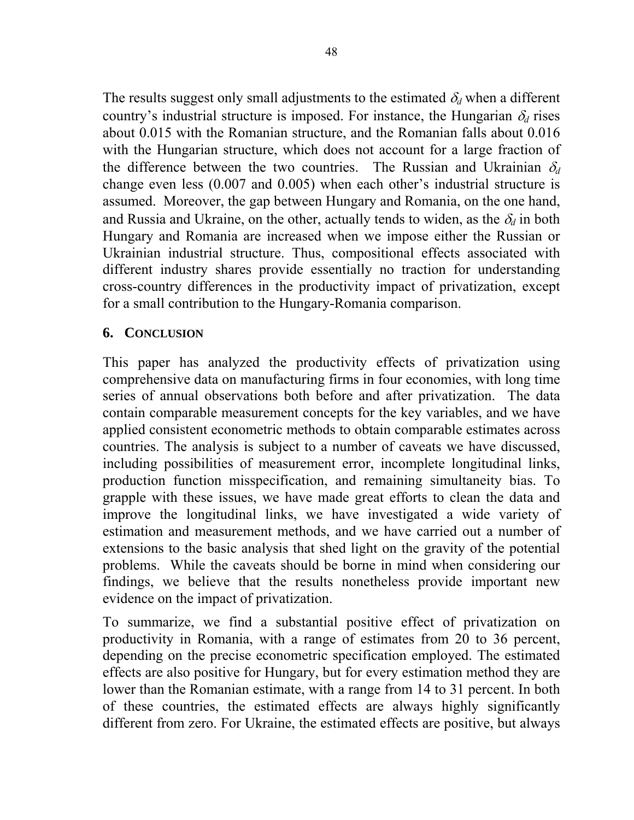The results suggest only small adjustments to the estimated  $\delta_d$  when a different country's industrial structure is imposed. For instance, the Hungarian  $\delta_d$  rises about 0.015 with the Romanian structure, and the Romanian falls about 0.016 with the Hungarian structure, which does not account for a large fraction of the difference between the two countries. The Russian and Ukrainian  $\delta_d$ change even less  $(0.007$  and  $(0.005)$  when each other's industrial structure is assumed. Moreover, the gap between Hungary and Romania, on the one hand, and Russia and Ukraine, on the other, actually tends to widen, as the  $\delta_d$  in both Hungary and Romania are increased when we impose either the Russian or Ukrainian industrial structure. Thus, compositional effects associated with different industry shares provide essentially no traction for understanding cross-country differences in the productivity impact of privatization, except for a small contribution to the Hungary-Romania comparison.

# **6. CONCLUSION**

This paper has analyzed the productivity effects of privatization using comprehensive data on manufacturing firms in four economies, with long time series of annual observations both before and after privatization. The data contain comparable measurement concepts for the key variables, and we have applied consistent econometric methods to obtain comparable estimates across countries. The analysis is subject to a number of caveats we have discussed, including possibilities of measurement error, incomplete longitudinal links, production function misspecification, and remaining simultaneity bias. To grapple with these issues, we have made great efforts to clean the data and improve the longitudinal links, we have investigated a wide variety of estimation and measurement methods, and we have carried out a number of extensions to the basic analysis that shed light on the gravity of the potential problems. While the caveats should be borne in mind when considering our findings, we believe that the results nonetheless provide important new evidence on the impact of privatization.

To summarize, we find a substantial positive effect of privatization on productivity in Romania, with a range of estimates from 20 to 36 percent, depending on the precise econometric specification employed. The estimated effects are also positive for Hungary, but for every estimation method they are lower than the Romanian estimate, with a range from 14 to 31 percent. In both of these countries, the estimated effects are always highly significantly different from zero. For Ukraine, the estimated effects are positive, but always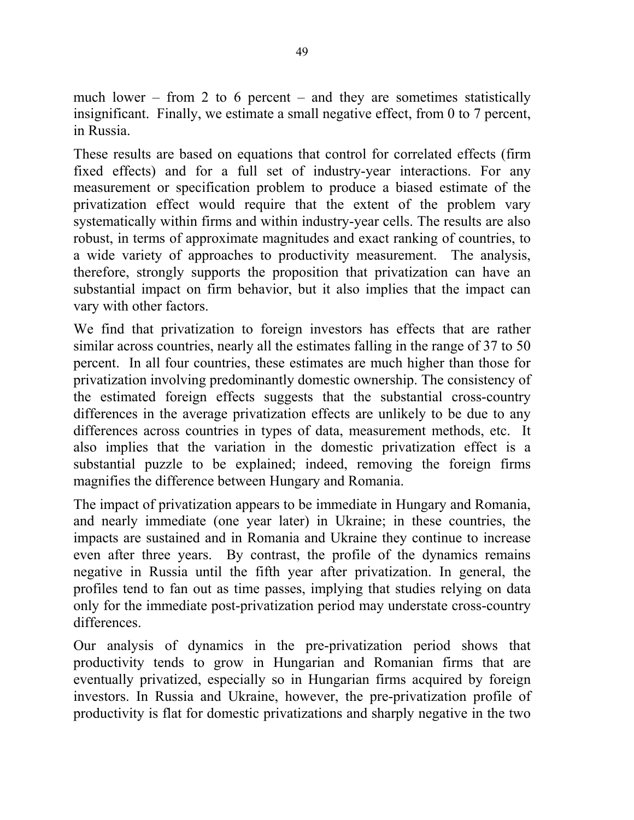much lower – from 2 to 6 percent – and they are sometimes statistically insignificant. Finally, we estimate a small negative effect, from 0 to 7 percent, in Russia.

These results are based on equations that control for correlated effects (firm fixed effects) and for a full set of industry-year interactions. For any measurement or specification problem to produce a biased estimate of the privatization effect would require that the extent of the problem vary systematically within firms and within industry-year cells. The results are also robust, in terms of approximate magnitudes and exact ranking of countries, to a wide variety of approaches to productivity measurement. The analysis, therefore, strongly supports the proposition that privatization can have an substantial impact on firm behavior, but it also implies that the impact can vary with other factors.

We find that privatization to foreign investors has effects that are rather similar across countries, nearly all the estimates falling in the range of 37 to 50 percent. In all four countries, these estimates are much higher than those for privatization involving predominantly domestic ownership. The consistency of the estimated foreign effects suggests that the substantial cross-country differences in the average privatization effects are unlikely to be due to any differences across countries in types of data, measurement methods, etc. It also implies that the variation in the domestic privatization effect is a substantial puzzle to be explained; indeed, removing the foreign firms magnifies the difference between Hungary and Romania.

The impact of privatization appears to be immediate in Hungary and Romania, and nearly immediate (one year later) in Ukraine; in these countries, the impacts are sustained and in Romania and Ukraine they continue to increase even after three years. By contrast, the profile of the dynamics remains negative in Russia until the fifth year after privatization. In general, the profiles tend to fan out as time passes, implying that studies relying on data only for the immediate post-privatization period may understate cross-country differences.

Our analysis of dynamics in the pre-privatization period shows that productivity tends to grow in Hungarian and Romanian firms that are eventually privatized, especially so in Hungarian firms acquired by foreign investors. In Russia and Ukraine, however, the pre-privatization profile of productivity is flat for domestic privatizations and sharply negative in the two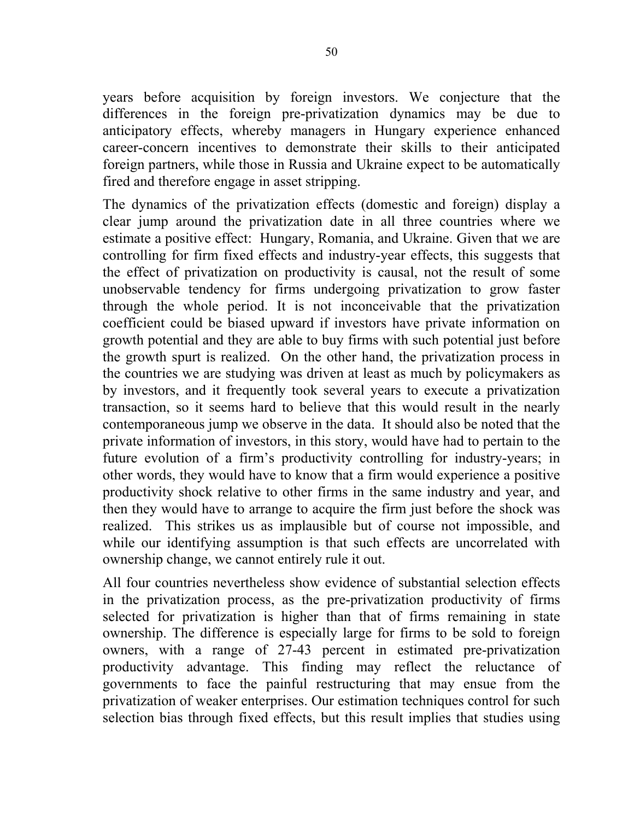years before acquisition by foreign investors. We conjecture that the differences in the foreign pre-privatization dynamics may be due to anticipatory effects, whereby managers in Hungary experience enhanced career-concern incentives to demonstrate their skills to their anticipated foreign partners, while those in Russia and Ukraine expect to be automatically fired and therefore engage in asset stripping.

The dynamics of the privatization effects (domestic and foreign) display a clear jump around the privatization date in all three countries where we estimate a positive effect: Hungary, Romania, and Ukraine. Given that we are controlling for firm fixed effects and industry-year effects, this suggests that the effect of privatization on productivity is causal, not the result of some unobservable tendency for firms undergoing privatization to grow faster through the whole period. It is not inconceivable that the privatization coefficient could be biased upward if investors have private information on growth potential and they are able to buy firms with such potential just before the growth spurt is realized. On the other hand, the privatization process in the countries we are studying was driven at least as much by policymakers as by investors, and it frequently took several years to execute a privatization transaction, so it seems hard to believe that this would result in the nearly contemporaneous jump we observe in the data. It should also be noted that the private information of investors, in this story, would have had to pertain to the future evolution of a firm's productivity controlling for industry-years; in other words, they would have to know that a firm would experience a positive productivity shock relative to other firms in the same industry and year, and then they would have to arrange to acquire the firm just before the shock was realized. This strikes us as implausible but of course not impossible, and while our identifying assumption is that such effects are uncorrelated with ownership change, we cannot entirely rule it out.

All four countries nevertheless show evidence of substantial selection effects in the privatization process, as the pre-privatization productivity of firms selected for privatization is higher than that of firms remaining in state ownership. The difference is especially large for firms to be sold to foreign owners, with a range of 27-43 percent in estimated pre-privatization productivity advantage. This finding may reflect the reluctance of governments to face the painful restructuring that may ensue from the privatization of weaker enterprises. Our estimation techniques control for such selection bias through fixed effects, but this result implies that studies using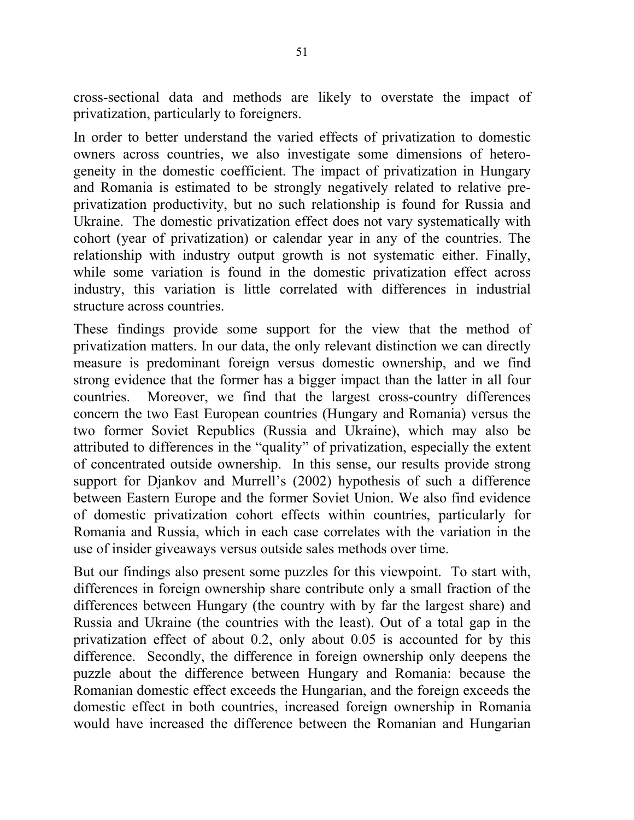cross-sectional data and methods are likely to overstate the impact of privatization, particularly to foreigners.

In order to better understand the varied effects of privatization to domestic owners across countries, we also investigate some dimensions of heterogeneity in the domestic coefficient. The impact of privatization in Hungary and Romania is estimated to be strongly negatively related to relative preprivatization productivity, but no such relationship is found for Russia and Ukraine. The domestic privatization effect does not vary systematically with cohort (year of privatization) or calendar year in any of the countries. The relationship with industry output growth is not systematic either. Finally, while some variation is found in the domestic privatization effect across industry, this variation is little correlated with differences in industrial structure across countries.

These findings provide some support for the view that the method of privatization matters. In our data, the only relevant distinction we can directly measure is predominant foreign versus domestic ownership, and we find strong evidence that the former has a bigger impact than the latter in all four countries. Moreover, we find that the largest cross-country differences concern the two East European countries (Hungary and Romania) versus the two former Soviet Republics (Russia and Ukraine), which may also be attributed to differences in the "quality" of privatization, especially the extent of concentrated outside ownership. In this sense, our results provide strong support for Djankov and Murrell's (2002) hypothesis of such a difference between Eastern Europe and the former Soviet Union. We also find evidence of domestic privatization cohort effects within countries, particularly for Romania and Russia, which in each case correlates with the variation in the use of insider giveaways versus outside sales methods over time.

But our findings also present some puzzles for this viewpoint. To start with, differences in foreign ownership share contribute only a small fraction of the differences between Hungary (the country with by far the largest share) and Russia and Ukraine (the countries with the least). Out of a total gap in the privatization effect of about 0.2, only about 0.05 is accounted for by this difference. Secondly, the difference in foreign ownership only deepens the puzzle about the difference between Hungary and Romania: because the Romanian domestic effect exceeds the Hungarian, and the foreign exceeds the domestic effect in both countries, increased foreign ownership in Romania would have increased the difference between the Romanian and Hungarian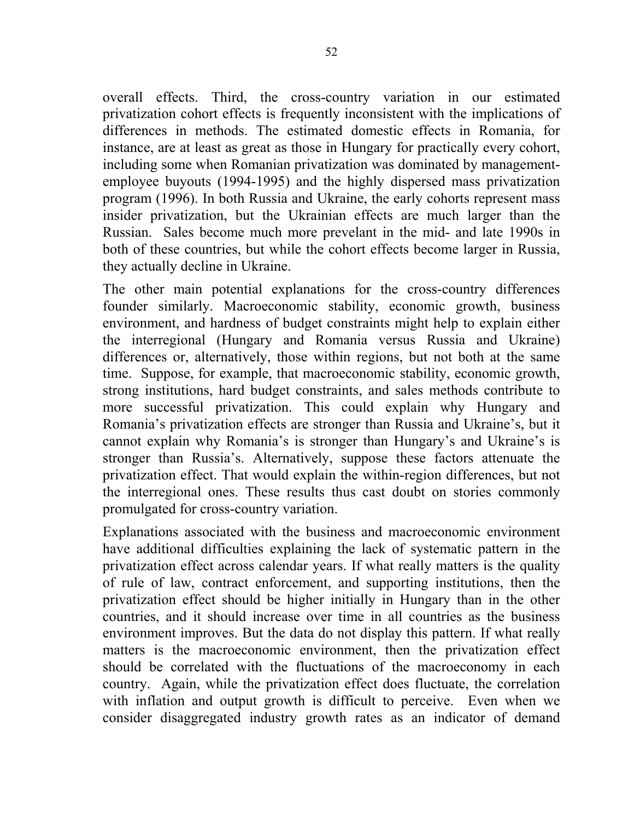overall effects. Third, the cross-country variation in our estimated privatization cohort effects is frequently inconsistent with the implications of differences in methods. The estimated domestic effects in Romania, for instance, are at least as great as those in Hungary for practically every cohort, including some when Romanian privatization was dominated by managementemployee buyouts (1994-1995) and the highly dispersed mass privatization program (1996). In both Russia and Ukraine, the early cohorts represent mass insider privatization, but the Ukrainian effects are much larger than the Russian. Sales become much more prevelant in the mid- and late 1990s in both of these countries, but while the cohort effects become larger in Russia, they actually decline in Ukraine.

The other main potential explanations for the cross-country differences founder similarly. Macroeconomic stability, economic growth, business environment, and hardness of budget constraints might help to explain either the interregional (Hungary and Romania versus Russia and Ukraine) differences or, alternatively, those within regions, but not both at the same time. Suppose, for example, that macroeconomic stability, economic growth, strong institutions, hard budget constraints, and sales methods contribute to more successful privatization. This could explain why Hungary and Romania's privatization effects are stronger than Russia and Ukraine's, but it cannot explain why Romania's is stronger than Hungary's and Ukraine's is stronger than Russia's. Alternatively, suppose these factors attenuate the privatization effect. That would explain the within-region differences, but not the interregional ones. These results thus cast doubt on stories commonly promulgated for cross-country variation.

Explanations associated with the business and macroeconomic environment have additional difficulties explaining the lack of systematic pattern in the privatization effect across calendar years. If what really matters is the quality of rule of law, contract enforcement, and supporting institutions, then the privatization effect should be higher initially in Hungary than in the other countries, and it should increase over time in all countries as the business environment improves. But the data do not display this pattern. If what really matters is the macroeconomic environment, then the privatization effect should be correlated with the fluctuations of the macroeconomy in each country. Again, while the privatization effect does fluctuate, the correlation with inflation and output growth is difficult to perceive. Even when we consider disaggregated industry growth rates as an indicator of demand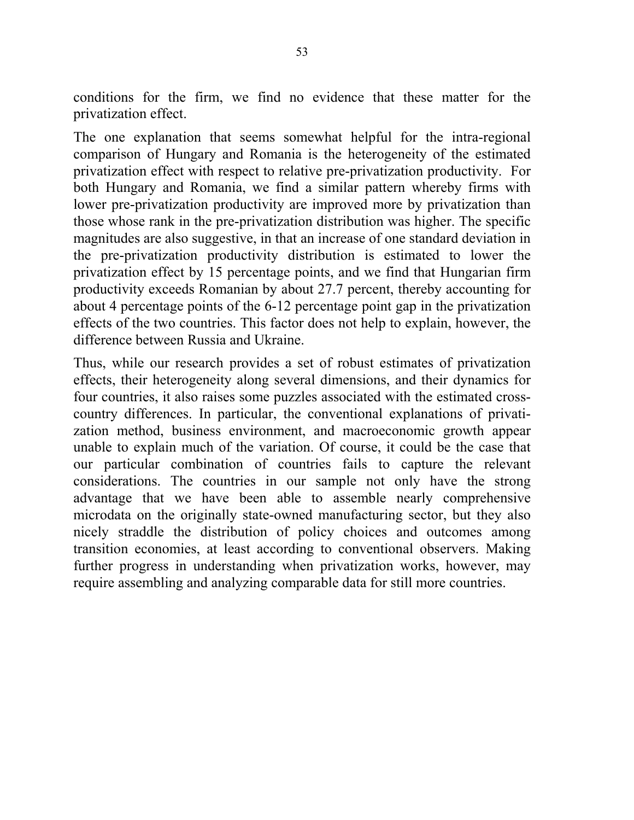conditions for the firm, we find no evidence that these matter for the privatization effect.

The one explanation that seems somewhat helpful for the intra-regional comparison of Hungary and Romania is the heterogeneity of the estimated privatization effect with respect to relative pre-privatization productivity. For both Hungary and Romania, we find a similar pattern whereby firms with lower pre-privatization productivity are improved more by privatization than those whose rank in the pre-privatization distribution was higher. The specific magnitudes are also suggestive, in that an increase of one standard deviation in the pre-privatization productivity distribution is estimated to lower the privatization effect by 15 percentage points, and we find that Hungarian firm productivity exceeds Romanian by about 27.7 percent, thereby accounting for about 4 percentage points of the 6-12 percentage point gap in the privatization effects of the two countries. This factor does not help to explain, however, the difference between Russia and Ukraine.

Thus, while our research provides a set of robust estimates of privatization effects, their heterogeneity along several dimensions, and their dynamics for four countries, it also raises some puzzles associated with the estimated crosscountry differences. In particular, the conventional explanations of privatization method, business environment, and macroeconomic growth appear unable to explain much of the variation. Of course, it could be the case that our particular combination of countries fails to capture the relevant considerations. The countries in our sample not only have the strong advantage that we have been able to assemble nearly comprehensive microdata on the originally state-owned manufacturing sector, but they also nicely straddle the distribution of policy choices and outcomes among transition economies, at least according to conventional observers. Making further progress in understanding when privatization works, however, may require assembling and analyzing comparable data for still more countries.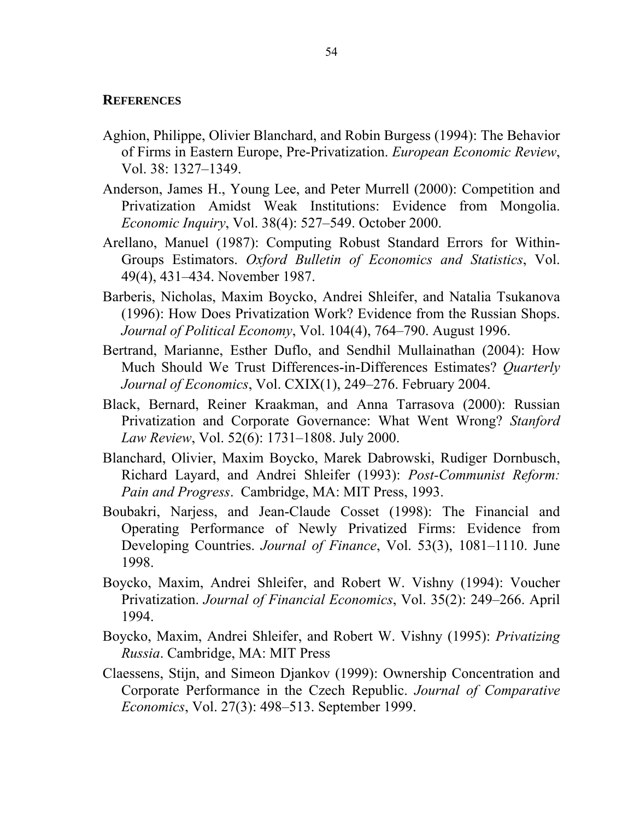### **REFERENCES**

- Aghion, Philippe, Olivier Blanchard, and Robin Burgess (1994): The Behavior of Firms in Eastern Europe, Pre-Privatization. *European Economic Review*, Vol. 38: 1327–1349.
- Anderson, James H., Young Lee, and Peter Murrell (2000): Competition and Privatization Amidst Weak Institutions: Evidence from Mongolia. *Economic Inquiry*, Vol. 38(4): 527–549. October 2000.
- Arellano, Manuel (1987): Computing Robust Standard Errors for Within-Groups Estimators. *Oxford Bulletin of Economics and Statistics*, Vol. 49(4), 431–434. November 1987.
- Barberis, Nicholas, Maxim Boycko, Andrei Shleifer, and Natalia Tsukanova (1996): How Does Privatization Work? Evidence from the Russian Shops. *Journal of Political Economy*, Vol. 104(4), 764–790. August 1996.
- Bertrand, Marianne, Esther Duflo, and Sendhil Mullainathan (2004): How Much Should We Trust Differences-in-Differences Estimates? *Quarterly Journal of Economics*, Vol. CXIX(1), 249–276. February 2004.
- Black, Bernard, Reiner Kraakman, and Anna Tarrasova (2000): Russian Privatization and Corporate Governance: What Went Wrong? *Stanford Law Review, Vol.* 52(6): 1731–1808. July 2000.
- Blanchard, Olivier, Maxim Boycko, Marek Dabrowski, Rudiger Dornbusch, Richard Layard, and Andrei Shleifer (1993): *Post-Communist Reform: Pain and Progress*. Cambridge, MA: MIT Press, 1993.
- Boubakri, Narjess, and Jean-Claude Cosset (1998): The Financial and Operating Performance of Newly Privatized Firms: Evidence from Developing Countries. *Journal of Finance*, Vol. 53(3), 1081–1110. June 1998.
- Boycko, Maxim, Andrei Shleifer, and Robert W. Vishny (1994): Voucher Privatization. *Journal of Financial Economics*, Vol. 35(2): 249–266. April 1994.
- Boycko, Maxim, Andrei Shleifer, and Robert W. Vishny (1995): *Privatizing Russia*. Cambridge, MA: MIT Press
- Claessens, Stijn, and Simeon Djankov (1999): Ownership Concentration and Corporate Performance in the Czech Republic. *Journal of Comparative Economics*, Vol. 27(3): 498–513. September 1999.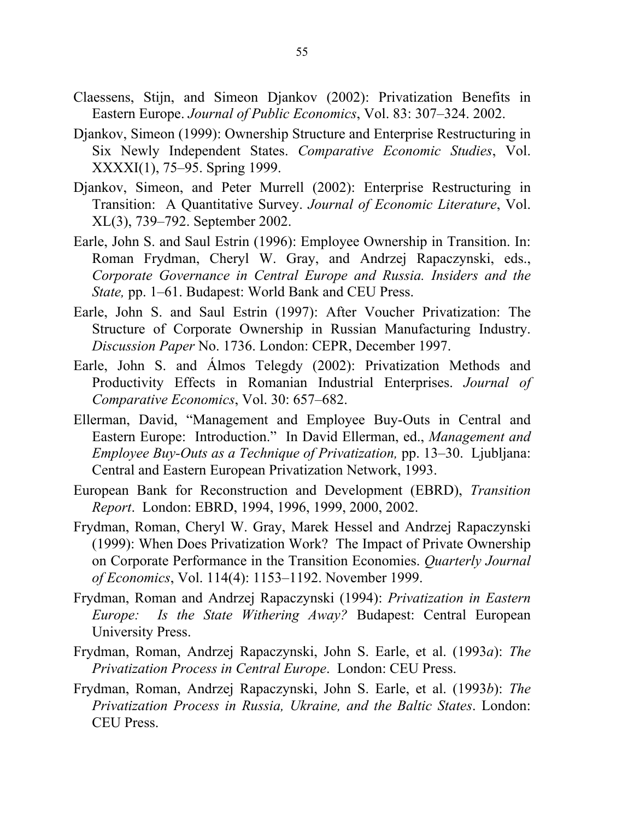- Claessens, Stijn, and Simeon Djankov (2002): Privatization Benefits in Eastern Europe. *Journal of Public Economics*, Vol. 83: 307–324. 2002.
- Djankov, Simeon (1999): Ownership Structure and Enterprise Restructuring in Six Newly Independent States. *Comparative Economic Studies*, Vol. XXXXI(1), 75–95. Spring 1999.
- Djankov, Simeon, and Peter Murrell (2002): Enterprise Restructuring in Transition: A Quantitative Survey. *Journal of Economic Literature*, Vol. XL(3), 739–792. September 2002.
- Earle, John S. and Saul Estrin (1996): Employee Ownership in Transition. In: Roman Frydman, Cheryl W. Gray, and Andrzej Rapaczynski, eds., *Corporate Governance in Central Europe and Russia. Insiders and the* State, pp. 1-61. Budapest: World Bank and CEU Press.
- Earle, John S. and Saul Estrin (1997): After Voucher Privatization: The Structure of Corporate Ownership in Russian Manufacturing Industry. *Discussion Paper* No. 1736. London: CEPR, December 1997.
- Earle, John S. and Álmos Telegdy (2002): Privatization Methods and Productivity Effects in Romanian Industrial Enterprises. *Journal of Comparative Economics*, Vol. 30: 657-682.
- Ellerman, David, "Management and Employee Buy-Outs in Central and Eastern Europe: Introduction." In David Ellerman, ed., Management and *Employee Buy-Outs as a Technique of Privatization,* pp. 13–30. Ljubljana: Central and Eastern European Privatization Network, 1993.
- European Bank for Reconstruction and Development (EBRD), *Transition Report*. London: EBRD, 1994, 1996, 1999, 2000, 2002.
- Frydman, Roman, Cheryl W. Gray, Marek Hessel and Andrzej Rapaczynski (1999): When Does Privatization Work? The Impact of Private Ownership on Corporate Performance in the Transition Economies. *Quarterly Journal of Economics*, Vol. 114(4): 1153–1192. November 1999.
- Frydman, Roman and Andrzej Rapaczynski (1994): *Privatization in Eastern Europe: Is the State Withering Away?* Budapest: Central European University Press.
- Frydman, Roman, Andrzej Rapaczynski, John S. Earle, et al. (1993*a*): *The Privatization Process in Central Europe*. London: CEU Press.
- Frydman, Roman, Andrzej Rapaczynski, John S. Earle, et al. (1993*b*): *The Privatization Process in Russia, Ukraine, and the Baltic States*. London: CEU Press.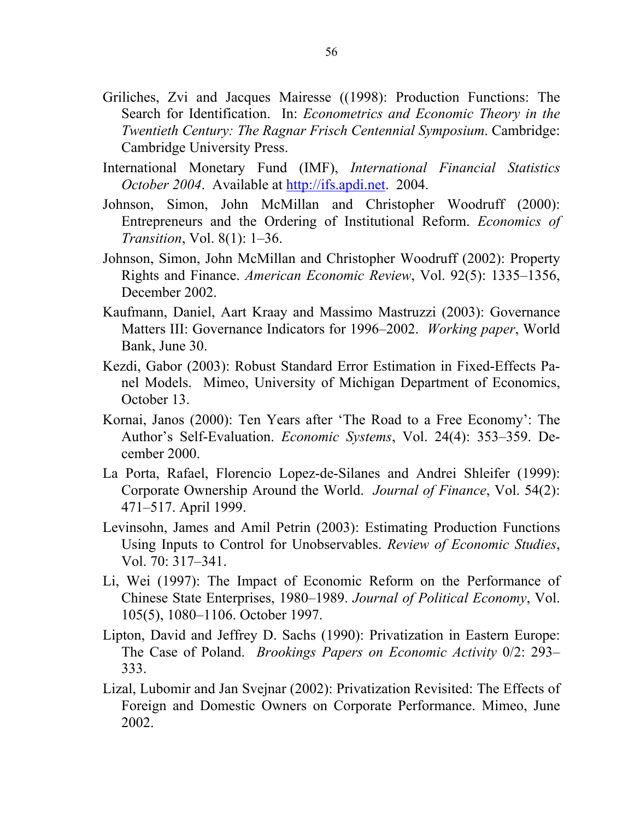- Griliches, Zvi and Jacques Mairesse ((1998): Production Functions: The Search for Identification. In: *Econometrics and Economic Theory in the Twentieth Century: The Ragnar Frisch Centennial Symposium*. Cambridge: Cambridge University Press.
- International Monetary Fund (IMF), *International Financial Statistics October 2004*. Available at [http://ifs.apdi.net.](http://ifs.apdi.net/) 2004.
- Johnson, Simon, John McMillan and Christopher Woodruff (2000): Entrepreneurs and the Ordering of Institutional Reform. *Economics of Transition*, Vol. 8(1): 1–36.
- Johnson, Simon, John McMillan and Christopher Woodruff (2002): Property Rights and Finance. *American Economic Review*, Vol. 92(5): 1335–1356, December 2002.
- Kaufmann, Daniel, Aart Kraay and Massimo Mastruzzi (2003): Governance Matters III: Governance Indicators for 1996–2002. *Working paper*, World Bank, June 30.
- Kezdi, Gabor (2003): Robust Standard Error Estimation in Fixed-Effects Panel Models. Mimeo, University of Michigan Department of Economics, October 13.
- Kornai, Janos (2000): Ten Years after 'The Road to a Free Economy': The Author's Self-Evaluation. *Economic Systems*, Vol. 24(4): 353-359. December 2000.
- La Porta, Rafael, Florencio Lopez-de-Silanes and Andrei Shleifer (1999): Corporate Ownership Around the World. *Journal of Finance*, Vol. 54(2): 471-517. April 1999.
- Levinsohn, James and Amil Petrin (2003): Estimating Production Functions Using Inputs to Control for Unobservables. *Review of Economic Studies*, Vol. 70:  $317-341$ .
- Li, Wei (1997): The Impact of Economic Reform on the Performance of Chinese State Enterprises, 1980–1989. *Journal of Political Economy*, Vol. 105(5), 1080–1106. October 1997.
- Lipton, David and Jeffrey D. Sachs (1990): Privatization in Eastern Europe: The Case of Poland. *Brookings Papers on Economic Activity* 0/2: 293– 333.
- Lizal, Lubomir and Jan Svejnar (2002): Privatization Revisited: The Effects of Foreign and Domestic Owners on Corporate Performance. Mimeo, June 2002.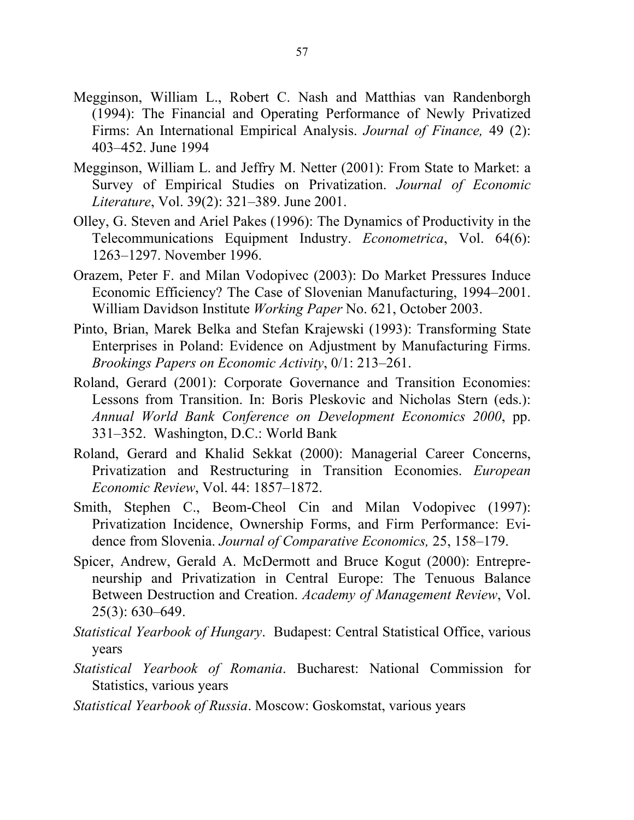- Megginson, William L., Robert C. Nash and Matthias van Randenborgh (1994): The Financial and Operating Performance of Newly Privatized Firms: An International Empirical Analysis. *Journal of Finance,* 49 (2): 403–452. June 1994
- Megginson, William L. and Jeffry M. Netter (2001): From State to Market: a Survey of Empirical Studies on Privatization. *Journal of Economic Literature*, Vol. 39(2): 321–389. June 2001.
- Olley, G. Steven and Ariel Pakes (1996): The Dynamics of Productivity in the Telecommunications Equipment Industry. *Econometrica*, Vol. 64(6): 1263–1297. November 1996.
- Orazem, Peter F. and Milan Vodopivec (2003): Do Market Pressures Induce Economic Efficiency? The Case of Slovenian Manufacturing, 1994–2001. William Davidson Institute *Working Paper* No. 621, October 2003.
- Pinto, Brian, Marek Belka and Stefan Krajewski (1993): Transforming State Enterprises in Poland: Evidence on Adjustment by Manufacturing Firms. *Brookings Papers on Economic Activity, 0/1: 213-261.*
- Roland, Gerard (2001): Corporate Governance and Transition Economies: Lessons from Transition. In: Boris Pleskovic and Nicholas Stern (eds.): *Annual World Bank Conference on Development Economics 2000*, pp. 331–352. Washington, D.C.: World Bank
- Roland, Gerard and Khalid Sekkat (2000): Managerial Career Concerns, Privatization and Restructuring in Transition Economies. *European Economic Review, Vol. 44: 1857-1872.*
- Smith, Stephen C., Beom-Cheol Cin and Milan Vodopivec (1997): Privatization Incidence, Ownership Forms, and Firm Performance: Evidence from Slovenia. *Journal of Comparative Economics*, 25, 158–179.
- Spicer, Andrew, Gerald A. McDermott and Bruce Kogut (2000): Entrepreneurship and Privatization in Central Europe: The Tenuous Balance Between Destruction and Creation. *Academy of Management Review*, Vol.  $25(3)$ : 630–649.
- *Statistical Yearbook of Hungary*. Budapest: Central Statistical Office, various years
- *Statistical Yearbook of Romania*. Bucharest: National Commission for Statistics, various years
- *Statistical Yearbook of Russia*. Moscow: Goskomstat, various years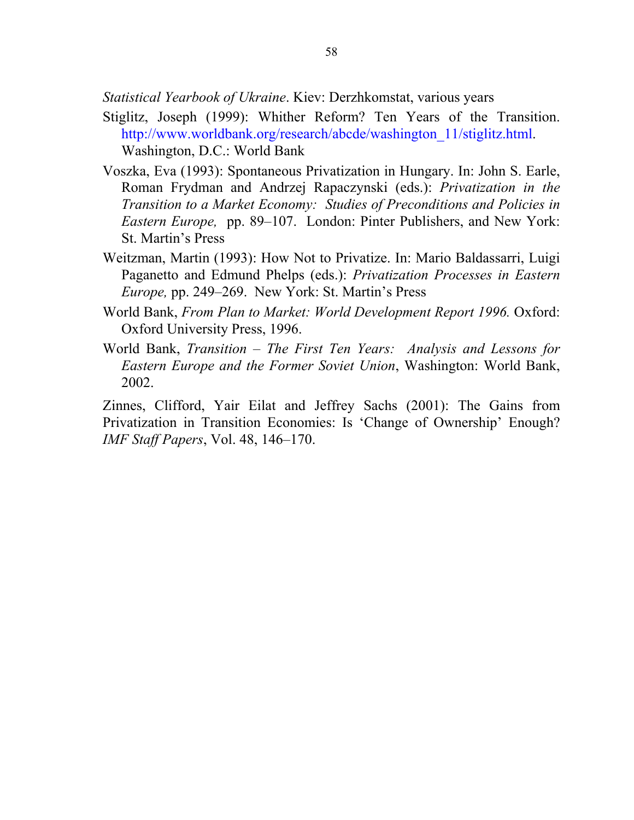*Statistical Yearbook of Ukraine*. Kiev: Derzhkomstat, various years

- Stiglitz, Joseph (1999): Whither Reform? Ten Years of the Transition. [http://www.worldbank.org/research/abcde/washington\\_11/stiglitz.html.](http://www.worldbank.org/ research/abcde/washington_11/stiglitz.html) Washington, D.C.: World Bank
- Voszka, Eva (1993): Spontaneous Privatization in Hungary. In: John S. Earle, Roman Frydman and Andrzej Rapaczynski (eds.): *Privatization in the Transition to a Market Economy: Studies of Preconditions and Policies in Eastern Europe,* pp. 89–107. London: Pinter Publishers, and New York: St. Martin's Press
- Weitzman, Martin (1993): How Not to Privatize. In: Mario Baldassarri, Luigi Paganetto and Edmund Phelps (eds.): *Privatization Processes in Eastern Europe,* pp. 249–269. New York: St. Martin's Press
- World Bank, *From Plan to Market: World Development Report 1996.* Oxford: Oxford University Press, 1996.
- World Bank, *Transition The First Ten Years: Analysis and Lessons for Eastern Europe and the Former Soviet Union*, Washington: World Bank, 2002.

Zinnes, Clifford, Yair Eilat and Jeffrey Sachs (2001): The Gains from Privatization in Transition Economies: Is 'Change of Ownership' Enough? *IMF Staff Papers*, Vol. 48, 146-170.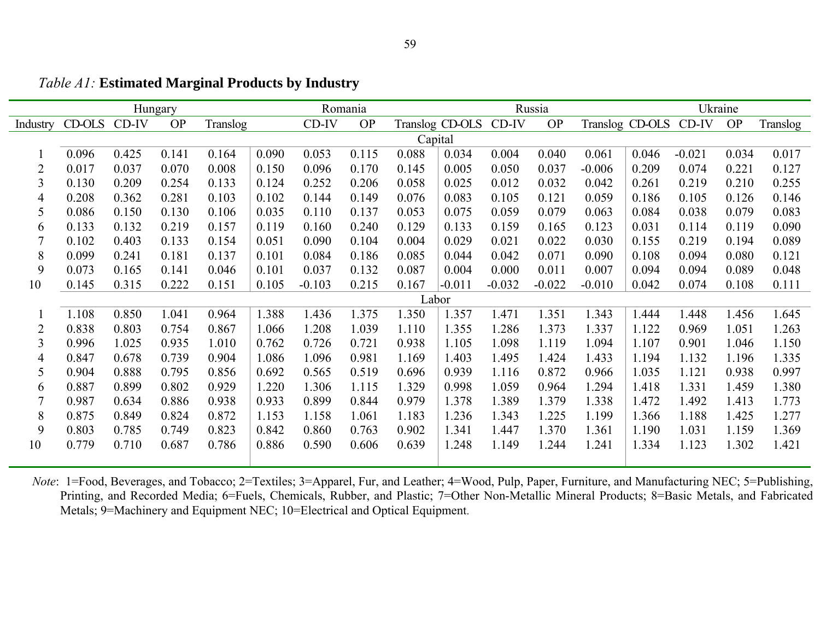| × |  |
|---|--|
|   |  |
|   |  |
|   |  |

*Table A1:* **Estimated Marginal Products by Industry**

Î.

|                | Hungary       |          |           |          |       | Romania  |           |         |                 | Russia   |           |          | Ukraine         |          |           |          |
|----------------|---------------|----------|-----------|----------|-------|----------|-----------|---------|-----------------|----------|-----------|----------|-----------------|----------|-----------|----------|
| Industry       | <b>CD-OLS</b> | $CD$ -IV | <b>OP</b> | Translog |       | CD-IV    | <b>OP</b> |         | Translog CD-OLS | $CD$ -IV | <b>OP</b> |          | Translog CD-OLS | $CD$ -IV | <b>OP</b> | Translog |
|                |               |          |           |          |       |          |           | Capital |                 |          |           |          |                 |          |           |          |
|                | 0.096         | 0.425    | 0.141     | 0.164    | 0.090 | 0.053    | 0.115     | 0.088   | 0.034           | 0.004    | 0.040     | 0.061    | 0.046           | $-0.021$ | 0.034     | 0.017    |
| $\overline{2}$ | 0.017         | 0.037    | 0.070     | 0.008    | 0.150 | 0.096    | 0.170     | 0.145   | 0.005           | 0.050    | 0.037     | $-0.006$ | 0.209           | 0.074    | 0.221     | 0.127    |
| 3              | 0.130         | 0.209    | 0.254     | 0.133    | 0.124 | 0.252    | 0.206     | 0.058   | 0.025           | 0.012    | 0.032     | 0.042    | 0.261           | 0.219    | 0.210     | 0.255    |
| $\overline{4}$ | 0.208         | 0.362    | 0.281     | 0.103    | 0.102 | 0.144    | 0.149     | 0.076   | 0.083           | 0.105    | 0.121     | 0.059    | 0.186           | 0.105    | 0.126     | 0.146    |
| 5              | 0.086         | 0.150    | 0.130     | 0.106    | 0.035 | 0.110    | 0.137     | 0.053   | 0.075           | 0.059    | 0.079     | 0.063    | 0.084           | 0.038    | 0.079     | 0.083    |
| 6              | 0.133         | 0.132    | 0.219     | 0.157    | 0.119 | 0.160    | 0.240     | 0.129   | 0.133           | 0.159    | 0.165     | 0.123    | 0.031           | 0.114    | 0.119     | 0.090    |
| 7              | 0.102         | 0.403    | 0.133     | 0.154    | 0.051 | 0.090    | 0.104     | 0.004   | 0.029           | 0.021    | 0.022     | 0.030    | 0.155           | 0.219    | 0.194     | 0.089    |
| 8              | 0.099         | 0.241    | 0.181     | 0.137    | 0.101 | 0.084    | 0.186     | 0.085   | 0.044           | 0.042    | 0.071     | 0.090    | 0.108           | 0.094    | 0.080     | 0.121    |
| 9              | 0.073         | 0.165    | 0.141     | 0.046    | 0.101 | 0.037    | 0.132     | 0.087   | 0.004           | 0.000    | 0.011     | 0.007    | 0.094           | 0.094    | 0.089     | 0.048    |
| 10             | 0.145         | 0.315    | 0.222     | 0.151    | 0.105 | $-0.103$ | 0.215     | 0.167   | $-0.011$        | $-0.032$ | $-0.022$  | $-0.010$ | 0.042           | 0.074    | 0.108     | 0.111    |
|                |               |          |           |          |       |          |           | Labor   |                 |          |           |          |                 |          |           |          |
|                | 1.108         | 0.850    | 1.041     | 0.964    | 1.388 | 1.436    | 1.375     | 1.350   | 1.357           | 1.471    | 1.351     | 1.343    | 1.444           | 1.448    | 1.456     | 1.645    |
| $\overline{2}$ | 0.838         | 0.803    | 0.754     | 0.867    | 1.066 | 1.208    | 1.039     | 1.110   | 1.355           | 1.286    | 1.373     | 1.337    | 1.122           | 0.969    | 1.051     | 1.263    |
| 3              | 0.996         | 1.025    | 0.935     | 1.010    | 0.762 | 0.726    | 0.721     | 0.938   | 1.105           | 1.098    | 1.119     | 1.094    | 1.107           | 0.901    | 1.046     | 1.150    |
| 4              | 0.847         | 0.678    | 0.739     | 0.904    | 1.086 | 1.096    | 0.981     | 1.169   | 1.403           | 1.495    | 1.424     | 1.433    | 1.194           | 1.132    | 1.196     | 1.335    |
| 5              | 0.904         | 0.888    | 0.795     | 0.856    | 0.692 | 0.565    | 0.519     | 0.696   | 0.939           | 1.116    | 0.872     | 0.966    | 1.035           | 1.121    | 0.938     | 0.997    |
| 6              | 0.887         | 0.899    | 0.802     | 0.929    | 1.220 | 1.306    | 1.115     | 1.329   | 0.998           | 1.059    | 0.964     | 1.294    | 1.418           | 1.331    | 1.459     | 1.380    |
| $\overline{7}$ | 0.987         | 0.634    | 0.886     | 0.938    | 0.933 | 0.899    | 0.844     | 0.979   | 1.378           | 1.389    | 1.379     | 1.338    | 1.472           | 1.492    | 1.413     | 1.773    |
| 8              | 0.875         | 0.849    | 0.824     | 0.872    | 1.153 | 1.158    | 1.061     | 1.183   | 1.236           | 1.343    | 1.225     | 1.199    | 1.366           | 1.188    | 1.425     | 1.277    |
| 9              | 0.803         | 0.785    | 0.749     | 0.823    | 0.842 | 0.860    | 0.763     | 0.902   | 1.341           | 1.447    | 1.370     | 1.361    | 1.190           | 1.031    | 1.159     | 1.369    |
| 10             | 0.779         | 0.710    | 0.687     | 0.786    | 0.886 | 0.590    | 0.606     | 0.639   | 1.248           | 1.149    | 1.244     | 1.241    | 1.334           | 1.123    | 1.302     | 1.421    |
|                |               |          |           |          |       |          |           |         |                 |          |           |          |                 |          |           |          |

*Note*: 1=Food, Beverages, and Tobacco; 2=Textiles; 3=Apparel, Fur, and Leather; 4=Wood, Pulp, Paper, Furniture, and Manufacturing NEC; 5=Publishing, Printing, and Recorded Media; 6=Fuels, Chemicals, Rubber, and Plastic; 7=Other Non-Metallic Mineral Products; 8=Basic Metals, and Fabricated Metals; 9=Machinery and Equipment NEC; 10=Electrical and Optical Equipment.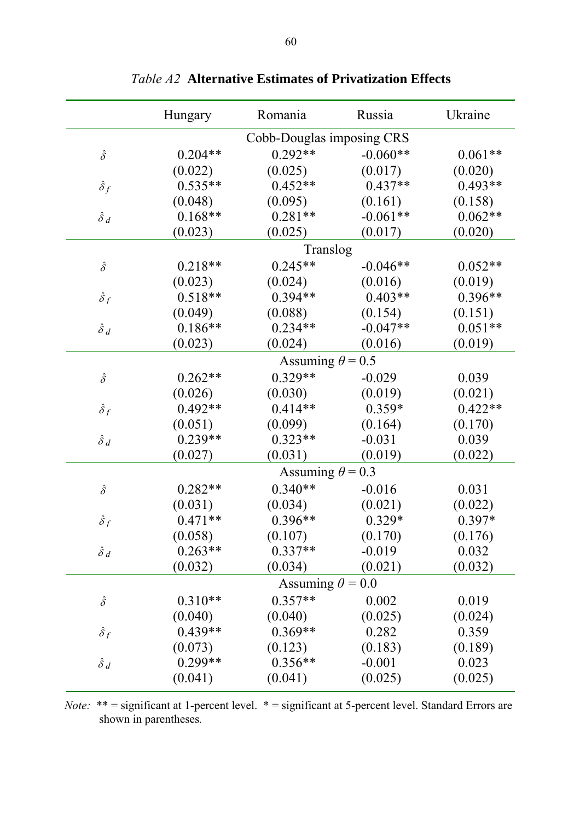|                  | Hungary                 | Romania                   | Russia     | Ukraine   |  |  |  |  |  |  |  |  |
|------------------|-------------------------|---------------------------|------------|-----------|--|--|--|--|--|--|--|--|
|                  |                         | Cobb-Douglas imposing CRS |            |           |  |  |  |  |  |  |  |  |
| $\hat{\delta}$   | $0.204**$               | $0.292**$                 | $-0.060**$ | $0.061**$ |  |  |  |  |  |  |  |  |
|                  | (0.022)                 | (0.025)                   | (0.017)    | (0.020)   |  |  |  |  |  |  |  |  |
| $\hat{\delta}_f$ | $0.535**$               | $0.452**$                 | $0.437**$  | $0.493**$ |  |  |  |  |  |  |  |  |
|                  | (0.048)                 | (0.095)                   | (0.161)    | (0.158)   |  |  |  |  |  |  |  |  |
| $\hat{\delta}$ d | $0.168**$               | $0.281**$                 | $-0.061**$ | $0.062**$ |  |  |  |  |  |  |  |  |
|                  | (0.023)                 | (0.025)                   | (0.017)    | (0.020)   |  |  |  |  |  |  |  |  |
|                  |                         | Translog                  |            |           |  |  |  |  |  |  |  |  |
| $\hat{\delta}$   | $0.218**$               | $0.245**$                 | $-0.046**$ | $0.052**$ |  |  |  |  |  |  |  |  |
|                  | (0.023)                 | (0.024)                   | (0.016)    | (0.019)   |  |  |  |  |  |  |  |  |
| $\hat{\delta}_f$ | $0.518**$               | $0.394**$                 | $0.403**$  | $0.396**$ |  |  |  |  |  |  |  |  |
|                  | (0.049)                 | (0.088)                   | (0.154)    | (0.151)   |  |  |  |  |  |  |  |  |
| $\hat{\delta}$ d | $0.186**$               | $0.234**$                 | $-0.047**$ | $0.051**$ |  |  |  |  |  |  |  |  |
|                  | (0.023)                 | (0.024)                   | (0.016)    | (0.019)   |  |  |  |  |  |  |  |  |
|                  | Assuming $\theta$ = 0.5 |                           |            |           |  |  |  |  |  |  |  |  |
| $\hat{\delta}$   | $0.262**$               | $0.329**$                 | $-0.029$   | 0.039     |  |  |  |  |  |  |  |  |
|                  | (0.026)                 | (0.030)                   | (0.019)    | (0.021)   |  |  |  |  |  |  |  |  |
| $\hat{\delta}_f$ | $0.492**$               | $0.414**$                 | $0.359*$   | $0.422**$ |  |  |  |  |  |  |  |  |
|                  | (0.051)                 | (0.099)                   | (0.164)    | (0.170)   |  |  |  |  |  |  |  |  |
| $\hat{\delta}$ d | $0.239**$               | $0.323**$                 | $-0.031$   | 0.039     |  |  |  |  |  |  |  |  |
|                  | (0.027)                 | (0.031)                   | (0.019)    | (0.022)   |  |  |  |  |  |  |  |  |
|                  |                         | Assuming $\theta$ = 0.3   |            |           |  |  |  |  |  |  |  |  |
| $\hat{\delta}$   | $0.282**$               | $0.340**$                 | $-0.016$   | 0.031     |  |  |  |  |  |  |  |  |
|                  | (0.031)                 | (0.034)                   | (0.021)    | (0.022)   |  |  |  |  |  |  |  |  |
| $\hat{\delta}_f$ | $0.471**$               | $0.396**$                 | $0.329*$   | $0.397*$  |  |  |  |  |  |  |  |  |
|                  | (0.058)                 | (0.107)                   | (0.170)    | (0.176)   |  |  |  |  |  |  |  |  |
| $\hat{\delta}$ d | $0.263**$               | $0.337**$                 | $-0.019$   | 0.032     |  |  |  |  |  |  |  |  |
|                  | (0.032)                 | (0.034)                   | (0.021)    | (0.032)   |  |  |  |  |  |  |  |  |
|                  |                         | Assuming $\theta = 0.0$   |            |           |  |  |  |  |  |  |  |  |
| $\hat{\delta}$   | $0.310**$               | $0.357**$                 | 0.002      | 0.019     |  |  |  |  |  |  |  |  |
|                  | (0.040)                 | (0.040)                   | (0.025)    | (0.024)   |  |  |  |  |  |  |  |  |
| $\hat{\delta}_f$ | 0.439**                 | $0.369**$                 | 0.282      | 0.359     |  |  |  |  |  |  |  |  |
|                  | (0.073)                 | (0.123)                   | (0.183)    | (0.189)   |  |  |  |  |  |  |  |  |
| $\hat{\delta}$ d | 0.299**                 | $0.356**$                 | $-0.001$   | 0.023     |  |  |  |  |  |  |  |  |
|                  | (0.041)                 | (0.041)                   | (0.025)    | (0.025)   |  |  |  |  |  |  |  |  |
|                  |                         |                           |            |           |  |  |  |  |  |  |  |  |

*Table A2* **Alternative Estimates of Privatization Effects**

*Note:* \*\* = significant at 1-percent level. \* = significant at 5-percent level. Standard Errors are shown in parentheses.